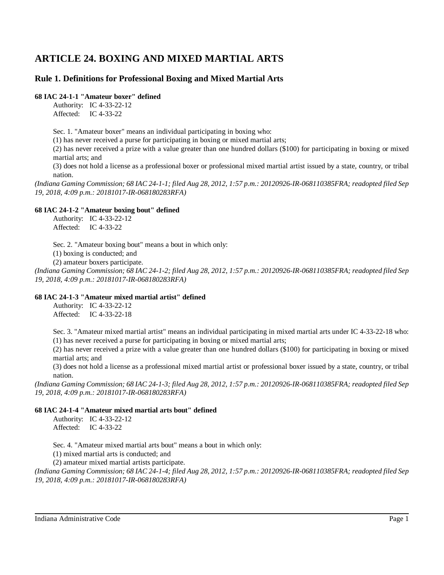# **ARTICLE 24. BOXING AND MIXED MARTIAL ARTS**

# **Rule 1. Definitions for Professional Boxing and Mixed Martial Arts**

# **68 IAC 24-1-1 "Amateur boxer" defined**

Authority: IC 4-33-22-12 Affected: IC 4-33-22

Sec. 1. "Amateur boxer" means an individual participating in boxing who:

(1) has never received a purse for participating in boxing or mixed martial arts;

(2) has never received a prize with a value greater than one hundred dollars (\$100) for participating in boxing or mixed martial arts; and

(3) does not hold a license as a professional boxer or professional mixed martial artist issued by a state, country, or tribal nation.

(Indiana Gaming Commission; 68 IAC 24-1-1; filed Aug 28, 2012, 1:57 p.m.: 20120926-IR-068110385FRA; readopted filed Sep *19, 2018, 4:09 p.m.: 20181017-IR-068180283RFA)*

# **68 IAC 24-1-2 "Amateur boxing bout" defined**

Authority: IC 4-33-22-12 Affected: IC 4-33-22

Sec. 2. "Amateur boxing bout" means a bout in which only:

(1) boxing is conducted; and

(2) amateur boxers participate.

(Indiana Gaming Commission; 68 IAC 24-1-2; filed Aug 28, 2012, 1:57 p.m.: 20120926-IR-068110385FRA; readopted filed Sep *19, 2018, 4:09 p.m.: 20181017-IR-068180283RFA)*

# **68 IAC 24-1-3 "Amateur mixed martial artist" defined**

Authority: IC 4-33-22-12 Affected: IC 4-33-22-18

Sec. 3. "Amateur mixed martial artist" means an individual participating in mixed martial arts under IC 4-33-22-18 who: (1) has never received a purse for participating in boxing or mixed martial arts;

(2) has never received a prize with a value greater than one hundred dollars (\$100) for participating in boxing or mixed martial arts; and

(3) does not hold a license as a professional mixed martial artist or professional boxer issued by a state, country, or tribal nation.

(Indiana Gaming Commission; 68 IAC 24-1-3; filed Aug 28, 2012, 1:57 p.m.: 20120926-IR-068110385FRA; readopted filed Sep *19, 2018, 4:09 p.m.: 20181017-IR-068180283RFA)*

# **68 IAC 24-1-4 "Amateur mixed martial arts bout" defined**

Authority: IC 4-33-22-12 Affected: IC 4-33-22

Sec. 4. "Amateur mixed martial arts bout" means a bout in which only:

(1) mixed martial arts is conducted; and

(2) amateur mixed martial artists participate.

(Indiana Gaming Commission; 68 IAC 24-1-4; filed Aug 28, 2012, 1:57 p.m.: 20120926-IR-068110385FRA; readopted filed Sep *19, 2018, 4:09 p.m.: 20181017-IR-068180283RFA)*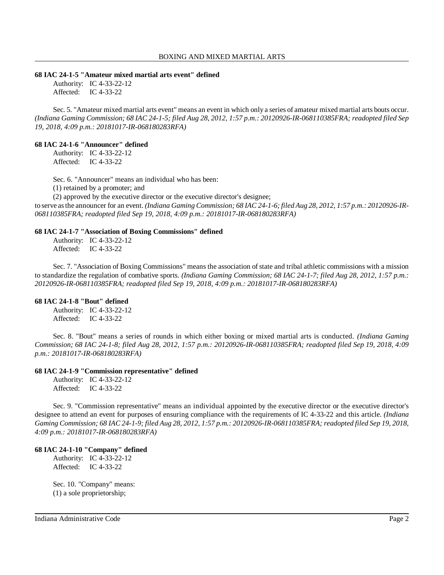#### **68 IAC 24-1-5 "Amateur mixed martial arts event" defined**

Authority: IC 4-33-22-12 Affected: IC 4-33-22

Sec. 5. "Amateur mixed martial arts event" means an event in which only a series of amateur mixed martial arts bouts occur. (Indiana Gaming Commission; 68 IAC 24-1-5; filed Aug 28, 2012, 1:57 p.m.: 20120926-IR-068110385FRA; readopted filed Sep *19, 2018, 4:09 p.m.: 20181017-IR-068180283RFA)*

### **68 IAC 24-1-6 "Announcer" defined**

Authority: IC 4-33-22-12 Affected: IC 4-33-22

Sec. 6. "Announcer" means an individual who has been:

(1) retained by a promoter; and

(2) approved by the executive director or the executive director's designee;

to serve asthe announcer for an event. *(Indiana Gaming Commission; 68 IAC 24-1-6; filed Aug 28, 2012, 1:57 p.m.: 20120926-IR-068110385FRA; readopted filed Sep 19, 2018, 4:09 p.m.: 20181017-IR-068180283RFA)*

### **68 IAC 24-1-7 "Association of Boxing Commissions" defined**

Authority: IC 4-33-22-12 Affected: IC 4-33-22

Sec. 7. "Association of Boxing Commissions" means the association ofstate and tribal athletic commissions with a mission to standardize the regulation of combative sports. *(Indiana Gaming Commission; 68 IAC 24-1-7; filed Aug 28, 2012, 1:57 p.m.: 20120926-IR-068110385FRA; readopted filed Sep 19, 2018, 4:09 p.m.: 20181017-IR-068180283RFA)*

### **68 IAC 24-1-8 "Bout" defined**

Authority: IC 4-33-22-12 Affected: IC 4-33-22

Sec. 8. "Bout" means a series of rounds in which either boxing or mixed martial arts is conducted. *(Indiana Gaming Commission; 68 IAC 24-1-8; filed Aug 28, 2012, 1:57 p.m.: 20120926-IR-068110385FRA; readopted filed Sep 19, 2018, 4:09 p.m.: 20181017-IR-068180283RFA)*

### **68 IAC 24-1-9 "Commission representative" defined**

Authority: IC 4-33-22-12 Affected: IC 4-33-22

Sec. 9. "Commission representative" means an individual appointed by the executive director or the executive director's designee to attend an event for purposes of ensuring compliance with the requirements of IC 4-33-22 and this article. *(Indiana* Gaming Commission; 68 IAC 24-1-9; filed Aug 28, 2012, 1:57 p.m.: 20120926-IR-068110385FRA; readopted filed Sep 19, 2018, *4:09 p.m.: 20181017-IR-068180283RFA)*

### **68 IAC 24-1-10 "Company" defined**

Authority: IC 4-33-22-12 Affected: IC 4-33-22

Sec. 10. "Company" means: (1) a sole proprietorship;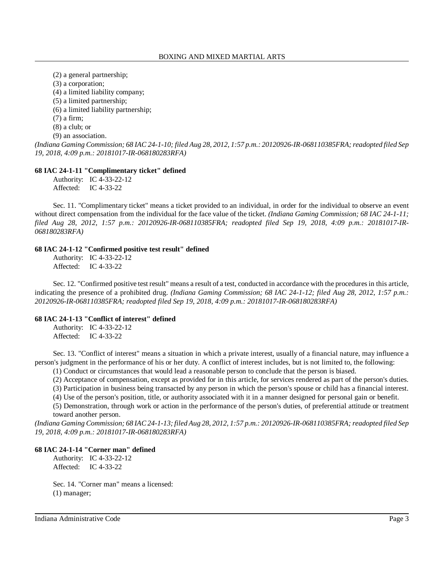(2) a general partnership;

(3) a corporation;

(4) a limited liability company;

(5) a limited partnership;

(6) a limited liability partnership;

(7) a firm;

(8) a club; or

(9) an association.

*(Indiana Gaming Commission; 68 IAC 24-1-10; filed Aug 28, 2012, 1:57 p.m.: 20120926-IR-068110385FRA;readopted filed Sep 19, 2018, 4:09 p.m.: 20181017-IR-068180283RFA)*

# **68 IAC 24-1-11 "Complimentary ticket" defined**

Authority: IC 4-33-22-12 Affected: IC 4-33-22

Sec. 11. "Complimentary ticket" means a ticket provided to an individual, in order for the individual to observe an event without direct compensation from the individual for the face value of the ticket. *(Indiana Gaming Commission; 68 IAC 24-1-11; filed Aug 28, 2012, 1:57 p.m.: 20120926-IR-068110385FRA; readopted filed Sep 19, 2018, 4:09 p.m.: 20181017-IR-068180283RFA)*

# **68 IAC 24-1-12 "Confirmed positive test result" defined**

Authority: IC 4-33-22-12 Affected: IC 4-33-22

Sec. 12. "Confirmed positive test result" means a result of a test, conducted in accordance with the procedures in this article, indicating the presence of a prohibited drug. *(Indiana Gaming Commission; 68 IAC 24-1-12; filed Aug 28, 2012, 1:57 p.m.: 20120926-IR-068110385FRA; readopted filed Sep 19, 2018, 4:09 p.m.: 20181017-IR-068180283RFA)*

# **68 IAC 24-1-13 "Conflict of interest" defined**

Authority: IC 4-33-22-12 Affected: IC 4-33-22

Sec. 13. "Conflict of interest" means a situation in which a private interest, usually of a financial nature, may influence a person's judgment in the performance of his or her duty. A conflict of interest includes, but is not limited to, the following:

(1) Conduct or circumstances that would lead a reasonable person to conclude that the person is biased.

(2) Acceptance of compensation, except as provided for in this article, for services rendered as part of the person's duties.

(3) Participation in business being transacted by any person in which the person's spouse or child has a financial interest.

(4) Use of the person's position, title, or authority associated with it in a manner designed for personal gain or benefit.

(5) Demonstration, through work or action in the performance of the person's duties, of preferential attitude or treatment toward another person.

(Indiana Gaming Commission; 68 IAC 24-1-13; filed Aug 28, 2012, 1:57 p.m.: 20120926-IR-068110385FRA; readopted filed Sep *19, 2018, 4:09 p.m.: 20181017-IR-068180283RFA)*

# **68 IAC 24-1-14 "Corner man" defined**

Authority: IC 4-33-22-12 Affected: IC 4-33-22

Sec. 14. "Corner man" means a licensed: (1) manager;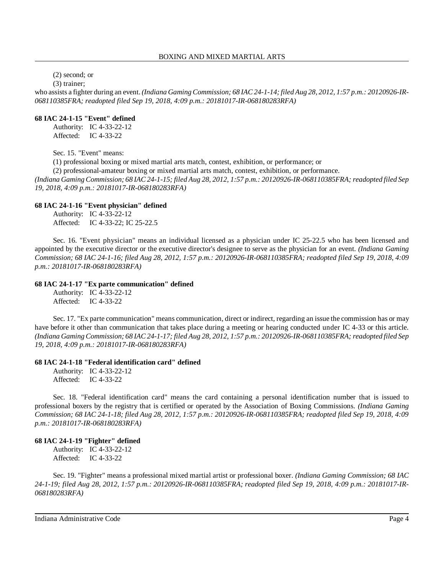(2) second; or

(3) trainer;

who assists a fighter during an event. *(Indiana Gaming Commission; 68 IAC 24-1-14; filed Aug 28, 2012, 1:57 p.m.: 20120926-IR-068110385FRA; readopted filed Sep 19, 2018, 4:09 p.m.: 20181017-IR-068180283RFA)*

### **68 IAC 24-1-15 "Event" defined**

Authority: IC 4-33-22-12 Affected: IC 4-33-22

Sec. 15. "Event" means:

(1) professional boxing or mixed martial arts match, contest, exhibition, or performance; or

(2) professional-amateur boxing or mixed martial arts match, contest, exhibition, or performance.

(Indiana Gaming Commission; 68 IAC 24-1-15; filed Aug 28, 2012, 1:57 p.m.: 20120926-IR-068110385FRA; readopted filed Sep *19, 2018, 4:09 p.m.: 20181017-IR-068180283RFA)*

# **68 IAC 24-1-16 "Event physician" defined**

Authority: IC 4-33-22-12 Affected: IC 4-33-22; IC 25-22.5

Sec. 16. "Event physician" means an individual licensed as a physician under IC 25-22.5 who has been licensed and appointed by the executive director or the executive director's designee to serve as the physician for an event. *(Indiana Gaming Commission; 68 IAC 24-1-16; filed Aug 28, 2012, 1:57 p.m.: 20120926-IR-068110385FRA; readopted filed Sep 19, 2018, 4:09 p.m.: 20181017-IR-068180283RFA)*

### **68 IAC 24-1-17 "Ex parte communication" defined**

Authority: IC 4-33-22-12 Affected: IC 4-33-22

Sec. 17. "Ex parte communication" means communication, direct or indirect, regarding an issue the commission has or may have before it other than communication that takes place during a meeting or hearing conducted under IC 4-33 or this article. (Indiana Gaming Commission; 68 IAC 24-1-17; filed Aug 28, 2012, 1:57 p.m.: 20120926-IR-068110385FRA; readopted filed Sep *19, 2018, 4:09 p.m.: 20181017-IR-068180283RFA)*

# **68 IAC 24-1-18 "Federal identification card" defined**

Authority: IC 4-33-22-12 Affected: IC 4-33-22

Sec. 18. "Federal identification card" means the card containing a personal identification number that is issued to professional boxers by the registry that is certified or operated by the Association of Boxing Commissions. *(Indiana Gaming Commission; 68 IAC 24-1-18; filed Aug 28, 2012, 1:57 p.m.: 20120926-IR-068110385FRA; readopted filed Sep 19, 2018, 4:09 p.m.: 20181017-IR-068180283RFA)*

# **68 IAC 24-1-19 "Fighter" defined**

Authority: IC 4-33-22-12 Affected: IC 4-33-22

Sec. 19. "Fighter" means a professional mixed martial artist or professional boxer. *(Indiana Gaming Commission; 68 IAC 24-1-19; filed Aug 28, 2012, 1:57 p.m.: 20120926-IR-068110385FRA; readopted filed Sep 19, 2018, 4:09 p.m.: 20181017-IR-068180283RFA)*

Indiana Administrative Code Page 4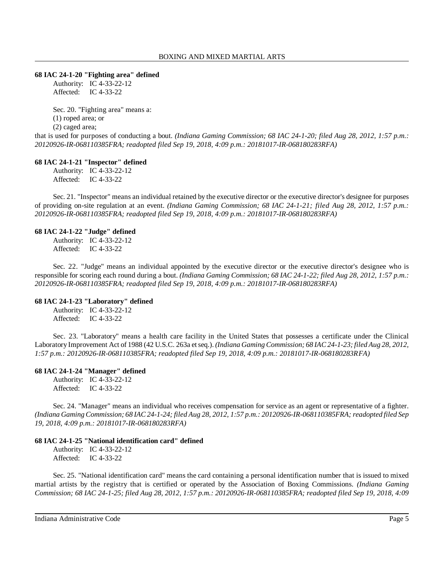### **68 IAC 24-1-20 "Fighting area" defined**

Authority: IC 4-33-22-12 Affected: IC 4-33-22

Sec. 20. "Fighting area" means a: (1) roped area; or (2) caged area;

that is used for purposes of conducting a bout. *(Indiana Gaming Commission; 68 IAC 24-1-20; filed Aug 28, 2012, 1:57 p.m.: 20120926-IR-068110385FRA; readopted filed Sep 19, 2018, 4:09 p.m.: 20181017-IR-068180283RFA)*

### **68 IAC 24-1-21 "Inspector" defined**

Authority: IC 4-33-22-12 Affected: IC 4-33-22

Sec. 21. "Inspector" means an individual retained by the executive director or the executive director's designee for purposes of providing on-site regulation at an event. *(Indiana Gaming Commission; 68 IAC 24-1-21; filed Aug 28, 2012, 1:57 p.m.: 20120926-IR-068110385FRA; readopted filed Sep 19, 2018, 4:09 p.m.: 20181017-IR-068180283RFA)*

### **68 IAC 24-1-22 "Judge" defined**

Authority: IC 4-33-22-12 Affected: IC 4-33-22

Sec. 22. "Judge" means an individual appointed by the executive director or the executive director's designee who is responsible for scoring each round during a bout. *(Indiana Gaming Commission; 68 IAC 24-1-22; filed Aug 28, 2012, 1:57 p.m.: 20120926-IR-068110385FRA; readopted filed Sep 19, 2018, 4:09 p.m.: 20181017-IR-068180283RFA)*

# **68 IAC 24-1-23 "Laboratory" defined**

Authority: IC 4-33-22-12 Affected: IC 4-33-22

Sec. 23. "Laboratory" means a health care facility in the United States that possesses a certificate under the Clinical Laboratory Improvement Act of 1988 (42 U.S.C. 263a etseq.). *(Indiana Gaming Commission; 68 IAC 24-1-23; filed Aug 28, 2012, 1:57 p.m.: 20120926-IR-068110385FRA; readopted filed Sep 19, 2018, 4:09 p.m.: 20181017-IR-068180283RFA)*

# **68 IAC 24-1-24 "Manager" defined**

Authority: IC 4-33-22-12 Affected: IC 4-33-22

Sec. 24. "Manager" means an individual who receives compensation for service as an agent or representative of a fighter. (Indiana Gaming Commission; 68 IAC 24-1-24; filed Aug 28, 2012, 1:57 p.m.: 20120926-IR-068110385FRA; readopted filed Sep *19, 2018, 4:09 p.m.: 20181017-IR-068180283RFA)*

# **68 IAC 24-1-25 "National identification card" defined**

Authority: IC 4-33-22-12 Affected: IC 4-33-22

Sec. 25. "National identification card" means the card containing a personal identification number that is issued to mixed martial artists by the registry that is certified or operated by the Association of Boxing Commissions. *(Indiana Gaming Commission; 68 IAC 24-1-25; filed Aug 28, 2012, 1:57 p.m.: 20120926-IR-068110385FRA; readopted filed Sep 19, 2018, 4:09*

Indiana Administrative Code Page 5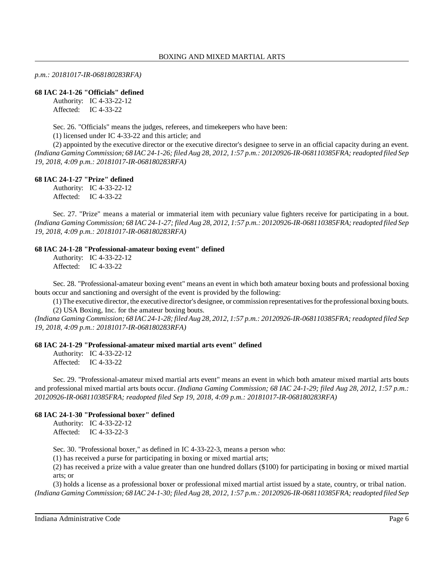*p.m.: 20181017-IR-068180283RFA)*

### **68 IAC 24-1-26 "Officials" defined**

Authority: IC 4-33-22-12 Affected: IC 4-33-22

Sec. 26. "Officials" means the judges, referees, and timekeepers who have been:

(1) licensed under IC 4-33-22 and this article; and

(2) appointed by the executive director or the executive director's designee to serve in an official capacity during an event. (Indiana Gaming Commission; 68 IAC 24-1-26; filed Aug 28, 2012, 1:57 p.m.; 20120926-IR-068110385FRA; readopted filed Sep *19, 2018, 4:09 p.m.: 20181017-IR-068180283RFA)*

### **68 IAC 24-1-27 "Prize" defined**

Authority: IC 4-33-22-12 Affected: IC 4-33-22

Sec. 27. "Prize" means a material or immaterial item with pecuniary value fighters receive for participating in a bout. *(Indiana Gaming Commission; 68 IAC 24-1-27; filed Aug 28, 2012, 1:57 p.m.: 20120926-IR-068110385FRA;readopted filed Sep 19, 2018, 4:09 p.m.: 20181017-IR-068180283RFA)*

### **68 IAC 24-1-28 "Professional-amateur boxing event" defined**

Authority: IC 4-33-22-12 Affected: IC 4-33-22

Sec. 28. "Professional-amateur boxing event" means an event in which both amateur boxing bouts and professional boxing bouts occur and sanctioning and oversight of the event is provided by the following:

(1) The executive director, the executive director's designee, or commission representativesforthe professional boxing bouts. (2) USA Boxing, Inc. for the amateur boxing bouts.

(Indiana Gaming Commission; 68 IAC 24-1-28; filed Aug 28, 2012, 1:57 p.m.: 20120926-IR-068110385FRA; readopted filed Sep *19, 2018, 4:09 p.m.: 20181017-IR-068180283RFA)*

### **68 IAC 24-1-29 "Professional-amateur mixed martial arts event" defined**

Authority: IC 4-33-22-12 Affected: IC 4-33-22

Sec. 29. "Professional-amateur mixed martial arts event" means an event in which both amateur mixed martial arts bouts and professional mixed martial arts bouts occur. *(Indiana Gaming Commission; 68 IAC 24-1-29; filed Aug 28, 2012, 1:57 p.m.: 20120926-IR-068110385FRA; readopted filed Sep 19, 2018, 4:09 p.m.: 20181017-IR-068180283RFA)*

# **68 IAC 24-1-30 "Professional boxer" defined**

Authority: IC 4-33-22-12 Affected: IC 4-33-22-3

Sec. 30. "Professional boxer," as defined in IC 4-33-22-3, means a person who:

(1) has received a purse for participating in boxing or mixed martial arts;

(2) has received a prize with a value greater than one hundred dollars (\$100) for participating in boxing or mixed martial arts; or

(3) holds a license as a professional boxer or professional mixed martial artist issued by a state, country, or tribal nation. (Indiana Gaming Commission; 68 IAC 24-1-30; filed Aug 28, 2012, 1:57 p.m.: 20120926-IR-068110385FRA; readopted filed Sep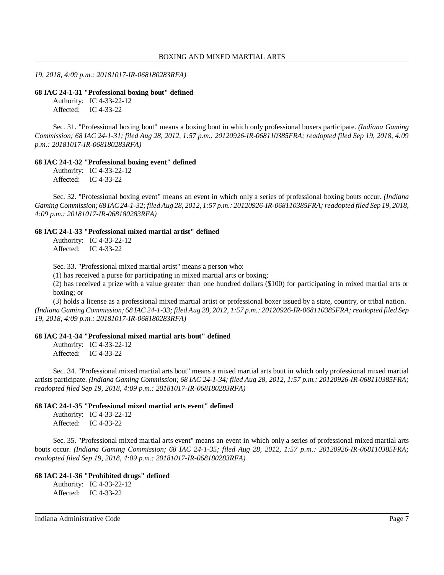*19, 2018, 4:09 p.m.: 20181017-IR-068180283RFA)*

#### **68 IAC 24-1-31 "Professional boxing bout" defined**

Authority: IC 4-33-22-12 Affected: IC 4-33-22

Sec. 31. "Professional boxing bout" means a boxing bout in which only professional boxers participate. *(Indiana Gaming Commission; 68 IAC 24-1-31; filed Aug 28, 2012, 1:57 p.m.: 20120926-IR-068110385FRA; readopted filed Sep 19, 2018, 4:09 p.m.: 20181017-IR-068180283RFA)*

### **68 IAC 24-1-32 "Professional boxing event" defined**

Authority: IC 4-33-22-12 Affected: IC 4-33-22

Sec. 32. "Professional boxing event" means an event in which only a series of professional boxing bouts occur. *(Indiana Gaming Commission; 68 IAC24-1-32; filed Aug 28, 2012, 1:57 p.m.: 20120926-IR-068110385FRA;readopted filed Sep 19, 2018, 4:09 p.m.: 20181017-IR-068180283RFA)*

#### **68 IAC 24-1-33 "Professional mixed martial artist" defined**

Authority: IC 4-33-22-12 Affected: IC 4-33-22

Sec. 33. "Professional mixed martial artist" means a person who:

(1) has received a purse for participating in mixed martial arts or boxing;

(2) has received a prize with a value greater than one hundred dollars (\$100) for participating in mixed martial arts or boxing; or

(3) holds a license as a professional mixed martial artist or professional boxer issued by a state, country, or tribal nation. (Indiana Gaming Commission; 68 IAC 24-1-33; filed Aug 28, 2012, 1:57 p.m.: 20120926-IR-068110385FRA; readopted filed Sep *19, 2018, 4:09 p.m.: 20181017-IR-068180283RFA)*

# **68 IAC 24-1-34 "Professional mixed martial arts bout" defined**

Authority: IC 4-33-22-12 Affected: IC 4-33-22

Sec. 34. "Professional mixed martial arts bout" means a mixed martial arts bout in which only professional mixed martial artists participate. *(Indiana Gaming Commission; 68 IAC 24-1-34; filed Aug 28, 2012, 1:57 p.m.: 20120926-IR-068110385FRA; readopted filed Sep 19, 2018, 4:09 p.m.: 20181017-IR-068180283RFA)*

#### **68 IAC 24-1-35 "Professional mixed martial arts event" defined**

Authority: IC 4-33-22-12 Affected: IC 4-33-22

Sec. 35. "Professional mixed martial arts event" means an event in which only a series of professional mixed martial arts bouts occur. *(Indiana Gaming Commission; 68 IAC 24-1-35; filed Aug 28, 2012, 1:57 p.m.: 20120926-IR-068110385FRA; readopted filed Sep 19, 2018, 4:09 p.m.: 20181017-IR-068180283RFA)*

#### **68 IAC 24-1-36 "Prohibited drugs" defined**

Authority: IC 4-33-22-12 Affected: IC 4-33-22

Indiana Administrative Code Page 7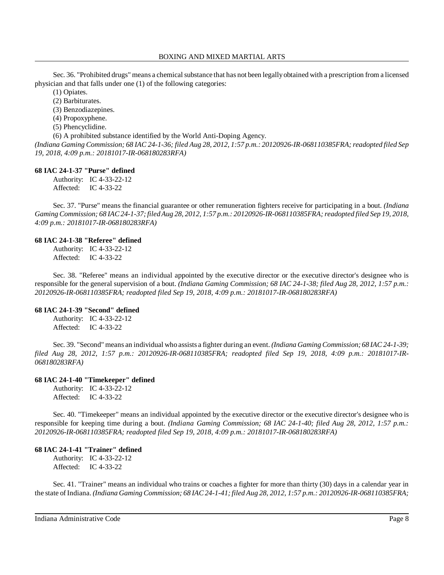Sec. 36. "Prohibited drugs" means a chemical substance that has not been legally obtained with a prescription from a licensed physician and that falls under one (1) of the following categories:

(1) Opiates.

(2) Barbiturates.

(3) Benzodiazepines.

(4) Propoxyphene.

(5) Phencyclidine.

(6) A prohibited substance identified by the World Anti-Doping Agency.

*(Indiana Gaming Commission; 68 IAC 24-1-36; filed Aug 28, 2012, 1:57 p.m.: 20120926-IR-068110385FRA;readopted filed Sep 19, 2018, 4:09 p.m.: 20181017-IR-068180283RFA)*

### **68 IAC 24-1-37 "Purse" defined**

Authority: IC 4-33-22-12 Affected: IC 4-33-22

Sec. 37. "Purse" means the financial guarantee or other remuneration fighters receive for participating in a bout. *(Indiana Gaming Commission; 68 IAC24-1-37;filedAug 28, 2012, 1:57 p.m.: 20120926-IR-068110385FRA;readopted filed Sep 19, 2018, 4:09 p.m.: 20181017-IR-068180283RFA)*

# **68 IAC 24-1-38 "Referee" defined**

Authority: IC 4-33-22-12 Affected: IC 4-33-22

Sec. 38. "Referee" means an individual appointed by the executive director or the executive director's designee who is responsible for the general supervision of a bout. *(Indiana Gaming Commission; 68 IAC 24-1-38; filed Aug 28, 2012, 1:57 p.m.: 20120926-IR-068110385FRA; readopted filed Sep 19, 2018, 4:09 p.m.: 20181017-IR-068180283RFA)*

# **68 IAC 24-1-39 "Second" defined**

Authority: IC 4-33-22-12 Affected: IC 4-33-22

Sec. 39. "Second" means an individual who assists a fighter during an event. *(Indiana Gaming Commission; 68 IAC 24-1-39; filed Aug 28, 2012, 1:57 p.m.: 20120926-IR-068110385FRA; readopted filed Sep 19, 2018, 4:09 p.m.: 20181017-IR-068180283RFA)*

# **68 IAC 24-1-40 "Timekeeper" defined**

Authority: IC 4-33-22-12 Affected: IC 4-33-22

Sec. 40. "Timekeeper" means an individual appointed by the executive director or the executive director's designee who is responsible for keeping time during a bout. *(Indiana Gaming Commission; 68 IAC 24-1-40; filed Aug 28, 2012, 1:57 p.m.: 20120926-IR-068110385FRA; readopted filed Sep 19, 2018, 4:09 p.m.: 20181017-IR-068180283RFA)*

# **68 IAC 24-1-41 "Trainer" defined**

Authority: IC 4-33-22-12 Affected: IC 4-33-22

Sec. 41. "Trainer" means an individual who trains or coaches a fighter for more than thirty (30) days in a calendar year in the state of Indiana. *(Indiana Gaming Commission; 68 IAC 24-1-41; filed Aug 28, 2012, 1:57 p.m.: 20120926-IR-068110385FRA;*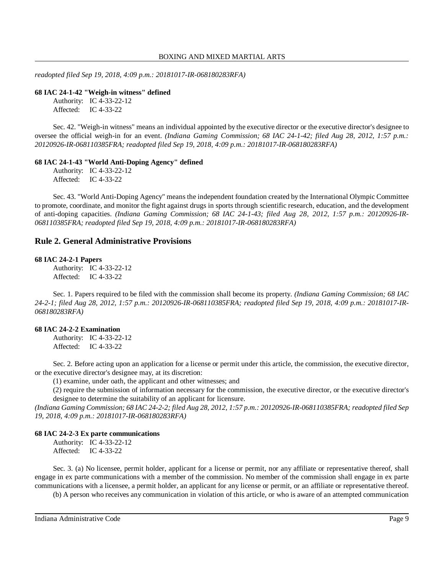*readopted filed Sep 19, 2018, 4:09 p.m.: 20181017-IR-068180283RFA)*

**68 IAC 24-1-42 "Weigh-in witness" defined**

Authority: IC 4-33-22-12 Affected: IC 4-33-22

Sec. 42. "Weigh-in witness" means an individual appointed by the executive director or the executive director's designee to oversee the official weigh-in for an event. *(Indiana Gaming Commission; 68 IAC 24-1-42; filed Aug 28, 2012, 1:57 p.m.: 20120926-IR-068110385FRA; readopted filed Sep 19, 2018, 4:09 p.m.: 20181017-IR-068180283RFA)*

#### **68 IAC 24-1-43 "World Anti-Doping Agency" defined**

Authority: IC 4-33-22-12 Affected: IC 4-33-22

Sec. 43. "World Anti-Doping Agency" means the independent foundation created by the International Olympic Committee to promote, coordinate, and monitor the fight against drugs in sports through scientific research, education, and the development of anti-doping capacities. *(Indiana Gaming Commission; 68 IAC 24-1-43; filed Aug 28, 2012, 1:57 p.m.: 20120926-IR-068110385FRA; readopted filed Sep 19, 2018, 4:09 p.m.: 20181017-IR-068180283RFA)*

### **Rule 2. General Administrative Provisions**

### **68 IAC 24-2-1 Papers**

Authority: IC 4-33-22-12 Affected: IC 4-33-22

Sec. 1. Papers required to be filed with the commission shall become its property. *(Indiana Gaming Commission; 68 IAC* 24-2-1; filed Aug 28, 2012, 1:57 p.m.: 20120926-IR-068110385FRA; readopted filed Sep 19, 2018, 4:09 p.m.: 20181017-IR-*068180283RFA)*

#### **68 IAC 24-2-2 Examination**

Authority: IC 4-33-22-12 Affected: IC 4-33-22

Sec. 2. Before acting upon an application for a license or permit under this article, the commission, the executive director, or the executive director's designee may, at its discretion:

(1) examine, under oath, the applicant and other witnesses; and

(2) require the submission of information necessary for the commission, the executive director, or the executive director's designee to determine the suitability of an applicant for licensure.

(Indiana Gaming Commission; 68 IAC 24-2-2; filed Aug 28, 2012, 1:57 p.m.: 20120926-IR-068110385FRA; readopted filed Sep *19, 2018, 4:09 p.m.: 20181017-IR-068180283RFA)*

#### **68 IAC 24-2-3 Ex parte communications**

Authority: IC 4-33-22-12 Affected: IC 4-33-22

Sec. 3. (a) No licensee, permit holder, applicant for a license or permit, nor any affiliate or representative thereof, shall engage in ex parte communications with a member of the commission. No member of the commission shall engage in ex parte communications with a licensee, a permit holder, an applicant for any license or permit, or an affiliate or representative thereof.

(b) A person who receives any communication in violation of this article, or who is aware of an attempted communication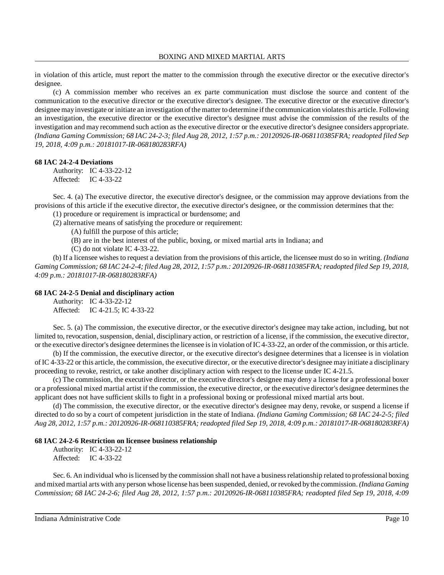in violation of this article, must report the matter to the commission through the executive director or the executive director's designee.

(c) A commission member who receives an ex parte communication must disclose the source and content of the communication to the executive director or the executive director's designee. The executive director or the executive director's designee may investigate or initiate an investigation of the matter to determine if the communication violates this article. Following an investigation, the executive director or the executive director's designee must advise the commission of the results of the investigation and may recommend such action as the executive director or the executive director's designee considers appropriate. (Indiana Gaming Commission; 68 IAC 24-2-3; filed Aug 28, 2012, 1:57 p.m.: 20120926-IR-068110385FRA; readopted filed Sep *19, 2018, 4:09 p.m.: 20181017-IR-068180283RFA)*

### **68 IAC 24-2-4 Deviations**

Authority: IC 4-33-22-12 Affected: IC 4-33-22

Sec. 4. (a) The executive director, the executive director's designee, or the commission may approve deviations from the provisions of this article if the executive director, the executive director's designee, or the commission determines that the:

(1) procedure or requirement is impractical or burdensome; and (2) alternative means of satisfying the procedure or requirement:

(A) fulfill the purpose of this article;

(B) are in the best interest of the public, boxing, or mixed martial arts in Indiana; and

(C) do not violate IC 4-33-22.

(b) If a licensee wishes to request a deviation from the provisions of this article, the licensee must do so in writing. *(Indiana* Gaming Commission; 68 IAC 24-2-4; filed Aug 28, 2012, 1:57 p.m.: 20120926-IR-068110385FRA; readopted filed Sep 19, 2018, *4:09 p.m.: 20181017-IR-068180283RFA)*

### **68 IAC 24-2-5 Denial and disciplinary action**

Authority: IC 4-33-22-12 Affected: IC 4-21.5; IC 4-33-22

Sec. 5. (a) The commission, the executive director, or the executive director's designee may take action, including, but not limited to, revocation, suspension, denial, disciplinary action, or restriction of a license, if the commission, the executive director, or the executive director's designee determinesthe licensee isin violation ofIC 4-33-22, an order of the commission, or this article.

(b) If the commission, the executive director, or the executive director's designee determines that a licensee is in violation of IC 4-33-22 or this article, the commission, the executive director, or the executive director's designee may initiate a disciplinary proceeding to revoke, restrict, or take another disciplinary action with respect to the license under IC 4-21.5.

(c) The commission, the executive director, or the executive director's designee may deny a license for a professional boxer or a professional mixed martial artist if the commission, the executive director, or the executive director's designee determinesthe applicant does not have sufficient skills to fight in a professional boxing or professional mixed martial arts bout.

(d) The commission, the executive director, or the executive director's designee may deny, revoke, or suspend a license if directed to do so by a court of competent jurisdiction in the state of Indiana. *(Indiana Gaming Commission; 68 IAC 24-2-5; filed Aug 28, 2012, 1:57 p.m.: 20120926-IR-068110385FRA; readopted filed Sep 19, 2018, 4:09 p.m.: 20181017-IR-068180283RFA)*

### **68 IAC 24-2-6 Restriction on licensee business relationship**

Authority: IC 4-33-22-12 Affected: IC 4-33-22

Sec. 6. An individual who islicensed by the commission shall not have a businessrelationship related to professional boxing and mixed martial arts with anyperson whose license has been suspended, denied, or revoked bythe commission. *(Indiana Gaming Commission; 68 IAC 24-2-6; filed Aug 28, 2012, 1:57 p.m.: 20120926-IR-068110385FRA; readopted filed Sep 19, 2018, 4:09*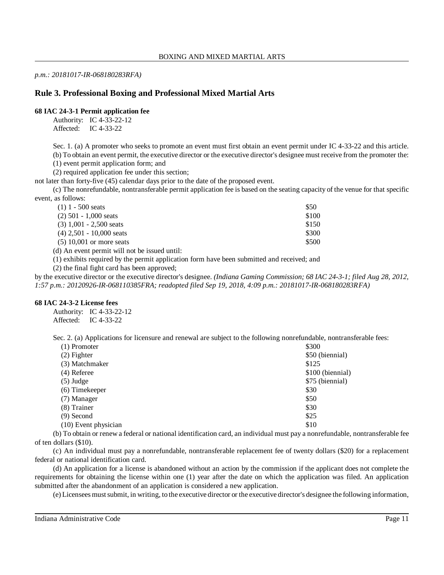*p.m.: 20181017-IR-068180283RFA)*

# **Rule 3. Professional Boxing and Professional Mixed Martial Arts**

# **68 IAC 24-3-1 Permit application fee**

Authority: IC 4-33-22-12 Affected: IC 4-33-22

Sec. 1. (a) A promoter who seeks to promote an event must first obtain an event permit under IC 4-33-22 and this article.

(b) To obtain an event permit, the executive director or the executive director's designee must receive from the promoter the: (1) event permit application form; and

(2) required application fee under this section;

not later than forty-five (45) calendar days prior to the date of the proposed event.

(c) The nonrefundable, nontransferable permit application fee is based on the seating capacity of the venue for that specific event, as follows:

| $(1)$ 1 - 500 seats        | \$50  |
|----------------------------|-------|
| $(2)$ 501 - 1,000 seats    | \$100 |
| $(3)$ 1,001 - 2,500 seats  | \$150 |
| $(4)$ 2.501 - 10.000 seats | \$300 |
| $(5)$ 10,001 or more seats | \$500 |
|                            |       |

(d) An event permit will not be issued until:

(1) exhibits required by the permit application form have been submitted and received; and

(2) the final fight card has been approved;

by the executive director or the executive director's designee. *(Indiana Gaming Commission; 68 IAC 24-3-1; filed Aug 28, 2012, 1:57 p.m.: 20120926-IR-068110385FRA; readopted filed Sep 19, 2018, 4:09 p.m.: 20181017-IR-068180283RFA)*

# **68 IAC 24-3-2 License fees**

Authority: IC 4-33-22-12 Affected: IC 4-33-22

Sec. 2. (a) Applications for licensure and renewal are subject to the following nonrefundable, nontransferable fees:

| $(1)$ Promoter         | \$300            |
|------------------------|------------------|
| $(2)$ Fighter          | \$50 (biennial)  |
| (3) Matchmaker         | \$125            |
| $(4)$ Referee          | \$100 (biennial) |
| $(5)$ Judge            | \$75 (biennial)  |
| (6) Timekeeper         | \$30             |
| (7) Manager            | \$50             |
| $(8)$ Trainer          | \$30             |
| $(9)$ Second           | \$25             |
| $(10)$ Event physician | \$10             |

(b) To obtain or renew a federal or national identification card, an individual must pay a nonrefundable, nontransferable fee of ten dollars (\$10).

(c) An individual must pay a nonrefundable, nontransferable replacement fee of twenty dollars (\$20) for a replacement federal or national identification card.

(d) An application for a license is abandoned without an action by the commission if the applicant does not complete the requirements for obtaining the license within one (1) year after the date on which the application was filed. An application submitted after the abandonment of an application is considered a new application.

(e) Licensees mustsubmit, in writing, to the executive director or the executive director's designee the following information,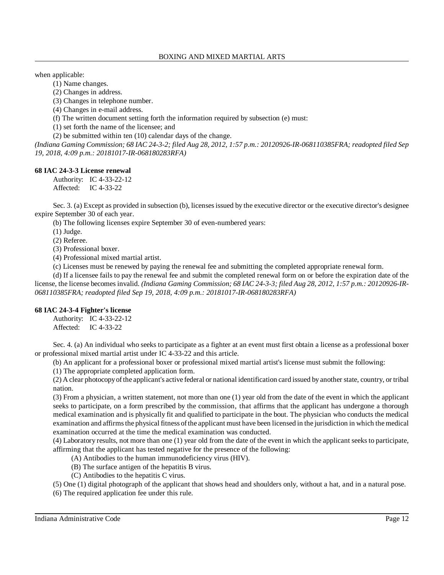when applicable:

(1) Name changes.

(2) Changes in address.

(3) Changes in telephone number.

(4) Changes in e-mail address.

(f) The written document setting forth the information required by subsection (e) must:

(1) set forth the name of the licensee; and

(2) be submitted within ten (10) calendar days of the change.

(Indiana Gaming Commission; 68 IAC 24-3-2; filed Aug 28, 2012, 1:57 p.m.: 20120926-IR-068110385FRA; readopted filed Sep *19, 2018, 4:09 p.m.: 20181017-IR-068180283RFA)*

# **68 IAC 24-3-3 License renewal**

Authority: IC 4-33-22-12 Affected: IC 4-33-22

Sec. 3. (a) Except as provided in subsection (b), licensesissued by the executive director or the executive director's designee expire September 30 of each year.

(b) The following licenses expire September 30 of even-numbered years:

(1) Judge.

(2) Referee.

(3) Professional boxer.

(4) Professional mixed martial artist.

(c) Licenses must be renewed by paying the renewal fee and submitting the completed appropriate renewal form.

(d) If a licensee fails to pay the renewal fee and submit the completed renewal form on or before the expiration date of the license, the license becomes invalid. *(Indiana Gaming Commission; 68 IAC 24-3-3; filed Aug 28, 2012, 1:57 p.m.: 20120926-IR-068110385FRA; readopted filed Sep 19, 2018, 4:09 p.m.: 20181017-IR-068180283RFA)*

# **68 IAC 24-3-4 Fighter's license**

Authority: IC 4-33-22-12 Affected: IC 4-33-22

Sec. 4. (a) An individual who seeks to participate as a fighter at an event must first obtain a license as a professional boxer or professional mixed martial artist under IC 4-33-22 and this article.

(b) An applicant for a professional boxer or professional mixed martial artist's license must submit the following:

(1) The appropriate completed application form.

(2) A clear photocopyofthe applicant's active federal or national identification card issued by another state, country, or tribal nation.

(3) From a physician, a written statement, not more than one (1) year old from the date of the event in which the applicant seeks to participate, on a form prescribed by the commission, that affirms that the applicant has undergone a thorough medical examination and is physically fit and qualified to participate in the bout. The physician who conducts the medical examination and affirms the physical fitness of the applicant must have been licensed in the jurisdiction in which the medical examination occurred at the time the medical examination was conducted.

(4) Laboratory results, not more than one (1) year old from the date of the event in which the applicant seeks to participate, affirming that the applicant has tested negative for the presence of the following:

(A) Antibodies to the human immunodeficiency virus (HIV).

- (B) The surface antigen of the hepatitis B virus.
- (C) Antibodies to the hepatitis C virus.

(5) One (1) digital photograph of the applicant that shows head and shoulders only, without a hat, and in a natural pose.

(6) The required application fee under this rule.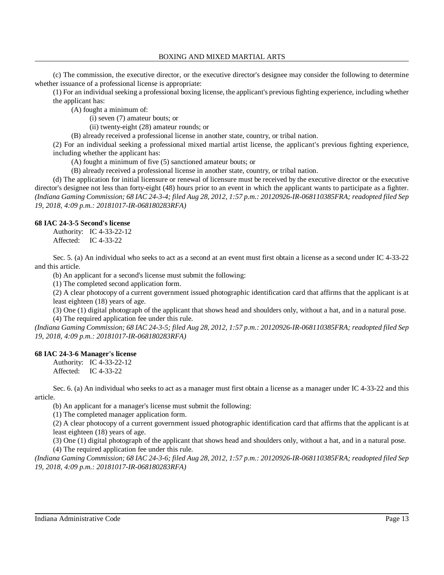(c) The commission, the executive director, or the executive director's designee may consider the following to determine whether issuance of a professional license is appropriate:

(1) For an individual seeking a professional boxing license, the applicant's previous fighting experience, including whether the applicant has:

(A) fought a minimum of:

(i) seven (7) amateur bouts; or

(ii) twenty-eight (28) amateur rounds; or

(B) already received a professional license in another state, country, or tribal nation.

(2) For an individual seeking a professional mixed martial artist license, the applicant's previous fighting experience, including whether the applicant has:

(A) fought a minimum of five (5) sanctioned amateur bouts; or

(B) already received a professional license in another state, country, or tribal nation.

(d) The application for initial licensure or renewal of licensure must be received by the executive director or the executive director's designee not less than forty-eight (48) hours prior to an event in which the applicant wants to participate as a fighter. (Indiana Gaming Commission; 68 IAC 24-3-4; filed Aug 28, 2012, 1:57 p.m.: 20120926-IR-068110385FRA; readopted filed Sep *19, 2018, 4:09 p.m.: 20181017-IR-068180283RFA)*

### **68 IAC 24-3-5 Second's license**

Authority: IC 4-33-22-12 Affected: IC 4-33-22

Sec. 5. (a) An individual who seeks to act as a second at an event must first obtain a license as a second under IC 4-33-22 and this article.

(b) An applicant for a second's license must submit the following:

(1) The completed second application form.

(2) A clear photocopy of a current government issued photographic identification card that affirms that the applicant is at least eighteen (18) years of age.

(3) One (1) digital photograph of the applicant that shows head and shoulders only, without a hat, and in a natural pose. (4) The required application fee under this rule.

(Indiana Gaming Commission; 68 IAC 24-3-5; filed Aug 28, 2012, 1:57 p.m.: 20120926-IR-068110385FRA; readopted filed Sep *19, 2018, 4:09 p.m.: 20181017-IR-068180283RFA)*

### **68 IAC 24-3-6 Manager's license**

Authority: IC 4-33-22-12 Affected: IC 4-33-22

Sec. 6. (a) An individual who seeks to act as a manager must first obtain a license as a manager under IC 4-33-22 and this article.

(b) An applicant for a manager's license must submit the following:

(1) The completed manager application form.

(2) A clear photocopy of a current government issued photographic identification card that affirms that the applicant is at least eighteen (18) years of age.

(3) One (1) digital photograph of the applicant that shows head and shoulders only, without a hat, and in a natural pose. (4) The required application fee under this rule.

(Indiana Gaming Commission; 68 IAC 24-3-6; filed Aug 28, 2012, 1:57 p.m.: 20120926-IR-068110385FRA; readopted filed Sep *19, 2018, 4:09 p.m.: 20181017-IR-068180283RFA)*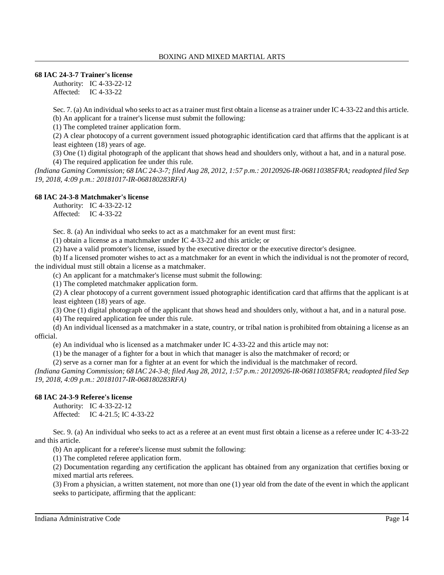# **68 IAC 24-3-7 Trainer's license**

Authority: IC 4-33-22-12 Affected: IC 4-33-22

Sec. 7. (a) An individual who seeks to act as a trainer must first obtain a license as a trainer under IC 4-33-22 and this article. (b) An applicant for a trainer's license must submit the following:

(1) The completed trainer application form.

(2) A clear photocopy of a current government issued photographic identification card that affirms that the applicant is at least eighteen (18) years of age.

(3) One (1) digital photograph of the applicant that shows head and shoulders only, without a hat, and in a natural pose. (4) The required application fee under this rule.

(Indiana Gaming Commission; 68 IAC 24-3-7; filed Aug 28, 2012, 1:57 p.m.: 20120926-IR-068110385FRA; readopted filed Sep *19, 2018, 4:09 p.m.: 20181017-IR-068180283RFA)*

# **68 IAC 24-3-8 Matchmaker's license**

Authority: IC 4-33-22-12 Affected: IC 4-33-22

Sec. 8. (a) An individual who seeks to act as a matchmaker for an event must first:

(1) obtain a license as a matchmaker under IC 4-33-22 and this article; or

(2) have a valid promoter's license, issued by the executive director or the executive director's designee.

(b) If a licensed promoter wishes to act as a matchmaker for an event in which the individual is not the promoter of record, the individual must still obtain a license as a matchmaker.

(c) An applicant for a matchmaker's license must submit the following:

(1) The completed matchmaker application form.

(2) A clear photocopy of a current government issued photographic identification card that affirms that the applicant is at least eighteen (18) years of age.

(3) One (1) digital photograph of the applicant that shows head and shoulders only, without a hat, and in a natural pose.

(4) The required application fee under this rule.

(d) An individual licensed as a matchmaker in a state, country, or tribal nation is prohibited from obtaining a license as an official.

(e) An individual who is licensed as a matchmaker under IC 4-33-22 and this article may not:

(1) be the manager of a fighter for a bout in which that manager is also the matchmaker of record; or

(2) serve as a corner man for a fighter at an event for which the individual is the matchmaker of record.

(Indiana Gaming Commission; 68 IAC 24-3-8; filed Aug 28, 2012, 1:57 p.m.: 20120926-IR-068110385FRA; readopted filed Sep *19, 2018, 4:09 p.m.: 20181017-IR-068180283RFA)*

# **68 IAC 24-3-9 Referee's license**

Authority: IC 4-33-22-12 Affected: IC 4-21.5; IC 4-33-22

Sec. 9. (a) An individual who seeks to act as a referee at an event must first obtain a license as a referee under IC 4-33-22 and this article.

(b) An applicant for a referee's license must submit the following:

(1) The completed referee application form.

(2) Documentation regarding any certification the applicant has obtained from any organization that certifies boxing or mixed martial arts referees.

(3) From a physician, a written statement, not more than one (1) year old from the date of the event in which the applicant seeks to participate, affirming that the applicant: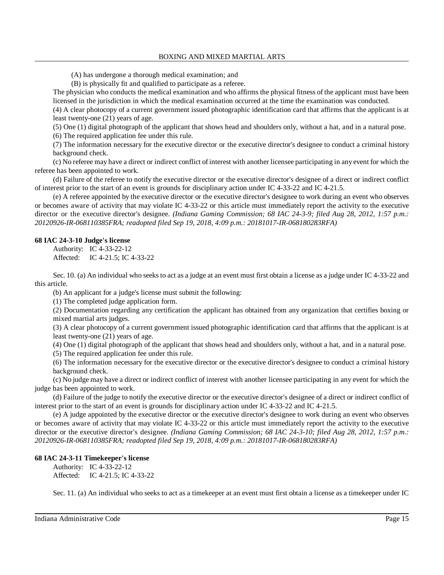- (A) has undergone a thorough medical examination; and
- (B) is physically fit and qualified to participate as a referee.

The physician who conducts the medical examination and who affirms the physical fitness of the applicant must have been licensed in the jurisdiction in which the medical examination occurred at the time the examination was conducted.

(4) A clear photocopy of a current government issued photographic identification card that affirms that the applicant is at least twenty-one (21) years of age.

(5) One (1) digital photograph of the applicant that shows head and shoulders only, without a hat, and in a natural pose. (6) The required application fee under this rule.

(7) The information necessary for the executive director or the executive director's designee to conduct a criminal history background check.

(c) No referee may have a direct or indirect conflict of interest with another licensee participating in any event for which the referee has been appointed to work.

(d) Failure of the referee to notify the executive director or the executive director's designee of a direct or indirect conflict of interest prior to the start of an event is grounds for disciplinary action under IC 4-33-22 and IC 4-21.5.

(e) A referee appointed by the executive director or the executive director's designee to work during an event who observes or becomes aware of activity that may violate IC 4-33-22 or this article must immediately report the activity to the executive director or the executive director's designee. *(Indiana Gaming Commission; 68 IAC 24-3-9; filed Aug 28, 2012, 1:57 p.m.: 20120926-IR-068110385FRA; readopted filed Sep 19, 2018, 4:09 p.m.: 20181017-IR-068180283RFA)*

# **68 IAC 24-3-10 Judge's license**

Authority: IC 4-33-22-12 Affected: IC 4-21.5; IC 4-33-22

Sec. 10. (a) An individual who seeks to act as a judge at an event must first obtain a license as a judge under IC 4-33-22 and this article.

(b) An applicant for a judge's license must submit the following:

(1) The completed judge application form.

(2) Documentation regarding any certification the applicant has obtained from any organization that certifies boxing or mixed martial arts judges.

(3) A clear photocopy of a current government issued photographic identification card that affirms that the applicant is at least twenty-one (21) years of age.

(4) One (1) digital photograph of the applicant that shows head and shoulders only, without a hat, and in a natural pose.

(5) The required application fee under this rule.

(6) The information necessary for the executive director or the executive director's designee to conduct a criminal history background check.

(c) No judge may have a direct or indirect conflict of interest with another licensee participating in any event for which the judge has been appointed to work.

(d) Failure of the judge to notify the executive director or the executive director's designee of a direct or indirect conflict of interest prior to the start of an event is grounds for disciplinary action under IC 4-33-22 and IC 4-21.5.

(e) A judge appointed by the executive director or the executive director's designee to work during an event who observes or becomes aware of activity that may violate IC 4-33-22 or this article must immediately report the activity to the executive director or the executive director's designee. *(Indiana Gaming Commission; 68 IAC 24-3-10; filed Aug 28, 2012, 1:57 p.m.: 20120926-IR-068110385FRA; readopted filed Sep 19, 2018, 4:09 p.m.: 20181017-IR-068180283RFA)*

# **68 IAC 24-3-11 Timekeeper's license**

Authority: IC 4-33-22-12 Affected: IC 4-21.5; IC 4-33-22

Sec. 11. (a) An individual who seeks to act as a timekeeper at an event must first obtain a license as a timekeeper under IC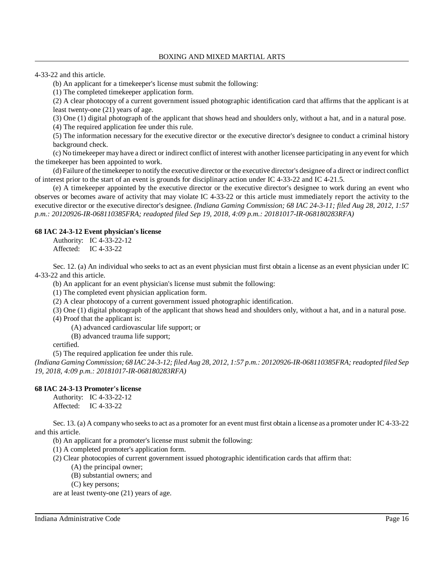4-33-22 and this article.

(b) An applicant for a timekeeper's license must submit the following:

(1) The completed timekeeper application form.

(2) A clear photocopy of a current government issued photographic identification card that affirms that the applicant is at least twenty-one (21) years of age.

(3) One (1) digital photograph of the applicant that shows head and shoulders only, without a hat, and in a natural pose.

(4) The required application fee under this rule.

(5) The information necessary for the executive director or the executive director's designee to conduct a criminal history background check.

(c) No timekeeper may have a direct or indirect conflict of interest with another licensee participating in any event for which the timekeeper has been appointed to work.

(d) Failure ofthe timekeeper to notify the executive director or the executive director's designee of a direct or indirect conflict of interest prior to the start of an event is grounds for disciplinary action under IC 4-33-22 and IC 4-21.5.

(e) A timekeeper appointed by the executive director or the executive director's designee to work during an event who observes or becomes aware of activity that may violate IC 4-33-22 or this article must immediately report the activity to the executive director or the executive director's designee. *(Indiana Gaming Commission; 68 IAC 24-3-11; filed Aug 28, 2012, 1:57 p.m.: 20120926-IR-068110385FRA; readopted filed Sep 19, 2018, 4:09 p.m.: 20181017-IR-068180283RFA)*

# **68 IAC 24-3-12 Event physician's license**

Authority: IC 4-33-22-12 Affected: IC 4-33-22

Sec. 12. (a) An individual who seeks to act as an event physician must first obtain a license as an event physician under IC 4-33-22 and this article.

(b) An applicant for an event physician's license must submit the following:

(1) The completed event physician application form.

(2) A clear photocopy of a current government issued photographic identification.

(3) One (1) digital photograph of the applicant that shows head and shoulders only, without a hat, and in a natural pose.

(4) Proof that the applicant is:

(A) advanced cardiovascular life support; or

(B) advanced trauma life support;

certified.

(5) The required application fee under this rule.

(Indiana Gaming Commission; 68 IAC 24-3-12; filed Aug 28, 2012, 1:57 p.m.: 20120926-IR-068110385FRA; readopted filed Sep *19, 2018, 4:09 p.m.: 20181017-IR-068180283RFA)*

# **68 IAC 24-3-13 Promoter's license**

Authority: IC 4-33-22-12 Affected: IC 4-33-22

Sec. 13. (a) A company who seeks to act as a promoter for an event must first obtain a license as a promoter under IC 4-33-22 and this article.

(b) An applicant for a promoter's license must submit the following:

(1) A completed promoter's application form.

(2) Clear photocopies of current government issued photographic identification cards that affirm that:

(A) the principal owner;

(B) substantial owners; and

(C) key persons;

are at least twenty-one (21) years of age.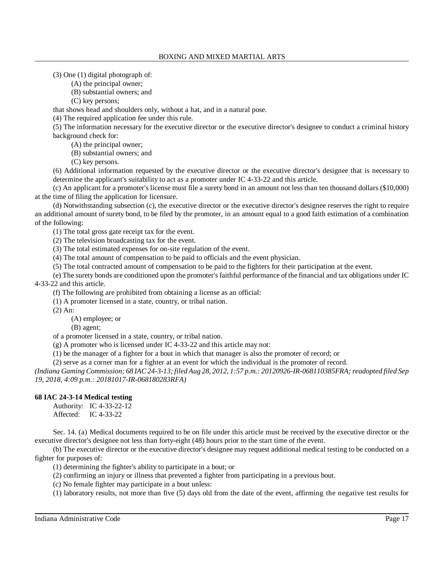(3) One (1) digital photograph of:

(A) the principal owner;

(B) substantial owners; and

(C) key persons;

that shows head and shoulders only, without a hat, and in a natural pose.

(4) The required application fee under this rule.

(5) The information necessary for the executive director or the executive director's designee to conduct a criminal history background check for:

(A) the principal owner;

(B) substantial owners; and

(C) key persons.

(6) Additional information requested by the executive director or the executive director's designee that is necessary to determine the applicant's suitability to act as a promoter under IC 4-33-22 and this article.

(c) An applicant for a promoter's license must file a surety bond in an amount not less than ten thousand dollars (\$10,000) at the time of filing the application for licensure.

(d) Notwithstanding subsection (c), the executive director or the executive director's designee reserves the right to require an additional amount of surety bond, to be filed by the promoter, in an amount equal to a good faith estimation of a combination of the following:

(1) The total gross gate receipt tax for the event.

(2) The television broadcasting tax for the event.

(3) The total estimated expenses for on-site regulation of the event.

(4) The total amount of compensation to be paid to officials and the event physician.

(5) The total contracted amount of compensation to be paid to the fighters for their participation at the event.

(e) The surety bonds are conditioned upon the promoter's faithful performance of the financial and tax obligations under IC 4-33-22 and this article.

(f) The following are prohibited from obtaining a license as an official:

(1) A promoter licensed in a state, country, or tribal nation.

(2) An:

(A) employee; or

(B) agent;

of a promoter licensed in a state, country, or tribal nation.

(g) A promoter who is licensed under IC 4-33-22 and this article may not:

(1) be the manager of a fighter for a bout in which that manager is also the promoter of record; or

(2) serve as a corner man for a fighter at an event for which the individual is the promoter of record.

(Indiana Gaming Commission; 68 IAC 24-3-13; filed Aug 28, 2012, 1:57 p.m.: 20120926-IR-068110385FRA; readopted filed Sep *19, 2018, 4:09 p.m.: 20181017-IR-068180283RFA)*

# **68 IAC 24-3-14 Medical testing**

Authority: IC 4-33-22-12 Affected: IC 4-33-22

Sec. 14. (a) Medical documents required to be on file under this article must be received by the executive director or the executive director's designee not less than forty-eight (48) hours prior to the start time of the event.

(b) The executive director or the executive director's designee may request additional medical testing to be conducted on a fighter for purposes of:

(1) determining the fighter's ability to participate in a bout; or

(2) confirming an injury or illness that prevented a fighter from participating in a previous bout.

(c) No female fighter may participate in a bout unless:

(1) laboratory results, not more than five (5) days old from the date of the event, affirming the negative test results for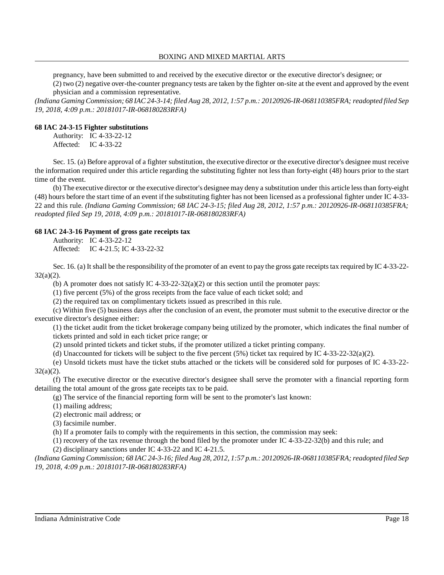pregnancy, have been submitted to and received by the executive director or the executive director's designee; or (2) two (2) negative over-the-counter pregnancy tests are taken by the fighter on-site at the event and approved by the event physician and a commission representative.

(Indiana Gaming Commission; 68 IAC 24-3-14; filed Aug 28, 2012, 1:57 p.m.: 20120926-IR-068110385FRA; readopted filed Sep *19, 2018, 4:09 p.m.: 20181017-IR-068180283RFA)*

# **68 IAC 24-3-15 Fighter substitutions**

Authority: IC 4-33-22-12 Affected: IC 4-33-22

Sec. 15. (a) Before approval of a fighter substitution, the executive director or the executive director's designee must receive the information required under this article regarding the substituting fighter not less than forty-eight (48) hours prior to the start time of the event.

(b) The executive director or the executive director's designee may deny a substitution under this article lessthan forty-eight (48) hours before the start time of an event if the substituting fighter has not been licensed as a professional fighter under IC 4-33- 22 and this rule. *(Indiana Gaming Commission; 68 IAC 24-3-15; filed Aug 28, 2012, 1:57 p.m.: 20120926-IR-068110385FRA; readopted filed Sep 19, 2018, 4:09 p.m.: 20181017-IR-068180283RFA)*

# **68 IAC 24-3-16 Payment of gross gate receipts tax**

Authority: IC 4-33-22-12 Affected: IC 4-21.5; IC 4-33-22-32

Sec. 16. (a) It shall be the responsibility of the promoter of an event to pay the gross gate receipts tax required by IC 4-33-22-32(a)(2).

(b) A promoter does not satisfy IC  $4-33-22-32(a)(2)$  or this section until the promoter pays:

(1) five percent (5%) of the gross receipts from the face value of each ticket sold; and

(2) the required tax on complimentary tickets issued as prescribed in this rule.

(c) Within five (5) business days after the conclusion of an event, the promoter must submit to the executive director or the executive director's designee either:

(1) the ticket audit from the ticket brokerage company being utilized by the promoter, which indicates the final number of tickets printed and sold in each ticket price range; or

(2) unsold printed tickets and ticket stubs, if the promoter utilized a ticket printing company.

(d) Unaccounted for tickets will be subject to the five percent (5%) ticket tax required by IC 4-33-22-32(a)(2).

(e) Unsold tickets must have the ticket stubs attached or the tickets will be considered sold for purposes of IC 4-33-22- 32(a)(2).

(f) The executive director or the executive director's designee shall serve the promoter with a financial reporting form detailing the total amount of the gross gate receipts tax to be paid.

(g) The service of the financial reporting form will be sent to the promoter's last known:

(1) mailing address;

(2) electronic mail address; or

(3) facsimile number.

(h) If a promoter fails to comply with the requirements in this section, the commission may seek:

(1) recovery of the tax revenue through the bond filed by the promoter under IC 4-33-22-32(b) and this rule; and

(2) disciplinary sanctions under IC 4-33-22 and IC 4-21.5.

*(Indiana Gaming Commission; 68 IAC 24-3-16; filed Aug 28, 2012, 1:57 p.m.: 20120926-IR-068110385FRA;readopted filed Sep 19, 2018, 4:09 p.m.: 20181017-IR-068180283RFA)*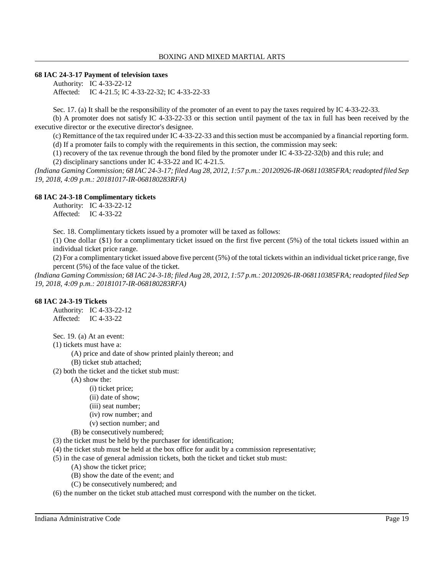### **68 IAC 24-3-17 Payment of television taxes**

Authority: IC 4-33-22-12 Affected: IC 4-21.5; IC 4-33-22-32; IC 4-33-22-33

Sec. 17. (a) It shall be the responsibility of the promoter of an event to pay the taxes required by IC 4-33-22-33.

(b) A promoter does not satisfy IC 4-33-22-33 or this section until payment of the tax in full has been received by the executive director or the executive director's designee.

(c) Remittance of the tax required under IC 4-33-22-33 and thissection must be accompanied by a financial reporting form.

(d) If a promoter fails to comply with the requirements in this section, the commission may seek:

(1) recovery of the tax revenue through the bond filed by the promoter under IC 4-33-22-32(b) and this rule; and

(2) disciplinary sanctions under IC 4-33-22 and IC 4-21.5.

*(Indiana Gaming Commission; 68 IAC 24-3-17; filed Aug 28, 2012, 1:57 p.m.: 20120926-IR-068110385FRA;readopted filed Sep 19, 2018, 4:09 p.m.: 20181017-IR-068180283RFA)*

# **68 IAC 24-3-18 Complimentary tickets**

Authority: IC 4-33-22-12 Affected: IC 4-33-22

Sec. 18. Complimentary tickets issued by a promoter will be taxed as follows:

(1) One dollar (\$1) for a complimentary ticket issued on the first five percent (5%) of the total tickets issued within an individual ticket price range.

(2) For a complimentary ticket issued above five percent (5%) of the total tickets within an individual ticket price range, five percent (5%) of the face value of the ticket.

*(Indiana Gaming Commission; 68 IAC 24-3-18; filed Aug 28, 2012, 1:57 p.m.: 20120926-IR-068110385FRA;readopted filed Sep 19, 2018, 4:09 p.m.: 20181017-IR-068180283RFA)*

# **68 IAC 24-3-19 Tickets**

Authority: IC 4-33-22-12 Affected: IC 4-33-22

Sec. 19. (a) At an event:

(1) tickets must have a:

(A) price and date of show printed plainly thereon; and

(B) ticket stub attached;

(2) both the ticket and the ticket stub must:

(A) show the:

- (i) ticket price;
- (ii) date of show;
- (iii) seat number;
- (iv) row number; and
- (v) section number; and
- (B) be consecutively numbered;
- (3) the ticket must be held by the purchaser for identification;
- (4) the ticket stub must be held at the box office for audit by a commission representative;
- (5) in the case of general admission tickets, both the ticket and ticket stub must:
	- (A) show the ticket price;
	- (B) show the date of the event; and
	- (C) be consecutively numbered; and

(6) the number on the ticket stub attached must correspond with the number on the ticket.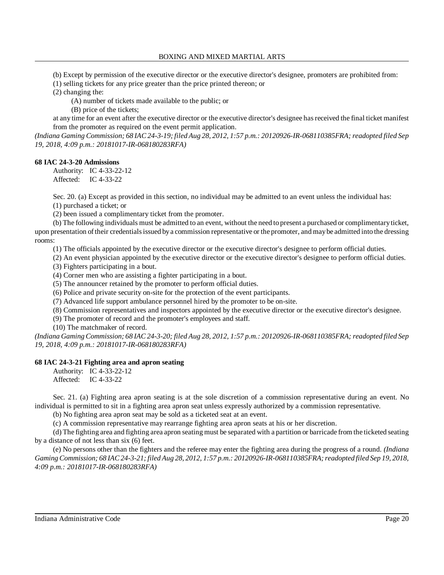(b) Except by permission of the executive director or the executive director's designee, promoters are prohibited from:

(1) selling tickets for any price greater than the price printed thereon; or

(2) changing the:

(A) number of tickets made available to the public; or

(B) price of the tickets;

at any time for an event after the executive director or the executive director's designee hasreceived the final ticket manifest from the promoter as required on the event permit application.

(Indiana Gaming Commission; 68 IAC 24-3-19; filed Aug 28, 2012, 1:57 p.m.: 20120926-IR-068110385FRA; readopted filed Sep *19, 2018, 4:09 p.m.: 20181017-IR-068180283RFA)*

### **68 IAC 24-3-20 Admissions**

Authority: IC 4-33-22-12 Affected: IC 4-33-22

Sec. 20. (a) Except as provided in this section, no individual may be admitted to an event unless the individual has:

(1) purchased a ticket; or

(2) been issued a complimentary ticket from the promoter.

(b) The following individuals must be admitted to an event, without the need to present a purchased or complimentaryticket, upon presentation oftheir credentialsissued bya commission representative or the promoter, and maybe admitted into the dressing rooms:

(1) The officials appointed by the executive director or the executive director's designee to perform official duties.

(2) An event physician appointed by the executive director or the executive director's designee to perform official duties.

(3) Fighters participating in a bout.

(4) Corner men who are assisting a fighter participating in a bout.

(5) The announcer retained by the promoter to perform official duties.

(6) Police and private security on-site for the protection of the event participants.

(7) Advanced life support ambulance personnel hired by the promoter to be on-site.

(8) Commission representatives and inspectors appointed by the executive director or the executive director's designee.

(9) The promoter of record and the promoter's employees and staff.

(10) The matchmaker of record.

(Indiana Gaming Commission; 68 IAC 24-3-20; filed Aug 28, 2012, 1:57 p.m.; 20120926-IR-068110385FRA; readopted filed Sep *19, 2018, 4:09 p.m.: 20181017-IR-068180283RFA)*

# **68 IAC 24-3-21 Fighting area and apron seating**

Authority: IC 4-33-22-12 Affected: IC 4-33-22

Sec. 21. (a) Fighting area apron seating is at the sole discretion of a commission representative during an event. No individual is permitted to sit in a fighting area apron seat unless expressly authorized by a commission representative.

(b) No fighting area apron seat may be sold as a ticketed seat at an event.

(c) A commission representative may rearrange fighting area apron seats at his or her discretion.

(d) The fighting area and fighting area apron seating must be separated with a partition or barricade from the ticketed seating by a distance of not less than six (6) feet.

(e) No persons other than the fighters and the referee may enter the fighting area during the progress of a round. *(Indiana* Gaming Commission; 68 IAC 24-3-21; filed Aug 28, 2012, 1:57 p.m.: 20120926-IR-068110385FRA; readopted filed Sep 19, 2018, *4:09 p.m.: 20181017-IR-068180283RFA)*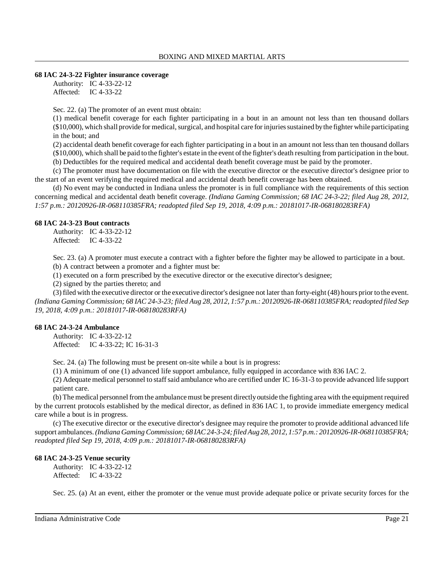#### **68 IAC 24-3-22 Fighter insurance coverage**

Authority: IC 4-33-22-12 Affected: IC 4-33-22

Sec. 22. (a) The promoter of an event must obtain:

(1) medical benefit coverage for each fighter participating in a bout in an amount not less than ten thousand dollars (\$10,000), which shall provide for medical, surgical, and hospital care for injuries sustained by the fighter while participating in the bout; and

(2) accidental death benefit coverage for each fighter participating in a bout in an amount not less than ten thousand dollars (\$10,000), which shall be paid to the fighter's estate in the event ofthe fighter's death resulting from participation in the bout.

(b) Deductibles for the required medical and accidental death benefit coverage must be paid by the promoter.

(c) The promoter must have documentation on file with the executive director or the executive director's designee prior to the start of an event verifying the required medical and accidental death benefit coverage has been obtained.

(d) No event may be conducted in Indiana unless the promoter is in full compliance with the requirements of this section concerning medical and accidental death benefit coverage. *(Indiana Gaming Commission; 68 IAC 24-3-22; filed Aug 28, 2012, 1:57 p.m.: 20120926-IR-068110385FRA; readopted filed Sep 19, 2018, 4:09 p.m.: 20181017-IR-068180283RFA)*

### **68 IAC 24-3-23 Bout contracts**

Authority: IC 4-33-22-12 Affected: IC 4-33-22

Sec. 23. (a) A promoter must execute a contract with a fighter before the fighter may be allowed to participate in a bout. (b) A contract between a promoter and a fighter must be:

(1) executed on a form prescribed by the executive director or the executive director's designee;

(2) signed by the parties thereto; and

(3) filed with the executive director or the executive director's designee not later than forty-eight (48) hours prior to the event. *(Indiana Gaming Commission; 68 IAC 24-3-23; filed Aug 28, 2012, 1:57 p.m.: 20120926-IR-068110385FRA;readopted filed Sep 19, 2018, 4:09 p.m.: 20181017-IR-068180283RFA)*

# **68 IAC 24-3-24 Ambulance**

Authority: IC 4-33-22-12 Affected: IC 4-33-22; IC 16-31-3

Sec. 24. (a) The following must be present on-site while a bout is in progress:

(1) A minimum of one (1) advanced life support ambulance, fully equipped in accordance with 836 IAC 2.

(2) Adequate medical personnel to staffsaid ambulance who are certified under IC 16-31-3 to provide advanced life support patient care.

(b) The medical personnel from the ambulance must be present directly outside the fighting area with the equipment required by the current protocols established by the medical director, as defined in 836 IAC 1, to provide immediate emergency medical care while a bout is in progress.

(c) The executive director or the executive director's designee may require the promoter to provide additional advanced life support ambulances.*(Indiana Gaming Commission; 68 IAC24-3-24;filedAug 28, 2012, 1:57 p.m.: 20120926-IR-068110385FRA; readopted filed Sep 19, 2018, 4:09 p.m.: 20181017-IR-068180283RFA)*

### **68 IAC 24-3-25 Venue security**

Authority: IC 4-33-22-12 Affected: IC 4-33-22

Sec. 25. (a) At an event, either the promoter or the venue must provide adequate police or private security forces for the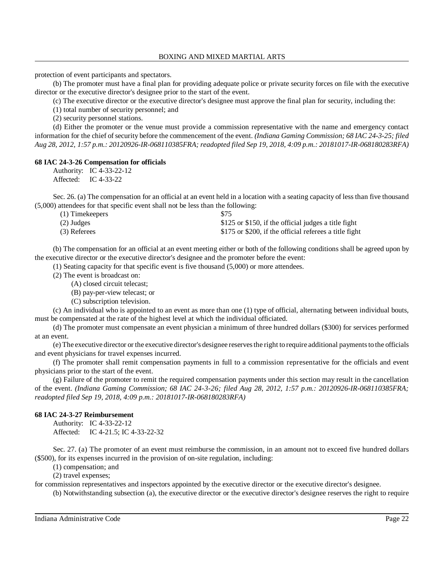protection of event participants and spectators.

(b) The promoter must have a final plan for providing adequate police or private security forces on file with the executive director or the executive director's designee prior to the start of the event.

(c) The executive director or the executive director's designee must approve the final plan for security, including the:

(1) total number of security personnel; and

(2) security personnel stations.

(d) Either the promoter or the venue must provide a commission representative with the name and emergency contact information for the chief ofsecurity before the commencement of the event. *(Indiana Gaming Commission; 68 IAC 24-3-25; filed Aug 28, 2012, 1:57 p.m.: 20120926-IR-068110385FRA; readopted filed Sep 19, 2018, 4:09 p.m.: 20181017-IR-068180283RFA)*

#### **68 IAC 24-3-26 Compensation for officials**

Authority: IC 4-33-22-12 Affected: IC 4-33-22

Sec. 26. (a) The compensation for an official at an event held in a location with a seating capacity of less than five thousand (5,000) attendees for that specific event shall not be less than the following:

| $(1)$ Timekeepers | \$75                                                   |
|-------------------|--------------------------------------------------------|
| $(2)$ Judges      | \$125 or \$150, if the official judges a title fight   |
| (3) Referees      | \$175 or \$200, if the official referees a title fight |

(b) The compensation for an official at an event meeting either or both of the following conditions shall be agreed upon by the executive director or the executive director's designee and the promoter before the event:

(1) Seating capacity for that specific event is five thousand (5,000) or more attendees.

(2) The event is broadcast on:

(A) closed circuit telecast;

(B) pay-per-view telecast; or

(C) subscription television.

(c) An individual who is appointed to an event as more than one (1) type of official, alternating between individual bouts, must be compensated at the rate of the highest level at which the individual officiated.

(d) The promoter must compensate an event physician a minimum of three hundred dollars (\$300) for services performed at an event.

(e) The executive director or the executive director's designee reservesthe right to require additional paymentsto the officials and event physicians for travel expenses incurred.

(f) The promoter shall remit compensation payments in full to a commission representative for the officials and event physicians prior to the start of the event.

(g) Failure of the promoter to remit the required compensation payments under this section may result in the cancellation of the event. *(Indiana Gaming Commission; 68 IAC 24-3-26; filed Aug 28, 2012, 1:57 p.m.: 20120926-IR-068110385FRA; readopted filed Sep 19, 2018, 4:09 p.m.: 20181017-IR-068180283RFA)*

### **68 IAC 24-3-27 Reimbursement**

Authority: IC 4-33-22-12 Affected: IC 4-21.5; IC 4-33-22-32

Sec. 27. (a) The promoter of an event must reimburse the commission, in an amount not to exceed five hundred dollars (\$500), for its expenses incurred in the provision of on-site regulation, including:

(1) compensation; and

(2) travel expenses;

for commission representatives and inspectors appointed by the executive director or the executive director's designee.

(b) Notwithstanding subsection (a), the executive director or the executive director's designee reserves the right to require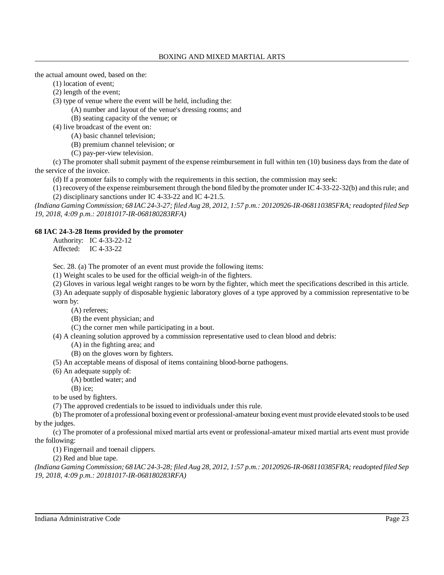the actual amount owed, based on the:

(1) location of event;

(2) length of the event;

(3) type of venue where the event will be held, including the:

(A) number and layout of the venue's dressing rooms; and

(B) seating capacity of the venue; or

(4) live broadcast of the event on:

(A) basic channel television;

(B) premium channel television; or

(C) pay-per-view television.

(c) The promoter shall submit payment of the expense reimbursement in full within ten (10) business days from the date of the service of the invoice.

(d) If a promoter fails to comply with the requirements in this section, the commission may seek:

(1) recovery of the expense reimbursement through the bond filed by the promoter under IC 4-33-22-32(b) and thisrule; and (2) disciplinary sanctions under IC 4-33-22 and IC 4-21.5.

(Indiana Gaming Commission; 68 IAC 24-3-27; filed Aug 28, 2012, 1:57 p.m.: 20120926-IR-068110385FRA; readopted filed Sep *19, 2018, 4:09 p.m.: 20181017-IR-068180283RFA)*

# **68 IAC 24-3-28 Items provided by the promoter**

Authority: IC 4-33-22-12 Affected: IC 4-33-22

Sec. 28. (a) The promoter of an event must provide the following items:

(1) Weight scales to be used for the official weigh-in of the fighters.

(2) Gloves in various legal weight ranges to be worn by the fighter, which meet the specifications described in this article.

(3) An adequate supply of disposable hygienic laboratory gloves of a type approved by a commission representative to be worn by:

(A) referees;

(B) the event physician; and

(C) the corner men while participating in a bout.

(4) A cleaning solution approved by a commission representative used to clean blood and debris:

(A) in the fighting area; and

(B) on the gloves worn by fighters.

(5) An acceptable means of disposal of items containing blood-borne pathogens.

(6) An adequate supply of:

(A) bottled water; and

(B) ice;

to be used by fighters.

(7) The approved credentials to be issued to individuals under this rule.

(b) The promoter of a professional boxing event or professional-amateur boxing event must provide elevated stoolsto be used by the judges.

(c) The promoter of a professional mixed martial arts event or professional-amateur mixed martial arts event must provide the following:

(1) Fingernail and toenail clippers.

(2) Red and blue tape.

(Indiana Gaming Commission; 68 IAC 24-3-28; filed Aug 28, 2012, 1:57 p.m.: 20120926-IR-068110385FRA; readopted filed Sep *19, 2018, 4:09 p.m.: 20181017-IR-068180283RFA)*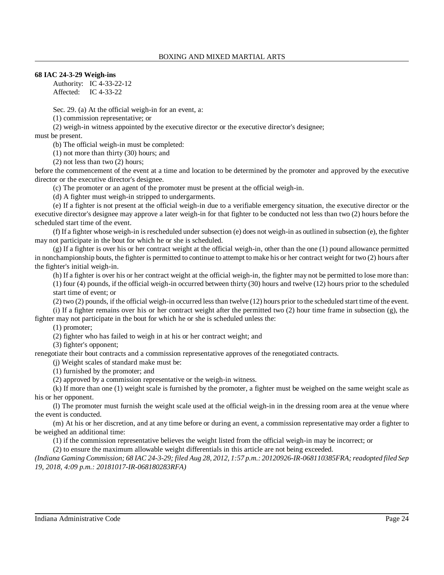# **68 IAC 24-3-29 Weigh-ins**

Authority: IC 4-33-22-12 Affected: IC 4-33-22

Sec. 29. (a) At the official weigh-in for an event, a:

(1) commission representative; or

(2) weigh-in witness appointed by the executive director or the executive director's designee;

must be present.

(b) The official weigh-in must be completed:

(1) not more than thirty (30) hours; and

(2) not less than two (2) hours;

before the commencement of the event at a time and location to be determined by the promoter and approved by the executive director or the executive director's designee.

(c) The promoter or an agent of the promoter must be present at the official weigh-in.

(d) A fighter must weigh-in stripped to undergarments.

(e) If a fighter is not present at the official weigh-in due to a verifiable emergency situation, the executive director or the executive director's designee may approve a later weigh-in for that fighter to be conducted not less than two (2) hours before the scheduled start time of the event.

(f) If a fighter whose weigh-in isrescheduled under subsection (e) does not weigh-in as outlined in subsection (e), the fighter may not participate in the bout for which he or she is scheduled.

 $(g)$  If a fighter is over his or her contract weight at the official weigh-in, other than the one (1) pound allowance permitted in nonchampionship bouts, the fighter is permitted to continue to attempt to make his or her contract weight for two (2) hours after the fighter's initial weigh-in.

(h) If a fighter is over his or her contract weight at the official weigh-in, the fighter may not be permitted to lose more than: (1) four (4) pounds, if the official weigh-in occurred between thirty (30) hours and twelve (12) hours prior to the scheduled start time of event; or

(2) two (2) pounds, if the official weigh-in occurred lessthan twelve (12) hours prior to the scheduled start time of the event. (i) If a fighter remains over his or her contract weight after the permitted two  $(2)$  hour time frame in subsection  $(g)$ , the

fighter may not participate in the bout for which he or she is scheduled unless the:

(1) promoter;

(2) fighter who has failed to weigh in at his or her contract weight; and

(3) fighter's opponent;

renegotiate their bout contracts and a commission representative approves of the renegotiated contracts.

(j) Weight scales of standard make must be:

(1) furnished by the promoter; and

(2) approved by a commission representative or the weigh-in witness.

(k) If more than one (1) weight scale is furnished by the promoter, a fighter must be weighed on the same weight scale as his or her opponent.

(l) The promoter must furnish the weight scale used at the official weigh-in in the dressing room area at the venue where the event is conducted.

(m) At his or her discretion, and at any time before or during an event, a commission representative may order a fighter to be weighed an additional time:

(1) if the commission representative believes the weight listed from the official weigh-in may be incorrect; or

(2) to ensure the maximum allowable weight differentials in this article are not being exceeded.

*(Indiana Gaming Commission; 68 IAC 24-3-29; filed Aug 28, 2012, 1:57 p.m.: 20120926-IR-068110385FRA;readopted filed Sep 19, 2018, 4:09 p.m.: 20181017-IR-068180283RFA)*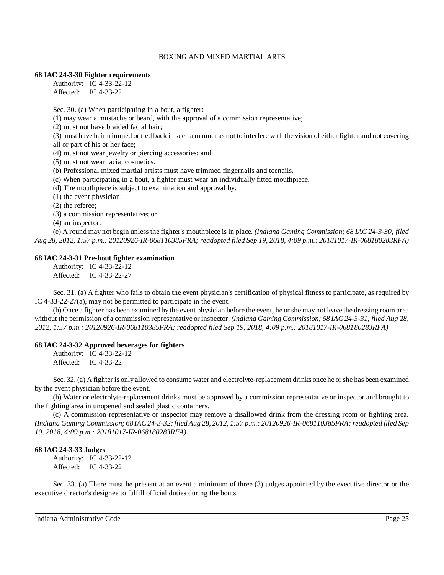#### **68 IAC 24-3-30 Fighter requirements**

Authority: IC 4-33-22-12 Affected: IC 4-33-22

Sec. 30. (a) When participating in a bout, a fighter:

(1) may wear a mustache or beard, with the approval of a commission representative;

(2) must not have braided facial hair;

(3) must have hair trimmed or tied back in such a manner as not to interfere with the vision of either fighter and not covering all or part of his or her face;

(4) must not wear jewelry or piercing accessories; and

(5) must not wear facial cosmetics.

(b) Professional mixed martial artists must have trimmed fingernails and toenails.

(c) When participating in a bout, a fighter must wear an individually fitted mouthpiece.

(d) The mouthpiece is subject to examination and approval by:

(1) the event physician;

(2) the referee;

(3) a commission representative; or

(4) an inspector.

(e) A round may not begin unless the fighter's mouthpiece is in place. *(Indiana Gaming Commission; 68 IAC 24-3-30; filed Aug 28, 2012, 1:57 p.m.: 20120926-IR-068110385FRA; readopted filed Sep 19, 2018, 4:09 p.m.: 20181017-IR-068180283RFA)*

### **68 IAC 24-3-31 Pre-bout fighter examination**

Authority: IC 4-33-22-12 Affected: IC 4-33-22-27

Sec. 31. (a) A fighter who fails to obtain the event physician's certification of physical fitness to participate, as required by IC 4-33-22-27(a), may not be permitted to participate in the event.

(b) Once a fighter has been examined by the event physician before the event, he or she may not leave the dressing room area without the permission of a commission representative or inspector. *(Indiana Gaming Commission; 68 IAC 24-3-31; filed Aug 28, 2012, 1:57 p.m.: 20120926-IR-068110385FRA; readopted filed Sep 19, 2018, 4:09 p.m.: 20181017-IR-068180283RFA)*

### **68 IAC 24-3-32 Approved beverages for fighters**

Authority: IC 4-33-22-12 Affected: IC 4-33-22

Sec. 32. (a) A fighter is only allowed to consume water and electrolyte-replacement drinks once he orshe has been examined by the event physician before the event.

(b) Water or electrolyte-replacement drinks must be approved by a commission representative or inspector and brought to the fighting area in unopened and sealed plastic containers.

(c) A commission representative or inspector may remove a disallowed drink from the dressing room or fighting area. (Indiana Gaming Commission; 68 IAC 24-3-32; filed Aug 28, 2012, 1:57 p.m.: 20120926-IR-068110385FRA; readopted filed Sep *19, 2018, 4:09 p.m.: 20181017-IR-068180283RFA)*

#### **68 IAC 24-3-33 Judges**

Authority: IC 4-33-22-12 Affected: IC 4-33-22

Sec. 33. (a) There must be present at an event a minimum of three (3) judges appointed by the executive director or the executive director's designee to fulfill official duties during the bouts.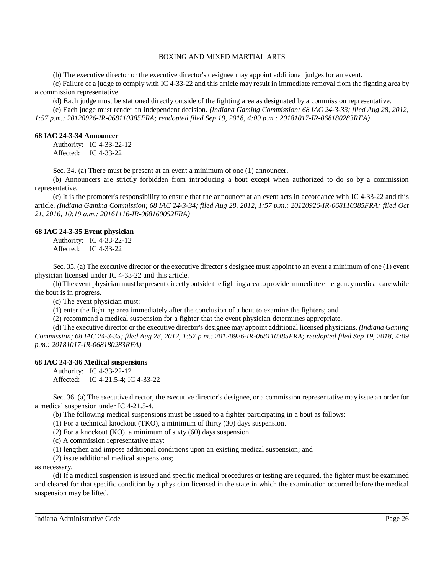(b) The executive director or the executive director's designee may appoint additional judges for an event.

(c) Failure of a judge to comply with IC 4-33-22 and this article may result in immediate removal from the fighting area by a commission representative.

(d) Each judge must be stationed directly outside of the fighting area as designated by a commission representative.

(e) Each judge must render an independent decision. *(Indiana Gaming Commission; 68 IAC 24-3-33; filed Aug 28, 2012, 1:57 p.m.: 20120926-IR-068110385FRA; readopted filed Sep 19, 2018, 4:09 p.m.: 20181017-IR-068180283RFA)*

### **68 IAC 24-3-34 Announcer**

Authority: IC 4-33-22-12 Affected: IC 4-33-22

Sec. 34. (a) There must be present at an event a minimum of one (1) announcer.

(b) Announcers are strictly forbidden from introducing a bout except when authorized to do so by a commission representative.

(c) It is the promoter's responsibility to ensure that the announcer at an event acts in accordance with IC 4-33-22 and this article. *(Indiana Gaming Commission; 68 IAC 24-3-34; filed Aug 28, 2012, 1:57 p.m.: 20120926-IR-068110385FRA; filed Oct 21, 2016, 10:19 a.m.: 20161116-IR-068160052FRA)*

# **68 IAC 24-3-35 Event physician**

Authority: IC 4-33-22-12 Affected: IC 4-33-22

Sec. 35. (a) The executive director or the executive director's designee must appoint to an event a minimum of one (1) event physician licensed under IC 4-33-22 and this article.

(b) The event physician must be present directlyoutside the fighting area toprovide immediate emergencymedical care while the bout is in progress.

(c) The event physician must:

(1) enter the fighting area immediately after the conclusion of a bout to examine the fighters; and

(2) recommend a medical suspension for a fighter that the event physician determines appropriate.

(d) The executive director or the executive director's designee may appoint additional licensed physicians. *(Indiana Gaming Commission; 68 IAC 24-3-35; filed Aug 28, 2012, 1:57 p.m.: 20120926-IR-068110385FRA; readopted filed Sep 19, 2018, 4:09 p.m.: 20181017-IR-068180283RFA)*

# **68 IAC 24-3-36 Medical suspensions**

Authority: IC 4-33-22-12 Affected: IC 4-21.5-4; IC 4-33-22

Sec. 36. (a) The executive director, the executive director's designee, or a commission representative may issue an order for a medical suspension under IC 4-21.5-4.

(b) The following medical suspensions must be issued to a fighter participating in a bout as follows:

(1) For a technical knockout (TKO), a minimum of thirty (30) days suspension.

(2) For a knockout (KO), a minimum of sixty (60) days suspension.

(c) A commission representative may:

(1) lengthen and impose additional conditions upon an existing medical suspension; and

(2) issue additional medical suspensions;

### as necessary.

(d) If a medical suspension is issued and specific medical procedures or testing are required, the fighter must be examined and cleared for that specific condition by a physician licensed in the state in which the examination occurred before the medical suspension may be lifted.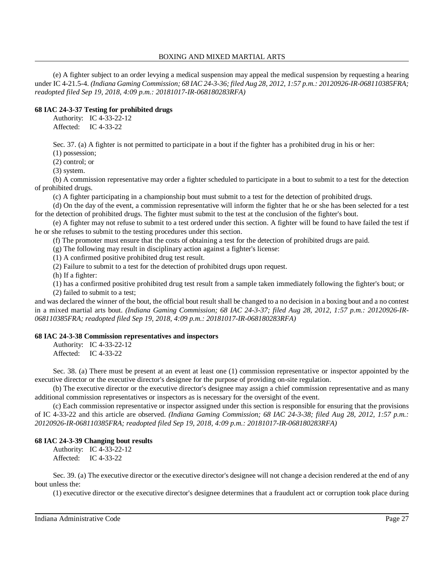(e) A fighter subject to an order levying a medical suspension may appeal the medical suspension by requesting a hearing under IC 4-21.5-4. *(Indiana Gaming Commission; 68 IAC 24-3-36; filed Aug 28, 2012, 1:57 p.m.: 20120926-IR-068110385FRA; readopted filed Sep 19, 2018, 4:09 p.m.: 20181017-IR-068180283RFA)*

# **68 IAC 24-3-37 Testing for prohibited drugs**

Authority: IC 4-33-22-12 Affected: IC 4-33-22

Sec. 37. (a) A fighter is not permitted to participate in a bout if the fighter has a prohibited drug in his or her:

(1) possession;

(2) control; or

(3) system.

(b) A commission representative may order a fighter scheduled to participate in a bout to submit to a test for the detection of prohibited drugs.

(c) A fighter participating in a championship bout must submit to a test for the detection of prohibited drugs.

(d) On the day of the event, a commission representative will inform the fighter that he or she has been selected for a test for the detection of prohibited drugs. The fighter must submit to the test at the conclusion of the fighter's bout.

(e) A fighter may not refuse to submit to a test ordered under this section. A fighter will be found to have failed the test if he or she refuses to submit to the testing procedures under this section.

(f) The promoter must ensure that the costs of obtaining a test for the detection of prohibited drugs are paid.

(g) The following may result in disciplinary action against a fighter's license:

(1) A confirmed positive prohibited drug test result.

(2) Failure to submit to a test for the detection of prohibited drugs upon request.

(h) If a fighter:

(1) has a confirmed positive prohibited drug test result from a sample taken immediately following the fighter's bout; or (2) failed to submit to a test;

and was declared the winner of the bout, the official bout result shall be changed to a no decision in a boxing bout and a no contest in a mixed martial arts bout. *(Indiana Gaming Commission; 68 IAC 24-3-37; filed Aug 28, 2012, 1:57 p.m.: 20120926-IR-068110385FRA; readopted filed Sep 19, 2018, 4:09 p.m.: 20181017-IR-068180283RFA)*

# **68 IAC 24-3-38 Commission representatives and inspectors**

Authority: IC 4-33-22-12 Affected: IC 4-33-22

Sec. 38. (a) There must be present at an event at least one (1) commission representative or inspector appointed by the executive director or the executive director's designee for the purpose of providing on-site regulation.

(b) The executive director or the executive director's designee may assign a chief commission representative and as many additional commission representatives or inspectors as is necessary for the oversight of the event.

(c) Each commission representative or inspector assigned under this section is responsible for ensuring that the provisions of IC 4-33-22 and this article are observed. *(Indiana Gaming Commission; 68 IAC 24-3-38; filed Aug 28, 2012, 1:57 p.m.: 20120926-IR-068110385FRA; readopted filed Sep 19, 2018, 4:09 p.m.: 20181017-IR-068180283RFA)*

# **68 IAC 24-3-39 Changing bout results**

Authority: IC 4-33-22-12 Affected: IC 4-33-22

Sec. 39. (a) The executive director or the executive director's designee will not change a decision rendered at the end of any bout unless the:

(1) executive director or the executive director's designee determines that a fraudulent act or corruption took place during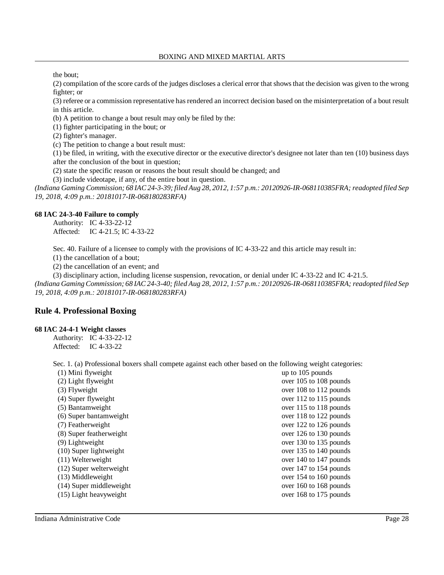the bout;

(2) compilation of the score cards of the judges discloses a clerical error that showsthat the decision was given to the wrong fighter; or

(3) referee or a commission representative hasrendered an incorrect decision based on the misinterpretation of a bout result in this article.

(b) A petition to change a bout result may only be filed by the:

(1) fighter participating in the bout; or

(2) fighter's manager.

(c) The petition to change a bout result must:

(1) be filed, in writing, with the executive director or the executive director's designee not later than ten (10) business days after the conclusion of the bout in question;

(2) state the specific reason or reasons the bout result should be changed; and

(3) include videotape, if any, of the entire bout in question.

(Indiana Gaming Commission; 68 IAC 24-3-39; filed Aug 28, 2012, 1:57 p.m.: 20120926-IR-068110385FRA; readopted filed Sep *19, 2018, 4:09 p.m.: 20181017-IR-068180283RFA)*

### **68 IAC 24-3-40 Failure to comply**

Authority: IC 4-33-22-12 Affected: IC 4-21.5; IC 4-33-22

Sec. 40. Failure of a licensee to comply with the provisions of IC 4-33-22 and this article may result in:

(1) the cancellation of a bout;

(2) the cancellation of an event; and

(3) disciplinary action, including license suspension, revocation, or denial under IC 4-33-22 and IC 4-21.5. (Indiana Gaming Commission; 68 IAC 24-3-40; filed Aug 28, 2012, 1:57 p.m.; 20120926-IR-068110385FRA; readopted filed Sep *19, 2018, 4:09 p.m.: 20181017-IR-068180283RFA)*

# **Rule 4. Professional Boxing**

#### **68 IAC 24-4-1 Weight classes**

Authority: IC 4-33-22-12 Affected: IC 4-33-22

Sec. 1. (a) Professional boxers shall compete against each other based on the following weight categories:

| (1) Mini flyweight       | up to 105 pounds       |
|--------------------------|------------------------|
| (2) Light flyweight      | over 105 to 108 pounds |
| $(3)$ Flyweight          | over 108 to 112 pounds |
| (4) Super flyweight      | over 112 to 115 pounds |
| (5) Bantamweight         | over 115 to 118 pounds |
| (6) Super bantamweight   | over 118 to 122 pounds |
| (7) Featherweight        | over 122 to 126 pounds |
| (8) Super featherweight  | over 126 to 130 pounds |
| $(9)$ Lightweight        | over 130 to 135 pounds |
| $(10)$ Super lightweight | over 135 to 140 pounds |
| $(11)$ Welterweight      | over 140 to 147 pounds |
| (12) Super welterweight  | over 147 to 154 pounds |
| $(13)$ Middleweight      | over 154 to 160 pounds |
| (14) Super middleweight  | over 160 to 168 pounds |
| (15) Light heavyweight   | over 168 to 175 pounds |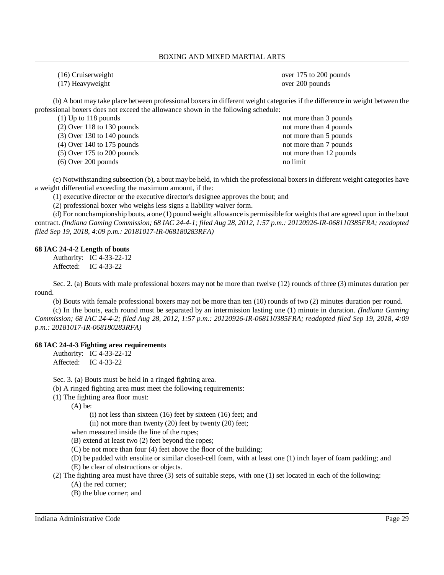(16) Cruiserweight over 175 to 200 pounds (17) Heavyweight over 200 pounds

(b) A bout may take place between professional boxers in different weight categories if the difference in weight between the professional boxers does not exceed the allowance shown in the following schedule:

(2) Over 118 to 130 pounds not more than 4 pounds not more than 4 pounds (3) Over 130 to 140 pounds not more than 5 pounds not more than 5 pounds (4) Over 140 to 175 pounds not more than 7 pounds (5) Over 175 to 200 pounds not more than 12 pounds not more than 12 pounds (6) Over 200 pounds no limit

(1) Up to 118 pounds not more than 3 pounds

(c) Notwithstanding subsection (b), a bout may be held, in which the professional boxers in different weight categories have a weight differential exceeding the maximum amount, if the:

(1) executive director or the executive director's designee approves the bout; and

(2) professional boxer who weighs less signs a liability waiver form.

(d) For nonchampionship bouts, a one (1) pound weight allowance is permissible for weightsthat are agreed upon in the bout contract. *(Indiana Gaming Commission; 68 IAC 24-4-1; filed Aug 28, 2012, 1:57 p.m.: 20120926-IR-068110385FRA; readopted filed Sep 19, 2018, 4:09 p.m.: 20181017-IR-068180283RFA)*

### **68 IAC 24-4-2 Length of bouts**

Authority: IC 4-33-22-12 Affected: IC 4-33-22

Sec. 2. (a) Bouts with male professional boxers may not be more than twelve (12) rounds of three (3) minutes duration per round.

(b) Bouts with female professional boxers may not be more than ten (10) rounds of two (2) minutes duration per round.

(c) In the bouts, each round must be separated by an intermission lasting one (1) minute in duration. *(Indiana Gaming Commission; 68 IAC 24-4-2; filed Aug 28, 2012, 1:57 p.m.: 20120926-IR-068110385FRA; readopted filed Sep 19, 2018, 4:09 p.m.: 20181017-IR-068180283RFA)*

### **68 IAC 24-4-3 Fighting area requirements**

Authority: IC 4-33-22-12 Affected: IC 4-33-22

Sec. 3. (a) Bouts must be held in a ringed fighting area.

(b) A ringed fighting area must meet the following requirements:

(1) The fighting area floor must:

 $(A)$  be:

(i) not less than sixteen (16) feet by sixteen (16) feet; and

(ii) not more than twenty (20) feet by twenty (20) feet;

when measured inside the line of the ropes;

(B) extend at least two (2) feet beyond the ropes;

(C) be not more than four (4) feet above the floor of the building;

(D) be padded with ensolite or similar closed-cell foam, with at least one (1) inch layer of foam padding; and

(E) be clear of obstructions or objects.

(2) The fighting area must have three (3) sets of suitable steps, with one (1) set located in each of the following:

(A) the red corner;

(B) the blue corner; and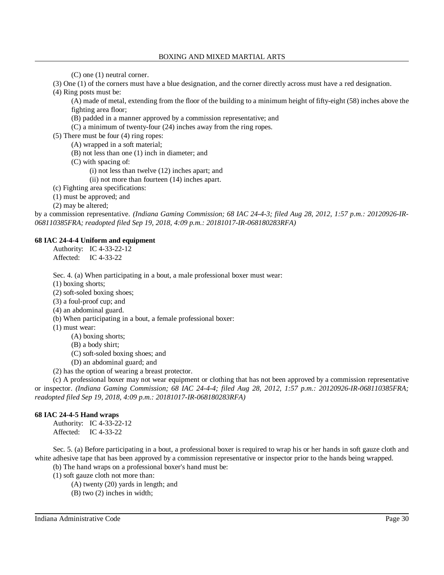(C) one (1) neutral corner.

(3) One (1) of the corners must have a blue designation, and the corner directly across must have a red designation.

(4) Ring posts must be:

(A) made of metal, extending from the floor of the building to a minimum height of fifty-eight (58) inches above the fighting area floor;

- (B) padded in a manner approved by a commission representative; and
- (C) a minimum of twenty-four (24) inches away from the ring ropes.

(5) There must be four (4) ring ropes:

(A) wrapped in a soft material;

- (B) not less than one (1) inch in diameter; and
- (C) with spacing of:
	- (i) not less than twelve (12) inches apart; and

(ii) not more than fourteen (14) inches apart.

(c) Fighting area specifications:

(1) must be approved; and

(2) may be altered;

by a commission representative. *(Indiana Gaming Commission; 68 IAC 24-4-3; filed Aug 28, 2012, 1:57 p.m.: 20120926-IR-068110385FRA; readopted filed Sep 19, 2018, 4:09 p.m.: 20181017-IR-068180283RFA)*

# **68 IAC 24-4-4 Uniform and equipment**

Authority: IC 4-33-22-12 Affected: IC 4-33-22

Sec. 4. (a) When participating in a bout, a male professional boxer must wear:

(1) boxing shorts;

(2) soft-soled boxing shoes;

(3) a foul-proof cup; and

(4) an abdominal guard.

(b) When participating in a bout, a female professional boxer:

(1) must wear:

(A) boxing shorts;

- (B) a body shirt;
- (C) soft-soled boxing shoes; and
- (D) an abdominal guard; and

(2) has the option of wearing a breast protector.

(c) A professional boxer may not wear equipment or clothing that has not been approved by a commission representative or inspector. *(Indiana Gaming Commission; 68 IAC 24-4-4; filed Aug 28, 2012, 1:57 p.m.: 20120926-IR-068110385FRA; readopted filed Sep 19, 2018, 4:09 p.m.: 20181017-IR-068180283RFA)*

# **68 IAC 24-4-5 Hand wraps**

Authority: IC 4-33-22-12 Affected: IC 4-33-22

Sec. 5. (a) Before participating in a bout, a professional boxer is required to wrap his or her hands in soft gauze cloth and white adhesive tape that has been approved by a commission representative or inspector prior to the hands being wrapped.

(b) The hand wraps on a professional boxer's hand must be:

- (1) soft gauze cloth not more than:
	- (A) twenty (20) yards in length; and
	- (B) two (2) inches in width;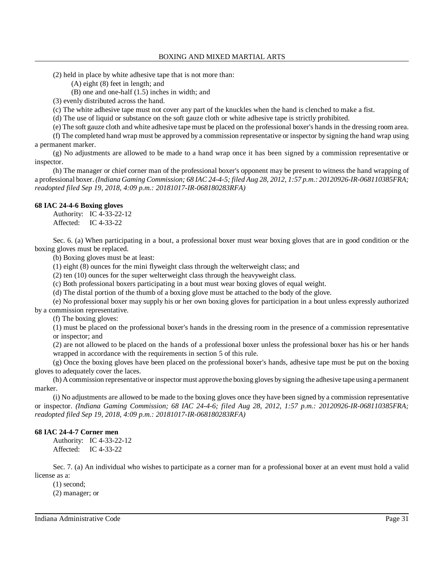(2) held in place by white adhesive tape that is not more than:

(A) eight (8) feet in length; and

(B) one and one-half (1.5) inches in width; and

(3) evenly distributed across the hand.

(c) The white adhesive tape must not cover any part of the knuckles when the hand is clenched to make a fist.

(d) The use of liquid or substance on the soft gauze cloth or white adhesive tape is strictly prohibited.

(e) The soft gauze cloth and white adhesive tape must be placed on the professional boxer's hands in the dressing room area.

(f) The completed hand wrap must be approved by a commission representative or inspector by signing the hand wrap using a permanent marker.

(g) No adjustments are allowed to be made to a hand wrap once it has been signed by a commission representative or inspector.

(h) The manager or chief corner man of the professional boxer's opponent may be present to witness the hand wrapping of a professional boxer. *(Indiana Gaming Commission; 68 IAC 24-4-5; filed Aug 28, 2012, 1:57 p.m.: 20120926-IR-068110385FRA; readopted filed Sep 19, 2018, 4:09 p.m.: 20181017-IR-068180283RFA)*

#### **68 IAC 24-4-6 Boxing gloves**

Authority: IC 4-33-22-12 Affected: IC 4-33-22

Sec. 6. (a) When participating in a bout, a professional boxer must wear boxing gloves that are in good condition or the boxing gloves must be replaced.

(b) Boxing gloves must be at least:

(1) eight (8) ounces for the mini flyweight class through the welterweight class; and

(2) ten (10) ounces for the super welterweight class through the heavyweight class.

(c) Both professional boxers participating in a bout must wear boxing gloves of equal weight.

(d) The distal portion of the thumb of a boxing glove must be attached to the body of the glove.

(e) No professional boxer may supply his or her own boxing gloves for participation in a bout unless expressly authorized by a commission representative.

(f) The boxing gloves:

(1) must be placed on the professional boxer's hands in the dressing room in the presence of a commission representative or inspector; and

(2) are not allowed to be placed on the hands of a professional boxer unless the professional boxer has his or her hands wrapped in accordance with the requirements in section 5 of this rule.

(g) Once the boxing gloves have been placed on the professional boxer's hands, adhesive tape must be put on the boxing gloves to adequately cover the laces.

(h) Acommission representative or inspector must approve the boxing gloves bysigning the adhesive tape using a permanent marker.

(i) No adjustments are allowed to be made to the boxing gloves once they have been signed by a commission representative or inspector. *(Indiana Gaming Commission; 68 IAC 24-4-6; filed Aug 28, 2012, 1:57 p.m.: 20120926-IR-068110385FRA; readopted filed Sep 19, 2018, 4:09 p.m.: 20181017-IR-068180283RFA)*

### **68 IAC 24-4-7 Corner men**

Authority: IC 4-33-22-12 Affected: IC 4-33-22

Sec. 7. (a) An individual who wishes to participate as a corner man for a professional boxer at an event must hold a valid license as a:

(1) second;

(2) manager; or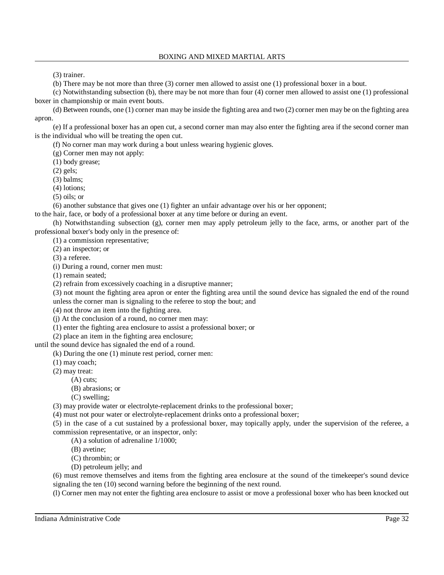(3) trainer.

(b) There may be not more than three (3) corner men allowed to assist one (1) professional boxer in a bout.

(c) Notwithstanding subsection (b), there may be not more than four (4) corner men allowed to assist one (1) professional boxer in championship or main event bouts.

(d) Between rounds, one (1) corner man may be inside the fighting area and two (2) corner men may be on the fighting area apron.

(e) If a professional boxer has an open cut, a second corner man may also enter the fighting area if the second corner man is the individual who will be treating the open cut.

(f) No corner man may work during a bout unless wearing hygienic gloves.

(g) Corner men may not apply:

(1) body grease;

(2) gels;

(3) balms;

(4) lotions;

(5) oils; or

(6) another substance that gives one (1) fighter an unfair advantage over his or her opponent;

to the hair, face, or body of a professional boxer at any time before or during an event.

(h) Notwithstanding subsection (g), corner men may apply petroleum jelly to the face, arms, or another part of the professional boxer's body only in the presence of:

(1) a commission representative;

(2) an inspector; or

(3) a referee.

(i) During a round, corner men must:

(1) remain seated;

(2) refrain from excessively coaching in a disruptive manner;

(3) not mount the fighting area apron or enter the fighting area until the sound device has signaled the end of the round unless the corner man is signaling to the referee to stop the bout; and

(4) not throw an item into the fighting area.

(j) At the conclusion of a round, no corner men may:

(1) enter the fighting area enclosure to assist a professional boxer; or

(2) place an item in the fighting area enclosure;

until the sound device has signaled the end of a round.

(k) During the one (1) minute rest period, corner men:

(1) may coach;

(2) may treat:

(A) cuts;

(B) abrasions; or

(C) swelling;

(3) may provide water or electrolyte-replacement drinks to the professional boxer;

(4) must not pour water or electrolyte-replacement drinks onto a professional boxer;

(5) in the case of a cut sustained by a professional boxer, may topically apply, under the supervision of the referee, a commission representative, or an inspector, only:

(A) a solution of adrenaline 1/1000;

(B) avetine;

(C) thrombin; or

(D) petroleum jelly; and

(6) must remove themselves and items from the fighting area enclosure at the sound of the timekeeper's sound device signaling the ten (10) second warning before the beginning of the next round.

(l) Corner men may not enter the fighting area enclosure to assist or move a professional boxer who has been knocked out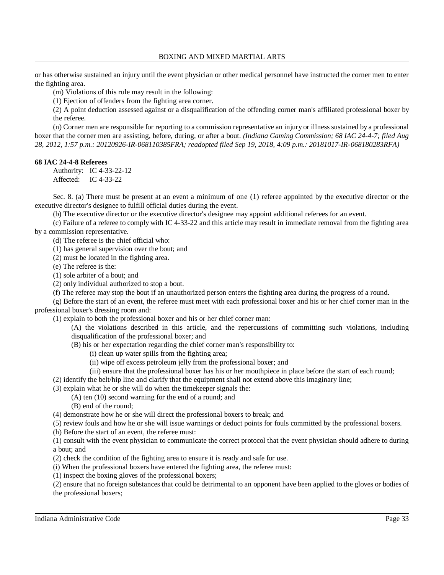or has otherwise sustained an injury until the event physician or other medical personnel have instructed the corner men to enter the fighting area.

(m) Violations of this rule may result in the following:

(1) Ejection of offenders from the fighting area corner.

(2) A point deduction assessed against or a disqualification of the offending corner man's affiliated professional boxer by the referee.

(n) Corner men are responsible for reporting to a commission representative an injury or illness sustained by a professional boxer that the corner men are assisting, before, during, or after a bout. *(Indiana Gaming Commission; 68 IAC 24-4-7; filed Aug 28, 2012, 1:57 p.m.: 20120926-IR-068110385FRA; readopted filed Sep 19, 2018, 4:09 p.m.: 20181017-IR-068180283RFA)*

### **68 IAC 24-4-8 Referees**

Authority: IC 4-33-22-12 Affected: IC 4-33-22

Sec. 8. (a) There must be present at an event a minimum of one (1) referee appointed by the executive director or the executive director's designee to fulfill official duties during the event.

(b) The executive director or the executive director's designee may appoint additional referees for an event.

(c) Failure of a referee to comply with IC 4-33-22 and this article may result in immediate removal from the fighting area by a commission representative.

(d) The referee is the chief official who:

(1) has general supervision over the bout; and

(2) must be located in the fighting area.

(e) The referee is the:

(1) sole arbiter of a bout; and

(2) only individual authorized to stop a bout.

(f) The referee may stop the bout if an unauthorized person enters the fighting area during the progress of a round.

(g) Before the start of an event, the referee must meet with each professional boxer and his or her chief corner man in the professional boxer's dressing room and:

(1) explain to both the professional boxer and his or her chief corner man:

(A) the violations described in this article, and the repercussions of committing such violations, including disqualification of the professional boxer; and

(B) his or her expectation regarding the chief corner man's responsibility to:

- (i) clean up water spills from the fighting area;
- (ii) wipe off excess petroleum jelly from the professional boxer; and
- (iii) ensure that the professional boxer has his or her mouthpiece in place before the start of each round;

(2) identify the belt/hip line and clarify that the equipment shall not extend above this imaginary line;

(3) explain what he or she will do when the timekeeper signals the:

(A) ten (10) second warning for the end of a round; and

(B) end of the round;

(4) demonstrate how he or she will direct the professional boxers to break; and

(5) review fouls and how he or she will issue warnings or deduct points for fouls committed by the professional boxers.

(h) Before the start of an event, the referee must:

(1) consult with the event physician to communicate the correct protocol that the event physician should adhere to during a bout; and

(2) check the condition of the fighting area to ensure it is ready and safe for use.

(i) When the professional boxers have entered the fighting area, the referee must:

(1) inspect the boxing gloves of the professional boxers;

(2) ensure that no foreign substances that could be detrimental to an opponent have been applied to the gloves or bodies of the professional boxers;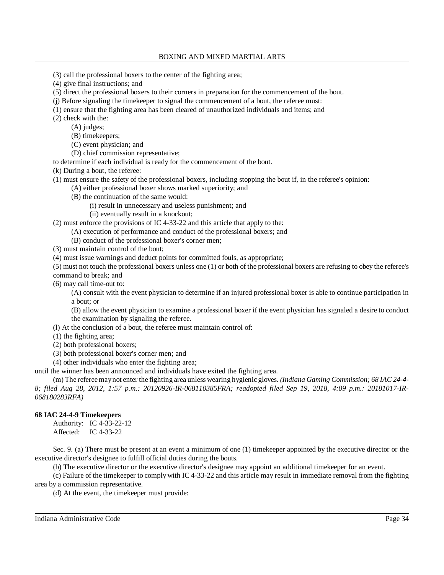- (3) call the professional boxers to the center of the fighting area;
- (4) give final instructions; and
- (5) direct the professional boxers to their corners in preparation for the commencement of the bout.
- (j) Before signaling the timekeeper to signal the commencement of a bout, the referee must:
- (1) ensure that the fighting area has been cleared of unauthorized individuals and items; and
- (2) check with the:
	- (A) judges;
	- (B) timekeepers;
	- (C) event physician; and
	- (D) chief commission representative;

to determine if each individual is ready for the commencement of the bout.

(k) During a bout, the referee:

- (1) must ensure the safety of the professional boxers, including stopping the bout if, in the referee's opinion:
	- (A) either professional boxer shows marked superiority; and
		- (B) the continuation of the same would:
			- (i) result in unnecessary and useless punishment; and
			- (ii) eventually result in a knockout;

(2) must enforce the provisions of IC 4-33-22 and this article that apply to the:

- (A) execution of performance and conduct of the professional boxers; and
- (B) conduct of the professional boxer's corner men;

(3) must maintain control of the bout;

(4) must issue warnings and deduct points for committed fouls, as appropriate;

(5) must not touch the professional boxers unless one (1) or both of the professional boxers are refusing to obey the referee's command to break; and

(6) may call time-out to:

(A) consult with the event physician to determine if an injured professional boxer is able to continue participation in a bout; or

(B) allow the event physician to examine a professional boxer if the event physician has signaled a desire to conduct the examination by signaling the referee.

- (l) At the conclusion of a bout, the referee must maintain control of:
- (1) the fighting area;
- (2) both professional boxers;
- (3) both professional boxer's corner men; and
- (4) other individuals who enter the fighting area;

until the winner has been announced and individuals have exited the fighting area.

(m) The refereemaynot enter the fighting area unless wearing hygienic gloves. *(Indiana Gaming Commission; 68 IAC 24-4- 8; filed Aug 28, 2012, 1:57 p.m.: 20120926-IR-068110385FRA; readopted filed Sep 19, 2018, 4:09 p.m.: 20181017-IR-068180283RFA)*

# **68 IAC 24-4-9 Timekeepers**

Authority: IC 4-33-22-12 Affected: IC 4-33-22

Sec. 9. (a) There must be present at an event a minimum of one (1) timekeeper appointed by the executive director or the executive director's designee to fulfill official duties during the bouts.

(b) The executive director or the executive director's designee may appoint an additional timekeeper for an event.

(c) Failure of the timekeeper to comply with IC 4-33-22 and this article may result in immediate removal from the fighting area by a commission representative.

(d) At the event, the timekeeper must provide: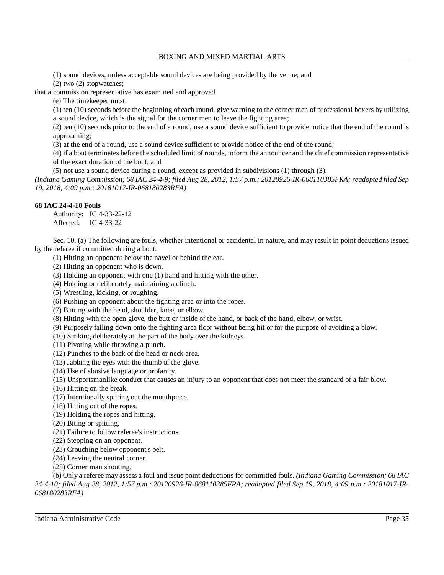(1) sound devices, unless acceptable sound devices are being provided by the venue; and

(2) two (2) stopwatches;

that a commission representative has examined and approved.

(e) The timekeeper must:

(1) ten (10) seconds before the beginning of each round, give warning to the corner men of professional boxers by utilizing a sound device, which is the signal for the corner men to leave the fighting area;

(2) ten (10) seconds prior to the end of a round, use a sound device sufficient to provide notice that the end of the round is approaching;

(3) at the end of a round, use a sound device sufficient to provide notice of the end of the round;

(4) if a bout terminates before the scheduled limit of rounds, inform the announcer and the chief commission representative of the exact duration of the bout; and

(5) not use a sound device during a round, except as provided in subdivisions (1) through (3).

(Indiana Gaming Commission; 68 IAC 24-4-9; filed Aug 28, 2012, 1:57 p.m.: 20120926-IR-068110385FRA; readopted filed Sep *19, 2018, 4:09 p.m.: 20181017-IR-068180283RFA)*

# **68 IAC 24-4-10 Fouls**

Authority: IC 4-33-22-12 Affected: IC 4-33-22

Sec. 10. (a) The following are fouls, whether intentional or accidental in nature, and may result in point deductions issued by the referee if committed during a bout:

(1) Hitting an opponent below the navel or behind the ear.

(2) Hitting an opponent who is down.

(3) Holding an opponent with one (1) hand and hitting with the other.

(4) Holding or deliberately maintaining a clinch.

(5) Wrestling, kicking, or roughing.

(6) Pushing an opponent about the fighting area or into the ropes.

(7) Butting with the head, shoulder, knee, or elbow.

(8) Hitting with the open glove, the butt or inside of the hand, or back of the hand, elbow, or wrist.

(9) Purposely falling down onto the fighting area floor without being hit or for the purpose of avoiding a blow.

(10) Striking deliberately at the part of the body over the kidneys.

(11) Pivoting while throwing a punch.

(12) Punches to the back of the head or neck area.

(13) Jabbing the eyes with the thumb of the glove.

(14) Use of abusive language or profanity.

(15) Unsportsmanlike conduct that causes an injury to an opponent that does not meet the standard of a fair blow.

(16) Hitting on the break.

(17) Intentionally spitting out the mouthpiece.

(18) Hitting out of the ropes.

(19) Holding the ropes and hitting.

- (20) Biting or spitting.
- (21) Failure to follow referee's instructions.
- (22) Stepping on an opponent.
- (23) Crouching below opponent's belt.
- (24) Leaving the neutral corner.
- (25) Corner man shouting.

(b) Only a referee may assess a foul and issue point deductions for committed fouls. *(Indiana Gaming Commission; 68 IAC 24-4-10; filed Aug 28, 2012, 1:57 p.m.: 20120926-IR-068110385FRA; readopted filed Sep 19, 2018, 4:09 p.m.: 20181017-IR-068180283RFA)*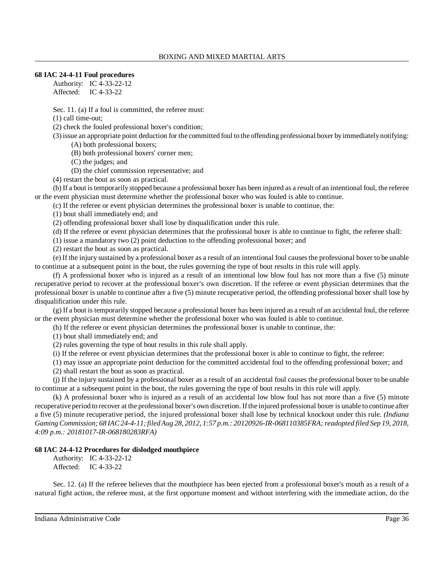# **68 IAC 24-4-11 Foul procedures**

Authority: IC 4-33-22-12 Affected: IC 4-33-22

Sec. 11. (a) If a foul is committed, the referee must:

(1) call time-out;

(2) check the fouled professional boxer's condition;

(3) issue an appropriate point deduction for the committed foul to the offending professional boxer byimmediatelynotifying: (A) both professional boxers;

(B) both professional boxers' corner men;

(C) the judges; and

(D) the chief commission representative; and

(4) restart the bout as soon as practical.

(b) If a bout istemporarily stopped because a professional boxer has been injured as a result of an intentional foul, the referee or the event physician must determine whether the professional boxer who was fouled is able to continue.

(c) If the referee or event physician determines the professional boxer is unable to continue, the:

(1) bout shall immediately end; and

(2) offending professional boxer shall lose by disqualification under this rule.

(d) If the referee or event physician determines that the professional boxer is able to continue to fight, the referee shall:

(1) issue a mandatory two (2) point deduction to the offending professional boxer; and

(2) restart the bout as soon as practical.

(e) If the injury sustained by a professional boxer as a result of an intentional foul causes the professional boxer to be unable to continue at a subsequent point in the bout, the rules governing the type of bout results in this rule will apply.

(f) A professional boxer who is injured as a result of an intentional low blow foul has not more than a five (5) minute recuperative period to recover at the professional boxer's own discretion. If the referee or event physician determines that the professional boxer is unable to continue after a five (5) minute recuperative period, the offending professional boxer shall lose by disqualification under this rule.

(g) If a bout is temporarily stopped because a professional boxer has been injured as a result of an accidental foul, the referee or the event physician must determine whether the professional boxer who was fouled is able to continue.

(h) If the referee or event physician determines the professional boxer is unable to continue, the:

(1) bout shall immediately end; and

(2) rules governing the type of bout results in this rule shall apply.

(i) If the referee or event physician determines that the professional boxer is able to continue to fight, the referee:

(1) may issue an appropriate point deduction for the committed accidental foul to the offending professional boxer; and

(2) shall restart the bout as soon as practical.

(j) If the injury sustained by a professional boxer as a result of an accidental foul causes the professional boxer to be unable to continue at a subsequent point in the bout, the rules governing the type of bout results in this rule will apply.

(k) A professional boxer who is injured as a result of an accidental low blow foul has not more than a five (5) minute recuperative period to recover at the professional boxer's own discretion. Ifthe injured professional boxer is unable to continue after a five (5) minute recuperative period, the injured professional boxer shall lose by technical knockout under this rule. *(Indiana Gaming Commission; 68 IAC24-4-11;filedAug 28, 2012, 1:57 p.m.: 20120926-IR-068110385FRA;readopted filed Sep 19, 2018, 4:09 p.m.: 20181017-IR-068180283RFA)*

# **68 IAC 24-4-12 Procedures for dislodged mouthpiece**

Authority: IC 4-33-22-12 Affected: IC 4-33-22

Sec. 12. (a) If the referee believes that the mouthpiece has been ejected from a professional boxer's mouth as a result of a natural fight action, the referee must, at the first opportune moment and without interfering with the immediate action, do the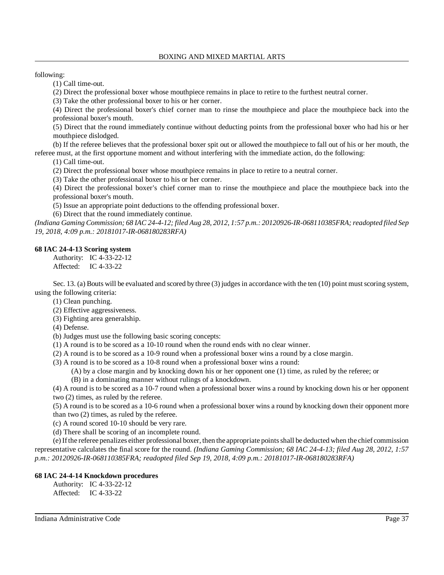following:

(1) Call time-out.

(2) Direct the professional boxer whose mouthpiece remains in place to retire to the furthest neutral corner.

(3) Take the other professional boxer to his or her corner.

(4) Direct the professional boxer's chief corner man to rinse the mouthpiece and place the mouthpiece back into the professional boxer's mouth.

(5) Direct that the round immediately continue without deducting points from the professional boxer who had his or her mouthpiece dislodged.

(b) If the referee believes that the professional boxer spit out or allowed the mouthpiece to fall out of his or her mouth, the referee must, at the first opportune moment and without interfering with the immediate action, do the following:

(1) Call time-out.

(2) Direct the professional boxer whose mouthpiece remains in place to retire to a neutral corner.

(3) Take the other professional boxer to his or her corner.

(4) Direct the professional boxer's chief corner man to rinse the mouthpiece and place the mouthpiece back into the professional boxer's mouth.

(5) Issue an appropriate point deductions to the offending professional boxer.

(6) Direct that the round immediately continue.

*(Indiana Gaming Commission; 68 IAC 24-4-12; filed Aug 28, 2012, 1:57 p.m.: 20120926-IR-068110385FRA;readopted filed Sep 19, 2018, 4:09 p.m.: 20181017-IR-068180283RFA)*

# **68 IAC 24-4-13 Scoring system**

Authority: IC 4-33-22-12 Affected: IC 4-33-22

Sec. 13. (a) Bouts will be evaluated and scored by three (3) judges in accordance with the ten (10) point must scoring system, using the following criteria:

(1) Clean punching.

(2) Effective aggressiveness.

(3) Fighting area generalship.

(4) Defense.

(b) Judges must use the following basic scoring concepts:

(1) A round is to be scored as a 10-10 round when the round ends with no clear winner.

(2) A round is to be scored as a 10-9 round when a professional boxer wins a round by a close margin.

(3) A round is to be scored as a 10-8 round when a professional boxer wins a round:

(A) by a close margin and by knocking down his or her opponent one (1) time, as ruled by the referee; or

(B) in a dominating manner without rulings of a knockdown.

(4) A round is to be scored as a 10-7 round when a professional boxer wins a round by knocking down his or her opponent two (2) times, as ruled by the referee.

(5) A round is to be scored as a 10-6 round when a professional boxer wins a round by knocking down their opponent more than two (2) times, as ruled by the referee.

(c) A round scored 10-10 should be very rare.

(d) There shall be scoring of an incomplete round.

(e) Ifthe referee penalizes either professional boxer, then the appropriate pointsshall be deducted when the chief commission representative calculates the final score for the round. *(Indiana Gaming Commission; 68 IAC 24-4-13; filed Aug 28, 2012, 1:57 p.m.: 20120926-IR-068110385FRA; readopted filed Sep 19, 2018, 4:09 p.m.: 20181017-IR-068180283RFA)*

### **68 IAC 24-4-14 Knockdown procedures**

Authority: IC 4-33-22-12 Affected: IC 4-33-22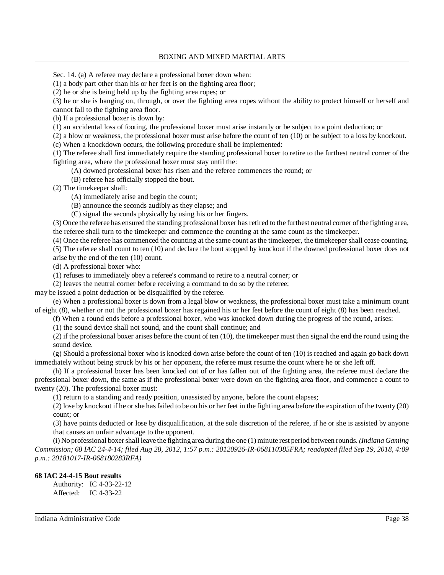### BOXING AND MIXED MARTIAL ARTS

Sec. 14. (a) A referee may declare a professional boxer down when:

(1) a body part other than his or her feet is on the fighting area floor;

(2) he or she is being held up by the fighting area ropes; or

(3) he or she is hanging on, through, or over the fighting area ropes without the ability to protect himself or herself and cannot fall to the fighting area floor.

(b) If a professional boxer is down by:

(1) an accidental loss of footing, the professional boxer must arise instantly or be subject to a point deduction; or

(2) a blow or weakness, the professional boxer must arise before the count of ten (10) or be subject to a loss by knockout.

(c) When a knockdown occurs, the following procedure shall be implemented:

(1) The referee shall first immediately require the standing professional boxer to retire to the furthest neutral corner of the fighting area, where the professional boxer must stay until the:

(A) downed professional boxer has risen and the referee commences the round; or

(B) referee has officially stopped the bout.

(2) The timekeeper shall:

(A) immediately arise and begin the count;

(B) announce the seconds audibly as they elapse; and

(C) signal the seconds physically by using his or her fingers.

(3) Once the referee has ensured the standing professional boxer hasretired to the furthest neutral corner ofthe fighting area, the referee shall turn to the timekeeper and commence the counting at the same count as the timekeeper.

(4) Once the referee has commenced the counting at the same count as the timekeeper, the timekeeper shall cease counting.

(5) The referee shall count to ten (10) and declare the bout stopped by knockout if the downed professional boxer does not arise by the end of the ten (10) count.

(d) A professional boxer who:

(1) refuses to immediately obey a referee's command to retire to a neutral corner; or

(2) leaves the neutral corner before receiving a command to do so by the referee;

may be issued a point deduction or be disqualified by the referee.

(e) When a professional boxer is down from a legal blow or weakness, the professional boxer must take a minimum count of eight (8), whether or not the professional boxer has regained his or her feet before the count of eight (8) has been reached.

(f) When a round ends before a professional boxer, who was knocked down during the progress of the round, arises:

(1) the sound device shall not sound, and the count shall continue; and

(2) if the professional boxer arises before the count of ten (10), the timekeeper must then signal the end the round using the sound device.

(g) Should a professional boxer who is knocked down arise before the count of ten (10) is reached and again go back down immediately without being struck by his or her opponent, the referee must resume the count where he or she left off.

(h) If a professional boxer has been knocked out of or has fallen out of the fighting area, the referee must declare the professional boxer down, the same as if the professional boxer were down on the fighting area floor, and commence a count to twenty (20). The professional boxer must:

(1) return to a standing and ready position, unassisted by anyone, before the count elapses;

(2) lose by knockout if he or she hasfailed to be on his or her feet in the fighting area before the expiration of the twenty (20) count; or

(3) have points deducted or lose by disqualification, at the sole discretion of the referee, if he or she is assisted by anyone that causes an unfair advantage to the opponent.

(i) No professional boxershall leave the fighting area during the one (1) minute rest period between rounds. *(Indiana Gaming Commission; 68 IAC 24-4-14; filed Aug 28, 2012, 1:57 p.m.: 20120926-IR-068110385FRA; readopted filed Sep 19, 2018, 4:09 p.m.: 20181017-IR-068180283RFA)*

# **68 IAC 24-4-15 Bout results**

Authority: IC 4-33-22-12 Affected: IC 4-33-22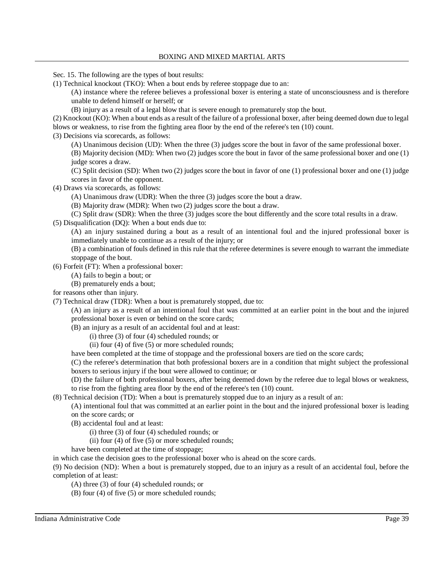Sec. 15. The following are the types of bout results:

(1) Technical knockout (TKO): When a bout ends by referee stoppage due to an:

(A) instance where the referee believes a professional boxer is entering a state of unconsciousness and is therefore unable to defend himself or herself; or

(B) injury as a result of a legal blow that is severe enough to prematurely stop the bout.

(2) Knockout (KO): When a bout ends as a result of the failure of a professional boxer, after being deemed down due to legal blows or weakness, to rise from the fighting area floor by the end of the referee's ten (10) count.

(3) Decisions via scorecards, as follows:

(A) Unanimous decision (UD): When the three (3) judges score the bout in favor of the same professional boxer.

(B) Majority decision (MD): When two (2) judges score the bout in favor of the same professional boxer and one (1) judge scores a draw.

(C) Split decision (SD): When two (2) judges score the bout in favor of one (1) professional boxer and one (1) judge scores in favor of the opponent.

(4) Draws via scorecards, as follows:

(A) Unanimous draw (UDR): When the three (3) judges score the bout a draw.

(B) Majority draw (MDR): When two (2) judges score the bout a draw.

(C) Split draw (SDR): When the three (3) judges score the bout differently and the score total results in a draw.

(5) Disqualification (DQ): When a bout ends due to:

(A) an injury sustained during a bout as a result of an intentional foul and the injured professional boxer is immediately unable to continue as a result of the injury; or

(B) a combination of fouls defined in this rule that the referee determines is severe enough to warrant the immediate stoppage of the bout.

(6) Forfeit (FT): When a professional boxer:

(A) fails to begin a bout; or

(B) prematurely ends a bout;

for reasons other than injury.

(7) Technical draw (TDR): When a bout is prematurely stopped, due to:

(A) an injury as a result of an intentional foul that was committed at an earlier point in the bout and the injured professional boxer is even or behind on the score cards;

(B) an injury as a result of an accidental foul and at least:

(i) three (3) of four (4) scheduled rounds; or

(ii) four (4) of five (5) or more scheduled rounds;

have been completed at the time of stoppage and the professional boxers are tied on the score cards;

(C) the referee's determination that both professional boxers are in a condition that might subject the professional boxers to serious injury if the bout were allowed to continue; or

(D) the failure of both professional boxers, after being deemed down by the referee due to legal blows or weakness, to rise from the fighting area floor by the end of the referee's ten (10) count.

(8) Technical decision (TD): When a bout is prematurely stopped due to an injury as a result of an:

(A) intentional foul that was committed at an earlier point in the bout and the injured professional boxer is leading on the score cards; or

(B) accidental foul and at least:

(i) three (3) of four (4) scheduled rounds; or

(ii) four (4) of five (5) or more scheduled rounds;

have been completed at the time of stoppage;

in which case the decision goes to the professional boxer who is ahead on the score cards.

(9) No decision (ND): When a bout is prematurely stopped, due to an injury as a result of an accidental foul, before the completion of at least:

(A) three (3) of four (4) scheduled rounds; or

(B) four (4) of five (5) or more scheduled rounds;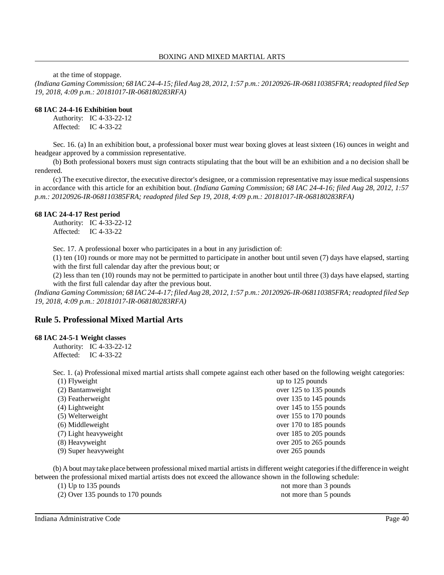at the time of stoppage.

(Indiana Gaming Commission; 68 IAC 24-4-15; filed Aug 28, 2012, 1:57 p.m.: 20120926-IR-068110385FRA; readopted filed Sep *19, 2018, 4:09 p.m.: 20181017-IR-068180283RFA)*

# **68 IAC 24-4-16 Exhibition bout**

Authority: IC 4-33-22-12 Affected: IC 4-33-22

Sec. 16. (a) In an exhibition bout, a professional boxer must wear boxing gloves at least sixteen (16) ounces in weight and headgear approved by a commission representative.

(b) Both professional boxers must sign contracts stipulating that the bout will be an exhibition and a no decision shall be rendered.

(c) The executive director, the executive director's designee, or a commission representative may issue medical suspensions in accordance with this article for an exhibition bout. *(Indiana Gaming Commission; 68 IAC 24-4-16; filed Aug 28, 2012, 1:57 p.m.: 20120926-IR-068110385FRA; readopted filed Sep 19, 2018, 4:09 p.m.: 20181017-IR-068180283RFA)*

# **68 IAC 24-4-17 Rest period**

Authority: IC 4-33-22-12 Affected: IC 4-33-22

Sec. 17. A professional boxer who participates in a bout in any jurisdiction of:

(1) ten (10) rounds or more may not be permitted to participate in another bout until seven (7) days have elapsed, starting with the first full calendar day after the previous bout; or

(2) less than ten (10) rounds may not be permitted to participate in another bout until three (3) days have elapsed, starting with the first full calendar day after the previous bout.

(Indiana Gaming Commission; 68 IAC 24-4-17; filed Aug 28, 2012, 1:57 p.m.: 20120926-IR-068110385FRA; readopted filed Sep *19, 2018, 4:09 p.m.: 20181017-IR-068180283RFA)*

# **Rule 5. Professional Mixed Martial Arts**

### **68 IAC 24-5-1 Weight classes**

Authority: IC 4-33-22-12 Affected: IC 4-33-22

Sec. 1. (a) Professional mixed martial artists shall compete against each other based on the following weight categories:

| $(1)$ Flyweight       | up to 125 pounds       |
|-----------------------|------------------------|
| (2) Bantamweight      | over 125 to 135 pounds |
| (3) Featherweight     | over 135 to 145 pounds |
| $(4)$ Lightweight     | over 145 to 155 pounds |
| (5) Welterweight      | over 155 to 170 pounds |
| (6) Middleweight      | over 170 to 185 pounds |
| (7) Light heavyweight | over 185 to 205 pounds |
| (8) Heavyweight       | over 205 to 265 pounds |
| (9) Super heavyweight | over 265 pounds        |
|                       |                        |

(b) A bout maytake place between professional mixed martial artistsin different weight categoriesifthe difference in weight between the professional mixed martial artists does not exceed the allowance shown in the following schedule:

(2) Over 135 pounds to 170 pounds not more than 5 pounds

(1) Up to 135 pounds not more than 3 pounds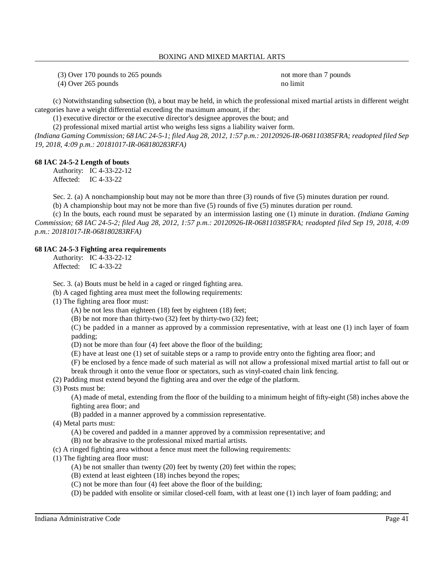(3) Over 170 pounds to 265 pounds not more than 7 pounds

(4) Over 265 pounds no limit

(c) Notwithstanding subsection (b), a bout may be held, in which the professional mixed martial artists in different weight categories have a weight differential exceeding the maximum amount, if the:

(1) executive director or the executive director's designee approves the bout; and

(2) professional mixed martial artist who weighs less signs a liability waiver form.

(Indiana Gaming Commission; 68 IAC 24-5-1; filed Aug 28, 2012, 1:57 p.m.: 20120926-IR-068110385FRA; readopted filed Sep *19, 2018, 4:09 p.m.: 20181017-IR-068180283RFA)*

### **68 IAC 24-5-2 Length of bouts**

Authority: IC 4-33-22-12 Affected: IC 4-33-22

Sec. 2. (a) A nonchampionship bout may not be more than three (3) rounds of five (5) minutes duration per round.

(b) A championship bout may not be more than five (5) rounds of five (5) minutes duration per round.

(c) In the bouts, each round must be separated by an intermission lasting one (1) minute in duration. *(Indiana Gaming Commission; 68 IAC 24-5-2; filed Aug 28, 2012, 1:57 p.m.: 20120926-IR-068110385FRA; readopted filed Sep 19, 2018, 4:09 p.m.: 20181017-IR-068180283RFA)*

### **68 IAC 24-5-3 Fighting area requirements**

Authority: IC 4-33-22-12 Affected: IC 4-33-22

Sec. 3. (a) Bouts must be held in a caged or ringed fighting area.

(b) A caged fighting area must meet the following requirements:

(1) The fighting area floor must:

(A) be not less than eighteen (18) feet by eighteen (18) feet;

(B) be not more than thirty-two (32) feet by thirty-two (32) feet;

(C) be padded in a manner as approved by a commission representative, with at least one (1) inch layer of foam padding;

(D) not be more than four (4) feet above the floor of the building;

(E) have at least one (1) set of suitable steps or a ramp to provide entry onto the fighting area floor; and

(F) be enclosed by a fence made of such material as will not allow a professional mixed martial artist to fall out or

break through it onto the venue floor or spectators, such as vinyl-coated chain link fencing.

(2) Padding must extend beyond the fighting area and over the edge of the platform.

(3) Posts must be:

(A) made of metal, extending from the floor of the building to a minimum height of fifty-eight (58) inches above the fighting area floor; and

(B) padded in a manner approved by a commission representative.

(4) Metal parts must:

(A) be covered and padded in a manner approved by a commission representative; and

- (B) not be abrasive to the professional mixed martial artists.
- (c) A ringed fighting area without a fence must meet the following requirements:
- (1) The fighting area floor must:
	- (A) be not smaller than twenty (20) feet by twenty (20) feet within the ropes;
	- (B) extend at least eighteen (18) inches beyond the ropes;
	- (C) not be more than four (4) feet above the floor of the building;
	- (D) be padded with ensolite or similar closed-cell foam, with at least one (1) inch layer of foam padding; and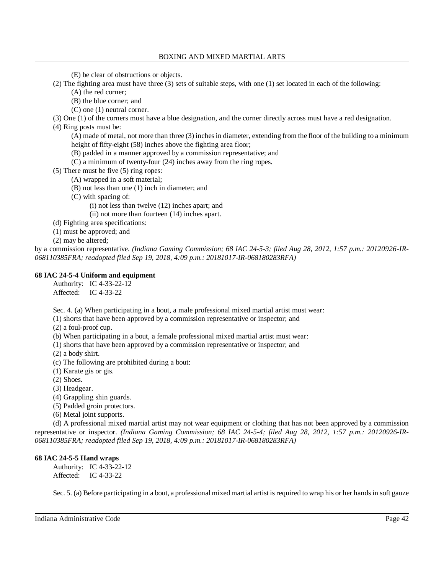(E) be clear of obstructions or objects.

(2) The fighting area must have three (3) sets of suitable steps, with one (1) set located in each of the following:

(A) the red corner;

- (B) the blue corner; and
- (C) one (1) neutral corner.

(3) One (1) of the corners must have a blue designation, and the corner directly across must have a red designation.

(4) Ring posts must be:

(A) made of metal, not more than three (3) inchesin diameter, extending from the floor of the building to a minimum height of fifty-eight (58) inches above the fighting area floor;

- (B) padded in a manner approved by a commission representative; and
- (C) a minimum of twenty-four (24) inches away from the ring ropes.

(5) There must be five (5) ring ropes:

- (A) wrapped in a soft material;
- (B) not less than one (1) inch in diameter; and

(C) with spacing of:

- (i) not less than twelve (12) inches apart; and
- (ii) not more than fourteen (14) inches apart.

(d) Fighting area specifications:

(1) must be approved; and

(2) may be altered;

by a commission representative. *(Indiana Gaming Commission; 68 IAC 24-5-3; filed Aug 28, 2012, 1:57 p.m.: 20120926-IR-068110385FRA; readopted filed Sep 19, 2018, 4:09 p.m.: 20181017-IR-068180283RFA)*

### **68 IAC 24-5-4 Uniform and equipment**

Authority: IC 4-33-22-12

Affected: IC 4-33-22

Sec. 4. (a) When participating in a bout, a male professional mixed martial artist must wear:

(1) shorts that have been approved by a commission representative or inspector; and

(2) a foul-proof cup.

(b) When participating in a bout, a female professional mixed martial artist must wear:

- (1) shorts that have been approved by a commission representative or inspector; and
- (2) a body shirt.

(c) The following are prohibited during a bout:

(1) Karate gis or gis.

(2) Shoes.

(3) Headgear.

(4) Grappling shin guards.

(5) Padded groin protectors.

(6) Metal joint supports.

(d) A professional mixed martial artist may not wear equipment or clothing that has not been approved by a commission representative or inspector. *(Indiana Gaming Commission; 68 IAC 24-5-4; filed Aug 28, 2012, 1:57 p.m.: 20120926-IR-068110385FRA; readopted filed Sep 19, 2018, 4:09 p.m.: 20181017-IR-068180283RFA)*

# **68 IAC 24-5-5 Hand wraps**

Authority: IC 4-33-22-12 Affected: IC 4-33-22

Sec. 5. (a) Before participating in a bout, a professional mixed martial artist is required to wrap his or her hands in soft gauze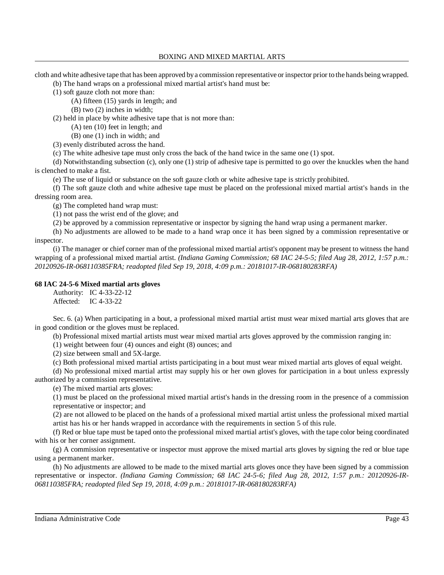cloth and white adhesive tape that has been approved bya commission representative or inspector prior to the hands being wrapped.

(b) The hand wraps on a professional mixed martial artist's hand must be:

(1) soft gauze cloth not more than:

(A) fifteen (15) yards in length; and

(B) two (2) inches in width;

(2) held in place by white adhesive tape that is not more than:

(A) ten (10) feet in length; and

(B) one (1) inch in width; and

(3) evenly distributed across the hand.

(c) The white adhesive tape must only cross the back of the hand twice in the same one (1) spot.

(d) Notwithstanding subsection (c), only one (1) strip of adhesive tape is permitted to go over the knuckles when the hand is clenched to make a fist.

(e) The use of liquid or substance on the soft gauze cloth or white adhesive tape is strictly prohibited.

(f) The soft gauze cloth and white adhesive tape must be placed on the professional mixed martial artist's hands in the dressing room area.

(g) The completed hand wrap must:

(1) not pass the wrist end of the glove; and

(2) be approved by a commission representative or inspector by signing the hand wrap using a permanent marker.

(h) No adjustments are allowed to be made to a hand wrap once it has been signed by a commission representative or inspector.

(i) The manager or chief corner man of the professional mixed martial artist's opponent may be present to witness the hand wrapping of a professional mixed martial artist. *(Indiana Gaming Commission; 68 IAC 24-5-5; filed Aug 28, 2012, 1:57 p.m.: 20120926-IR-068110385FRA; readopted filed Sep 19, 2018, 4:09 p.m.: 20181017-IR-068180283RFA)*

# **68 IAC 24-5-6 Mixed martial arts gloves**

Authority: IC 4-33-22-12 Affected: IC 4-33-22

Sec. 6. (a) When participating in a bout, a professional mixed martial artist must wear mixed martial arts gloves that are in good condition or the gloves must be replaced.

(b) Professional mixed martial artists must wear mixed martial arts gloves approved by the commission ranging in:

(1) weight between four (4) ounces and eight (8) ounces; and

(2) size between small and 5X-large.

(c) Both professional mixed martial artists participating in a bout must wear mixed martial arts gloves of equal weight.

(d) No professional mixed martial artist may supply his or her own gloves for participation in a bout unless expressly authorized by a commission representative.

(e) The mixed martial arts gloves:

(1) must be placed on the professional mixed martial artist's hands in the dressing room in the presence of a commission representative or inspector; and

(2) are not allowed to be placed on the hands of a professional mixed martial artist unless the professional mixed martial artist has his or her hands wrapped in accordance with the requirements in section 5 of this rule.

(f) Red or blue tape must be taped onto the professional mixed martial artist's gloves, with the tape color being coordinated with his or her corner assignment.

(g) A commission representative or inspector must approve the mixed martial arts gloves by signing the red or blue tape using a permanent marker.

(h) No adjustments are allowed to be made to the mixed martial arts gloves once they have been signed by a commission representative or inspector. *(Indiana Gaming Commission; 68 IAC 24-5-6; filed Aug 28, 2012, 1:57 p.m.: 20120926-IR-068110385FRA; readopted filed Sep 19, 2018, 4:09 p.m.: 20181017-IR-068180283RFA)*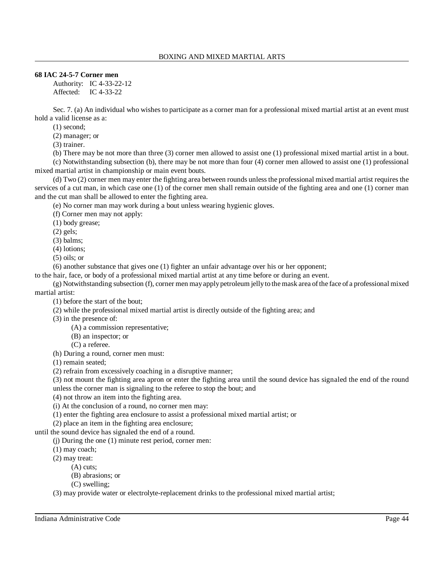# **68 IAC 24-5-7 Corner men**

Authority: IC 4-33-22-12 Affected: IC 4-33-22

Sec. 7. (a) An individual who wishes to participate as a corner man for a professional mixed martial artist at an event must hold a valid license as a:

(1) second;

(2) manager; or

(3) trainer.

(b) There may be not more than three (3) corner men allowed to assist one (1) professional mixed martial artist in a bout. (c) Notwithstanding subsection (b), there may be not more than four (4) corner men allowed to assist one (1) professional mixed martial artist in championship or main event bouts.

(d) Two (2) corner men may enter the fighting area between rounds unlessthe professional mixed martial artist requires the services of a cut man, in which case one (1) of the corner men shall remain outside of the fighting area and one (1) corner man and the cut man shall be allowed to enter the fighting area.

(e) No corner man may work during a bout unless wearing hygienic gloves.

(f) Corner men may not apply:

(1) body grease;

(2) gels;

(3) balms;

(4) lotions;

(5) oils; or

(6) another substance that gives one (1) fighter an unfair advantage over his or her opponent;

to the hair, face, or body of a professional mixed martial artist at any time before or during an event.

(g) Notwithstanding subsection (f), corner men mayapplypetroleum jellyto themask area ofthe face of a professional mixed martial artist:

(1) before the start of the bout;

(2) while the professional mixed martial artist is directly outside of the fighting area; and

(3) in the presence of:

(A) a commission representative;

(B) an inspector; or

(C) a referee.

(h) During a round, corner men must:

(1) remain seated;

(2) refrain from excessively coaching in a disruptive manner;

(3) not mount the fighting area apron or enter the fighting area until the sound device has signaled the end of the round unless the corner man is signaling to the referee to stop the bout; and

(4) not throw an item into the fighting area.

(i) At the conclusion of a round, no corner men may:

(1) enter the fighting area enclosure to assist a professional mixed martial artist; or

(2) place an item in the fighting area enclosure;

until the sound device has signaled the end of a round.

(j) During the one (1) minute rest period, corner men:

(1) may coach;

(2) may treat:

(A) cuts;

- (B) abrasions; or
- (C) swelling;

(3) may provide water or electrolyte-replacement drinks to the professional mixed martial artist;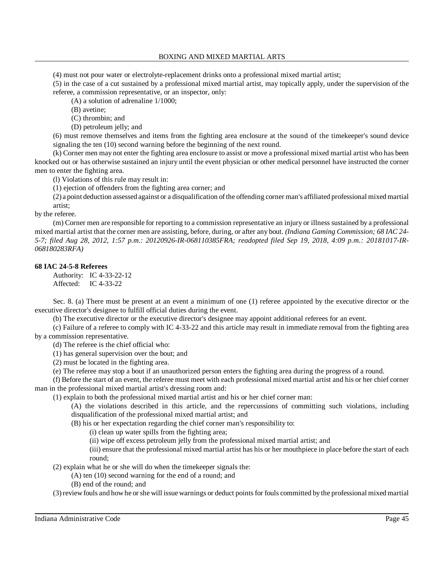(4) must not pour water or electrolyte-replacement drinks onto a professional mixed martial artist;

(5) in the case of a cut sustained by a professional mixed martial artist, may topically apply, under the supervision of the referee, a commission representative, or an inspector, only:

(A) a solution of adrenaline 1/1000;

(B) avetine;

(C) thrombin; and

(D) petroleum jelly; and

(6) must remove themselves and items from the fighting area enclosure at the sound of the timekeeper's sound device signaling the ten (10) second warning before the beginning of the next round.

(k) Corner men may not enter the fighting area enclosure to assist or move a professional mixed martial artist who has been knocked out or has otherwise sustained an injury until the event physician or other medical personnel have instructed the corner men to enter the fighting area.

(l) Violations of this rule may result in:

(1) ejection of offenders from the fighting area corner; and

(2) a point deduction assessed against or a disqualification ofthe offending corner man's affiliated professional mixed martial artist;

by the referee.

(m) Corner men are responsible for reporting to a commission representative an injury or illness sustained by a professional mixed martial artist that the corner men are assisting, before, during, or after any bout. *(Indiana Gaming Commission; 68 IAC 24- 5-7; filed Aug 28, 2012, 1:57 p.m.: 20120926-IR-068110385FRA; readopted filed Sep 19, 2018, 4:09 p.m.: 20181017-IR-068180283RFA)*

# **68 IAC 24-5-8 Referees**

Authority: IC 4-33-22-12 Affected: IC 4-33-22

Sec. 8. (a) There must be present at an event a minimum of one (1) referee appointed by the executive director or the executive director's designee to fulfill official duties during the event.

(b) The executive director or the executive director's designee may appoint additional referees for an event.

(c) Failure of a referee to comply with IC 4-33-22 and this article may result in immediate removal from the fighting area by a commission representative.

(d) The referee is the chief official who:

(1) has general supervision over the bout; and

(2) must be located in the fighting area.

(e) The referee may stop a bout if an unauthorized person enters the fighting area during the progress of a round.

(f) Before the start of an event, the referee must meet with each professional mixed martial artist and his or her chief corner man in the professional mixed martial artist's dressing room and:

(1) explain to both the professional mixed martial artist and his or her chief corner man:

(A) the violations described in this article, and the repercussions of committing such violations, including disqualification of the professional mixed martial artist; and

(B) his or her expectation regarding the chief corner man's responsibility to:

(i) clean up water spills from the fighting area;

(ii) wipe off excess petroleum jelly from the professional mixed martial artist; and

(iii) ensure that the professional mixed martial artist has his or her mouthpiece in place before the start of each round;

(2) explain what he or she will do when the timekeeper signals the:

- (A) ten (10) second warning for the end of a round; and
- (B) end of the round; and

(3) reviewfouls and howhe orshe will issue warnings or deduct pointsfor fouls committed by the professional mixed martial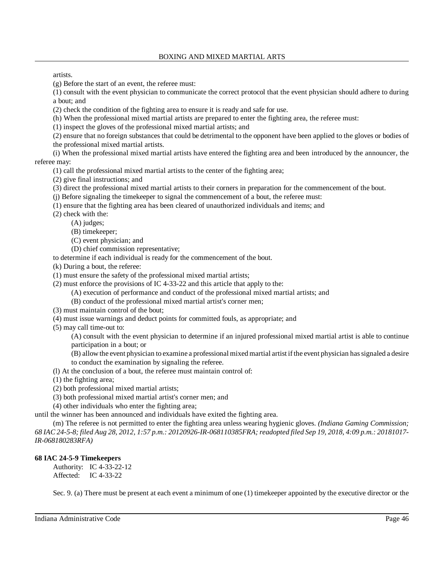artists.

(g) Before the start of an event, the referee must:

(1) consult with the event physician to communicate the correct protocol that the event physician should adhere to during a bout; and

(2) check the condition of the fighting area to ensure it is ready and safe for use.

(h) When the professional mixed martial artists are prepared to enter the fighting area, the referee must:

(1) inspect the gloves of the professional mixed martial artists; and

(2) ensure that no foreign substances that could be detrimental to the opponent have been applied to the gloves or bodies of the professional mixed martial artists.

(i) When the professional mixed martial artists have entered the fighting area and been introduced by the announcer, the referee may:

(1) call the professional mixed martial artists to the center of the fighting area;

(2) give final instructions; and

(3) direct the professional mixed martial artists to their corners in preparation for the commencement of the bout.

(j) Before signaling the timekeeper to signal the commencement of a bout, the referee must:

(1) ensure that the fighting area has been cleared of unauthorized individuals and items; and

(2) check with the:

(A) judges;

(B) timekeeper;

(C) event physician; and

(D) chief commission representative;

to determine if each individual is ready for the commencement of the bout.

(k) During a bout, the referee:

(1) must ensure the safety of the professional mixed martial artists;

(2) must enforce the provisions of IC 4-33-22 and this article that apply to the:

(A) execution of performance and conduct of the professional mixed martial artists; and

(B) conduct of the professional mixed martial artist's corner men;

(3) must maintain control of the bout;

(4) must issue warnings and deduct points for committed fouls, as appropriate; and

(5) may call time-out to:

(A) consult with the event physician to determine if an injured professional mixed martial artist is able to continue participation in a bout; or

(B) allowthe event physician to examine a professional mixed martial artist ifthe event physician hassignaled a desire to conduct the examination by signaling the referee.

(l) At the conclusion of a bout, the referee must maintain control of:

(1) the fighting area;

(2) both professional mixed martial artists;

(3) both professional mixed martial artist's corner men; and

(4) other individuals who enter the fighting area;

until the winner has been announced and individuals have exited the fighting area.

(m) The referee is not permitted to enter the fighting area unless wearing hygienic gloves. *(Indiana Gaming Commission;* 68 IAC 24-5-8; filed Aug 28, 2012, 1:57 p.m.: 20120926-IR-068110385FRA; readopted filed Sep 19, 2018, 4:09 p.m.: 20181017-*IR-068180283RFA)*

# **68 IAC 24-5-9 Timekeepers**

Authority: IC 4-33-22-12 Affected: IC 4-33-22

Sec. 9. (a) There must be present at each event a minimum of one (1) timekeeper appointed by the executive director or the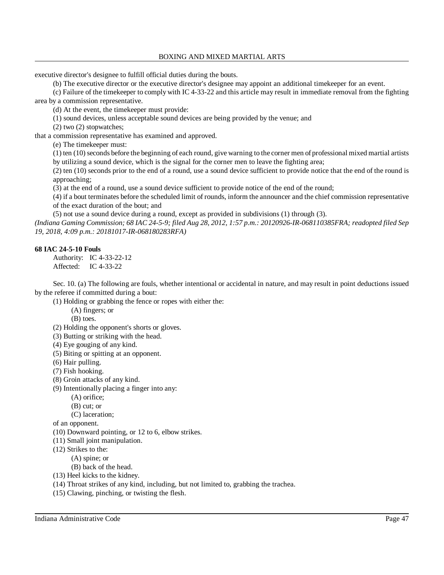executive director's designee to fulfill official duties during the bouts.

(b) The executive director or the executive director's designee may appoint an additional timekeeper for an event.

(c) Failure of the timekeeper to comply with IC 4-33-22 and this article may result in immediate removal from the fighting area by a commission representative.

(d) At the event, the timekeeper must provide:

(1) sound devices, unless acceptable sound devices are being provided by the venue; and

(2) two (2) stopwatches;

that a commission representative has examined and approved.

(e) The timekeeper must:

(1) ten (10) seconds before the beginning of each round, give warning to the corner men of professional mixed martial artists by utilizing a sound device, which is the signal for the corner men to leave the fighting area;

(2) ten (10) seconds prior to the end of a round, use a sound device sufficient to provide notice that the end of the round is approaching;

(3) at the end of a round, use a sound device sufficient to provide notice of the end of the round;

(4) if a bout terminates before the scheduled limit of rounds, inform the announcer and the chief commission representative of the exact duration of the bout; and

(5) not use a sound device during a round, except as provided in subdivisions (1) through (3).

(Indiana Gaming Commission; 68 IAC 24-5-9; filed Aug 28, 2012, 1:57 p.m.: 20120926-IR-068110385FRA; readopted filed Sep *19, 2018, 4:09 p.m.: 20181017-IR-068180283RFA)*

# **68 IAC 24-5-10 Fouls**

Authority: IC 4-33-22-12 Affected: IC 4-33-22

Sec. 10. (a) The following are fouls, whether intentional or accidental in nature, and may result in point deductions issued by the referee if committed during a bout:

(1) Holding or grabbing the fence or ropes with either the:

- (A) fingers; or
- (B) toes.

(2) Holding the opponent's shorts or gloves.

- (3) Butting or striking with the head.
- (4) Eye gouging of any kind.
- (5) Biting or spitting at an opponent.
- (6) Hair pulling.
- (7) Fish hooking.
- (8) Groin attacks of any kind.
- (9) Intentionally placing a finger into any:
	- (A) orifice;

(B) cut; or

(C) laceration;

of an opponent.

- (10) Downward pointing, or 12 to 6, elbow strikes.
- (11) Small joint manipulation.
- (12) Strikes to the:

(A) spine; or

(B) back of the head.

- (13) Heel kicks to the kidney.
- (14) Throat strikes of any kind, including, but not limited to, grabbing the trachea.
- (15) Clawing, pinching, or twisting the flesh.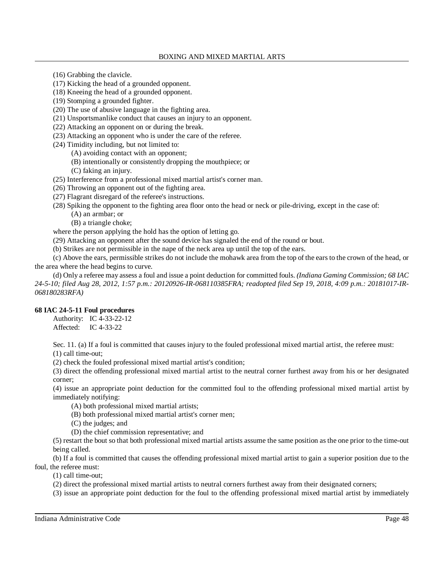- (16) Grabbing the clavicle.
- (17) Kicking the head of a grounded opponent.
- (18) Kneeing the head of a grounded opponent.
- (19) Stomping a grounded fighter.
- (20) The use of abusive language in the fighting area.
- (21) Unsportsmanlike conduct that causes an injury to an opponent.
- (22) Attacking an opponent on or during the break.
- (23) Attacking an opponent who is under the care of the referee.
- (24) Timidity including, but not limited to:
	- (A) avoiding contact with an opponent;
	- (B) intentionally or consistently dropping the mouthpiece; or
	- (C) faking an injury.
- (25) Interference from a professional mixed martial artist's corner man.
- (26) Throwing an opponent out of the fighting area.
- (27) Flagrant disregard of the referee's instructions.
- (28) Spiking the opponent to the fighting area floor onto the head or neck or pile-driving, except in the case of:
	- (A) an armbar; or
	- (B) a triangle choke;

where the person applying the hold has the option of letting go.

(29) Attacking an opponent after the sound device has signaled the end of the round or bout.

(b) Strikes are not permissible in the nape of the neck area up until the top of the ears.

(c) Above the ears, permissible strikes do not include the mohawk area from the top of the ears to the crown of the head, or the area where the head begins to curve.

(d) Only a referee may assess a foul and issue a point deduction for committed fouls. *(Indiana Gaming Commission; 68 IAC 24-5-10; filed Aug 28, 2012, 1:57 p.m.: 20120926-IR-068110385FRA; readopted filed Sep 19, 2018, 4:09 p.m.: 20181017-IR-068180283RFA)*

# **68 IAC 24-5-11 Foul procedures**

Authority: IC 4-33-22-12 Affected: IC 4-33-22

Sec. 11. (a) If a foul is committed that causes injury to the fouled professional mixed martial artist, the referee must: (1) call time-out;

(2) check the fouled professional mixed martial artist's condition;

(3) direct the offending professional mixed martial artist to the neutral corner furthest away from his or her designated corner;

(4) issue an appropriate point deduction for the committed foul to the offending professional mixed martial artist by immediately notifying:

- (A) both professional mixed martial artists;
- (B) both professional mixed martial artist's corner men;
- (C) the judges; and
- (D) the chief commission representative; and

(5) restart the bout so that both professional mixed martial artists assume the same position as the one prior to the time-out being called.

(b) If a foul is committed that causes the offending professional mixed martial artist to gain a superior position due to the foul, the referee must:

(1) call time-out;

(2) direct the professional mixed martial artists to neutral corners furthest away from their designated corners;

(3) issue an appropriate point deduction for the foul to the offending professional mixed martial artist by immediately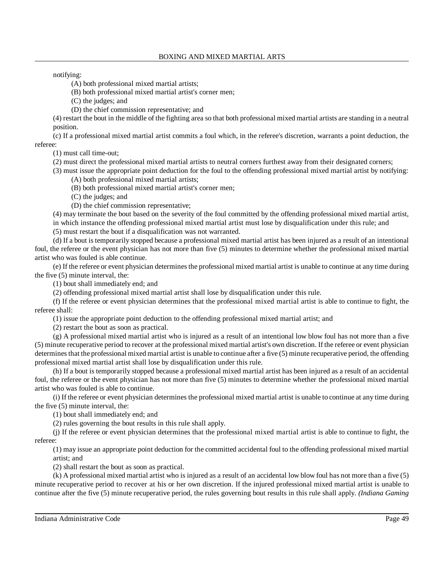notifying:

(A) both professional mixed martial artists;

(B) both professional mixed martial artist's corner men;

(C) the judges; and

(D) the chief commission representative; and

(4) restart the bout in the middle of the fighting area so that both professional mixed martial artists are standing in a neutral position.

(c) If a professional mixed martial artist commits a foul which, in the referee's discretion, warrants a point deduction, the referee:

(1) must call time-out;

(2) must direct the professional mixed martial artists to neutral corners furthest away from their designated corners;

(3) must issue the appropriate point deduction for the foul to the offending professional mixed martial artist by notifying:

(A) both professional mixed martial artists;

(B) both professional mixed martial artist's corner men;

(C) the judges; and

(D) the chief commission representative;

(4) may terminate the bout based on the severity of the foul committed by the offending professional mixed martial artist, in which instance the offending professional mixed martial artist must lose by disqualification under this rule; and

(5) must restart the bout if a disqualification was not warranted.

(d) If a bout is temporarily stopped because a professional mixed martial artist has been injured as a result of an intentional foul, the referee or the event physician has not more than five (5) minutes to determine whether the professional mixed martial artist who was fouled is able continue.

(e) If the referee or event physician determinesthe professional mixed martial artist is unable to continue at any time during the five (5) minute interval, the:

(1) bout shall immediately end; and

(2) offending professional mixed martial artist shall lose by disqualification under this rule.

(f) If the referee or event physician determines that the professional mixed martial artist is able to continue to fight, the referee shall:

(1) issue the appropriate point deduction to the offending professional mixed martial artist; and

(2) restart the bout as soon as practical.

(g) A professional mixed martial artist who is injured as a result of an intentional low blow foul has not more than a five (5) minute recuperative period to recover at the professional mixed martial artist's own discretion. If the referee or event physician determines that the professional mixed martial artist is unable to continue after a five (5) minute recuperative period, the offending professional mixed martial artist shall lose by disqualification under this rule.

(h) If a bout is temporarily stopped because a professional mixed martial artist has been injured as a result of an accidental foul, the referee or the event physician has not more than five (5) minutes to determine whether the professional mixed martial artist who was fouled is able to continue.

(i) If the referee or event physician determines the professional mixed martial artist is unable to continue at any time during the five (5) minute interval, the:

(1) bout shall immediately end; and

(2) rules governing the bout results in this rule shall apply.

(j) If the referee or event physician determines that the professional mixed martial artist is able to continue to fight, the referee:

(1) may issue an appropriate point deduction for the committed accidental foul to the offending professional mixed martial artist; and

(2) shall restart the bout as soon as practical.

(k) A professional mixed martial artist who is injured as a result of an accidental low blow foul has not more than a five (5) minute recuperative period to recover at his or her own discretion. If the injured professional mixed martial artist is unable to continue after the five (5) minute recuperative period, the rules governing bout results in this rule shall apply. *(Indiana Gaming*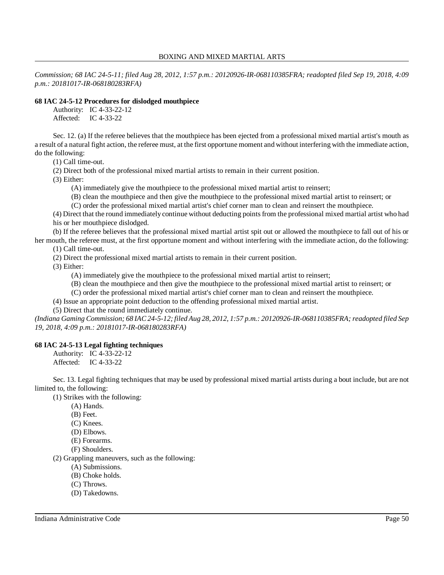*Commission; 68 IAC 24-5-11; filed Aug 28, 2012, 1:57 p.m.: 20120926-IR-068110385FRA; readopted filed Sep 19, 2018, 4:09 p.m.: 20181017-IR-068180283RFA)*

#### **68 IAC 24-5-12 Procedures for dislodged mouthpiece**

Authority: IC 4-33-22-12 Affected: IC 4-33-22

Sec. 12. (a) If the referee believes that the mouthpiece has been ejected from a professional mixed martial artist's mouth as a result of a natural fight action, the referee must, at the first opportune moment and without interfering with the immediate action, do the following:

(1) Call time-out.

(2) Direct both of the professional mixed martial artists to remain in their current position.

(3) Either:

(A) immediately give the mouthpiece to the professional mixed martial artist to reinsert;

(B) clean the mouthpiece and then give the mouthpiece to the professional mixed martial artist to reinsert; or

(C) order the professional mixed martial artist's chief corner man to clean and reinsert the mouthpiece.

(4) Direct that the round immediately continue without deducting pointsfrom the professional mixed martial artist who had his or her mouthpiece dislodged.

(b) If the referee believes that the professional mixed martial artist spit out or allowed the mouthpiece to fall out of his or her mouth, the referee must, at the first opportune moment and without interfering with the immediate action, do the following: (1) Call time-out.

(2) Direct the professional mixed martial artists to remain in their current position.

(3) Either:

(A) immediately give the mouthpiece to the professional mixed martial artist to reinsert;

(B) clean the mouthpiece and then give the mouthpiece to the professional mixed martial artist to reinsert; or

(C) order the professional mixed martial artist's chief corner man to clean and reinsert the mouthpiece.

(4) Issue an appropriate point deduction to the offending professional mixed martial artist.

(5) Direct that the round immediately continue.

(Indiana Gaming Commission; 68 IAC 24-5-12; filed Aug 28, 2012, 1:57 p.m.: 20120926-IR-068110385FRA; readopted filed Sep *19, 2018, 4:09 p.m.: 20181017-IR-068180283RFA)*

#### **68 IAC 24-5-13 Legal fighting techniques**

Authority: IC 4-33-22-12 Affected: IC 4-33-22

Sec. 13. Legal fighting techniques that may be used by professional mixed martial artists during a bout include, but are not limited to, the following:

(1) Strikes with the following:

- (A) Hands.
- (B) Feet.
- (C) Knees.
- (D) Elbows.
- (E) Forearms.
- (F) Shoulders.

(2) Grappling maneuvers, such as the following:

- (A) Submissions.
- (B) Choke holds.
- (C) Throws.
- (D) Takedowns.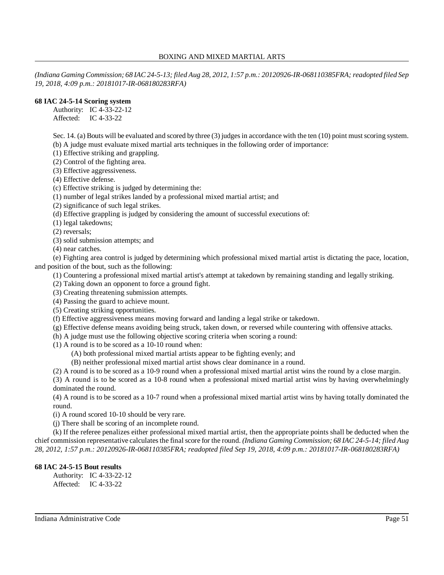(Indiana Gaming Commission; 68 IAC 24-5-13; filed Aug 28, 2012, 1:57 p.m.: 20120926-IR-068110385FRA; readopted filed Sep *19, 2018, 4:09 p.m.: 20181017-IR-068180283RFA)*

# **68 IAC 24-5-14 Scoring system**

Authority: IC 4-33-22-12 Affected: IC 4-33-22

Sec. 14. (a) Bouts will be evaluated and scored by three (3) judges in accordance with the ten (10) point must scoring system. (b) A judge must evaluate mixed martial arts techniques in the following order of importance:

(1) Effective striking and grappling.

(2) Control of the fighting area.

(3) Effective aggressiveness.

(4) Effective defense.

(c) Effective striking is judged by determining the:

(1) number of legal strikes landed by a professional mixed martial artist; and

(2) significance of such legal strikes.

(d) Effective grappling is judged by considering the amount of successful executions of:

(1) legal takedowns;

(2) reversals;

(3) solid submission attempts; and

(4) near catches.

(e) Fighting area control is judged by determining which professional mixed martial artist is dictating the pace, location, and position of the bout, such as the following:

(1) Countering a professional mixed martial artist's attempt at takedown by remaining standing and legally striking.

(2) Taking down an opponent to force a ground fight.

(3) Creating threatening submission attempts.

(4) Passing the guard to achieve mount.

(5) Creating striking opportunities.

(f) Effective aggressiveness means moving forward and landing a legal strike or takedown.

(g) Effective defense means avoiding being struck, taken down, or reversed while countering with offensive attacks.

(h) A judge must use the following objective scoring criteria when scoring a round:

(1) A round is to be scored as a 10-10 round when:

(A) both professional mixed martial artists appear to be fighting evenly; and

(B) neither professional mixed martial artist shows clear dominance in a round.

(2) A round is to be scored as a 10-9 round when a professional mixed martial artist wins the round by a close margin.

(3) A round is to be scored as a 10-8 round when a professional mixed martial artist wins by having overwhelmingly dominated the round.

(4) A round is to be scored as a 10-7 round when a professional mixed martial artist wins by having totally dominated the round.

(i) A round scored 10-10 should be very rare.

(j) There shall be scoring of an incomplete round.

(k) If the referee penalizes either professional mixed martial artist, then the appropriate points shall be deducted when the chief commission representative calculatesthe final score for the round. *(Indiana Gaming Commission; 68 IAC 24-5-14; filed Aug 28, 2012, 1:57 p.m.: 20120926-IR-068110385FRA; readopted filed Sep 19, 2018, 4:09 p.m.: 20181017-IR-068180283RFA)*

# **68 IAC 24-5-15 Bout results**

Authority: IC 4-33-22-12 Affected: IC 4-33-22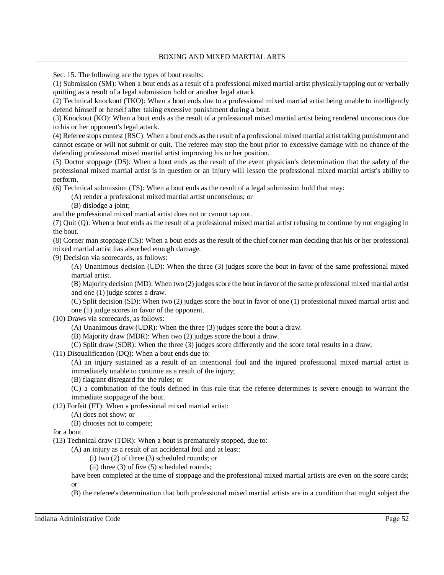Sec. 15. The following are the types of bout results:

(1) Submission (SM): When a bout ends as a result of a professional mixed martial artist physically tapping out or verbally quitting as a result of a legal submission hold or another legal attack.

(2) Technical knockout (TKO): When a bout ends due to a professional mixed martial artist being unable to intelligently defend himself or herself after taking excessive punishment during a bout.

(3) Knockout (KO): When a bout ends as the result of a professional mixed martial artist being rendered unconscious due to his or her opponent's legal attack.

(4) Referee stops contest (RSC): When a bout ends asthe result of a professional mixed martial artist taking punishment and cannot escape or will not submit or quit. The referee may stop the bout prior to excessive damage with no chance of the defending professional mixed martial artist improving his or her position.

(5) Doctor stoppage (DS): When a bout ends as the result of the event physician's determination that the safety of the professional mixed martial artist is in question or an injury will lessen the professional mixed martial artist's ability to perform.

(6) Technical submission (TS): When a bout ends as the result of a legal submission hold that may:

(A) render a professional mixed martial artist unconscious; or

(B) dislodge a joint;

and the professional mixed martial artist does not or cannot tap out.

(7) Quit (Q): When a bout ends as the result of a professional mixed martial artist refusing to continue by not engaging in the bout.

(8) Corner man stoppage (CS): When a bout ends as the result of the chief corner man deciding that his or her professional mixed martial artist has absorbed enough damage.

(9) Decision via scorecards, as follows:

(A) Unanimous decision (UD): When the three (3) judges score the bout in favor of the same professional mixed martial artist.

(B) Majority decision (MD): When two (2) judges score the bout in favor of the same professional mixed martial artist and one (1) judge scores a draw.

(C) Split decision (SD): When two (2) judges score the bout in favor of one (1) professional mixed martial artist and one (1) judge scores in favor of the opponent.

(10) Draws via scorecards, as follows:

(A) Unanimous draw (UDR): When the three (3) judges score the bout a draw.

(B) Majority draw (MDR): When two (2) judges score the bout a draw.

(C) Split draw (SDR): When the three (3) judges score differently and the score total results in a draw.

(11) Disqualification (DQ): When a bout ends due to:

(A) an injury sustained as a result of an intentional foul and the injured professional mixed martial artist is immediately unable to continue as a result of the injury;

(B) flagrant disregard for the rules; or

(C) a combination of the fouls defined in this rule that the referee determines is severe enough to warrant the immediate stoppage of the bout.

(12) Forfeit (FT): When a professional mixed martial artist:

(A) does not show; or

(B) chooses not to compete;

for a bout.

(13) Technical draw (TDR): When a bout is prematurely stopped, due to:

(A) an injury as a result of an accidental foul and at least:

(i) two (2) of three (3) scheduled rounds; or

(ii) three (3) of five (5) scheduled rounds;

have been completed at the time of stoppage and the professional mixed martial artists are even on the score cards; or

(B) the referee's determination that both professional mixed martial artists are in a condition that might subject the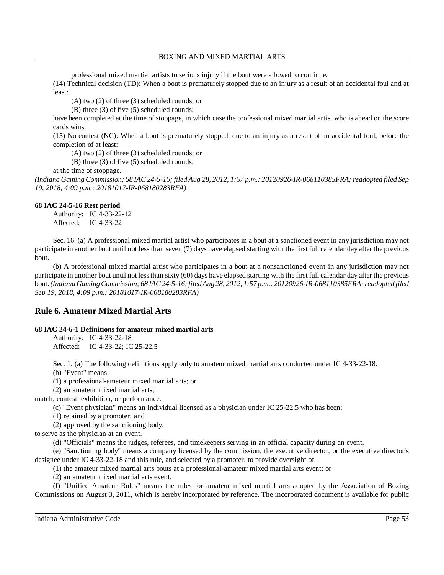professional mixed martial artists to serious injury if the bout were allowed to continue.

(14) Technical decision (TD): When a bout is prematurely stopped due to an injury as a result of an accidental foul and at least:

(A) two (2) of three (3) scheduled rounds; or

(B) three (3) of five (5) scheduled rounds;

have been completed at the time of stoppage, in which case the professional mixed martial artist who is ahead on the score cards wins.

(15) No contest (NC): When a bout is prematurely stopped, due to an injury as a result of an accidental foul, before the completion of at least:

(A) two (2) of three (3) scheduled rounds; or

(B) three (3) of five (5) scheduled rounds;

at the time of stoppage.

(Indiana Gaming Commission; 68 IAC 24-5-15; filed Aug 28, 2012, 1:57 p.m.: 20120926-IR-068110385FRA; readopted filed Sep *19, 2018, 4:09 p.m.: 20181017-IR-068180283RFA)*

### **68 IAC 24-5-16 Rest period**

Authority: IC 4-33-22-12 Affected: IC 4-33-22

Sec. 16. (a) A professional mixed martial artist who participates in a bout at a sanctioned event in any jurisdiction may not participate in another bout until not less than seven (7) days have elapsed starting with the first full calendar day after the previous bout.

(b) A professional mixed martial artist who participates in a bout at a nonsanctioned event in any jurisdiction may not participate in another bout until not lessthan sixty (60) days have elapsed starting with the first full calendar day after the previous bout.*(Indiana GamingCommission; 68 IAC24-5-16;filedAug 28, 2012, 1:57 p.m.: 20120926-IR-068110385FRA;readopted filed Sep 19, 2018, 4:09 p.m.: 20181017-IR-068180283RFA)*

# **Rule 6. Amateur Mixed Martial Arts**

# **68 IAC 24-6-1 Definitions for amateur mixed martial arts**

Authority: IC 4-33-22-18 Affected: IC 4-33-22; IC 25-22.5

Sec. 1. (a) The following definitions apply only to amateur mixed martial arts conducted under IC 4-33-22-18.

(b) "Event" means:

(1) a professional-amateur mixed martial arts; or

(2) an amateur mixed martial arts;

match, contest, exhibition, or performance.

(c) "Event physician" means an individual licensed as a physician under IC 25-22.5 who has been:

(1) retained by a promoter; and

(2) approved by the sanctioning body;

to serve as the physician at an event.

(d) "Officials" means the judges, referees, and timekeepers serving in an official capacity during an event.

(e) "Sanctioning body" means a company licensed by the commission, the executive director, or the executive director's designee under IC 4-33-22-18 and this rule, and selected by a promoter, to provide oversight of:

(1) the amateur mixed martial arts bouts at a professional-amateur mixed martial arts event; or

(2) an amateur mixed martial arts event.

(f) "Unified Amateur Rules" means the rules for amateur mixed martial arts adopted by the Association of Boxing Commissions on August 3, 2011, which is hereby incorporated by reference. The incorporated document is available for public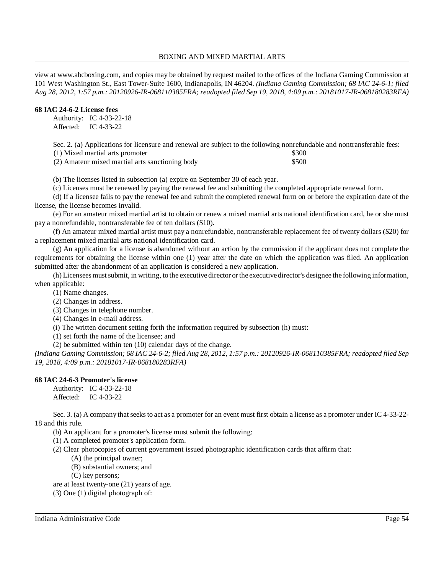view at www.abcboxing.com, and copies may be obtained by request mailed to the offices of the Indiana Gaming Commission at 101 West Washington St., East Tower-Suite 1600, Indianapolis, IN 46204. *(Indiana Gaming Commission; 68 IAC 24-6-1; filed Aug 28, 2012, 1:57 p.m.: 20120926-IR-068110385FRA; readopted filed Sep 19, 2018, 4:09 p.m.: 20181017-IR-068180283RFA)*

# **68 IAC 24-6-2 License fees**

Authority: IC 4-33-22-18 Affected: IC 4-33-22

Sec. 2. (a) Applications for licensure and renewal are subject to the following nonrefundable and nontransferable fees:

(1) Mixed martial arts promoter \$300

(2) Amateur mixed martial arts sanctioning body \$500

(b) The licenses listed in subsection (a) expire on September 30 of each year.

(c) Licenses must be renewed by paying the renewal fee and submitting the completed appropriate renewal form.

(d) If a licensee fails to pay the renewal fee and submit the completed renewal form on or before the expiration date of the license, the license becomes invalid.

(e) For an amateur mixed martial artist to obtain or renew a mixed martial arts national identification card, he or she must pay a nonrefundable, nontransferable fee of ten dollars (\$10).

(f) An amateur mixed martial artist must pay a nonrefundable, nontransferable replacement fee of twenty dollars (\$20) for a replacement mixed martial arts national identification card.

(g) An application for a license is abandoned without an action by the commission if the applicant does not complete the requirements for obtaining the license within one (1) year after the date on which the application was filed. An application submitted after the abandonment of an application is considered a new application.

(h) Licensees mustsubmit, in writing, to the executive director or the executive director's designee the following information, when applicable:

(1) Name changes.

(2) Changes in address.

(3) Changes in telephone number.

(4) Changes in e-mail address.

(i) The written document setting forth the information required by subsection (h) must:

(1) set forth the name of the licensee; and

(2) be submitted within ten (10) calendar days of the change.

(Indiana Gaming Commission; 68 IAC 24-6-2; filed Aug 28, 2012, 1:57 p.m.: 20120926-IR-068110385FRA; readopted filed Sep *19, 2018, 4:09 p.m.: 20181017-IR-068180283RFA)*

# **68 IAC 24-6-3 Promoter's license**

Authority: IC 4-33-22-18 Affected: IC 4-33-22

Sec. 3. (a) A company that seeks to act as a promoter for an event must first obtain a license as a promoter under IC 4-33-22-18 and this rule.

(b) An applicant for a promoter's license must submit the following:

(1) A completed promoter's application form.

- (2) Clear photocopies of current government issued photographic identification cards that affirm that:
	- (A) the principal owner;
	- (B) substantial owners; and

(C) key persons;

are at least twenty-one (21) years of age.

(3) One (1) digital photograph of: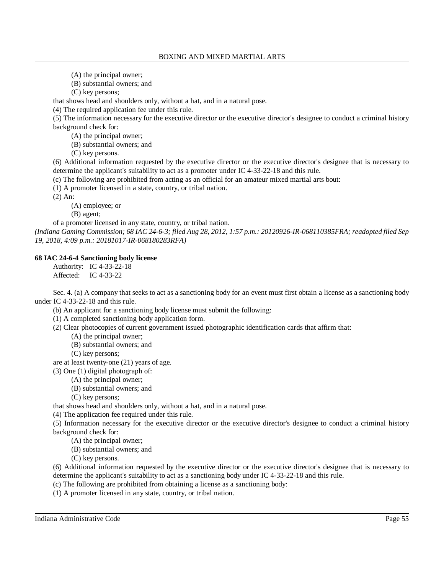- (A) the principal owner;
- (B) substantial owners; and

(C) key persons;

that shows head and shoulders only, without a hat, and in a natural pose.

(4) The required application fee under this rule.

(5) The information necessary for the executive director or the executive director's designee to conduct a criminal history background check for:

(A) the principal owner;

(B) substantial owners; and

(C) key persons.

(6) Additional information requested by the executive director or the executive director's designee that is necessary to determine the applicant's suitability to act as a promoter under IC 4-33-22-18 and this rule.

(c) The following are prohibited from acting as an official for an amateur mixed martial arts bout:

(1) A promoter licensed in a state, country, or tribal nation.

(2) An:

(A) employee; or

(B) agent;

of a promoter licensed in any state, country, or tribal nation.

(Indiana Gaming Commission; 68 IAC 24-6-3; filed Aug 28, 2012, 1:57 p.m.: 20120926-IR-068110385FRA; readopted filed Sep *19, 2018, 4:09 p.m.: 20181017-IR-068180283RFA)*

# **68 IAC 24-6-4 Sanctioning body license**

Authority: IC 4-33-22-18 Affected: IC 4-33-22

Sec. 4. (a) A company that seeks to act as a sanctioning body for an event must first obtain a license as a sanctioning body under IC 4-33-22-18 and this rule.

(b) An applicant for a sanctioning body license must submit the following:

(1) A completed sanctioning body application form.

(2) Clear photocopies of current government issued photographic identification cards that affirm that:

(A) the principal owner;

(B) substantial owners; and

(C) key persons;

are at least twenty-one (21) years of age.

(3) One (1) digital photograph of:

(A) the principal owner;

(B) substantial owners; and

(C) key persons;

that shows head and shoulders only, without a hat, and in a natural pose.

(4) The application fee required under this rule.

(5) Information necessary for the executive director or the executive director's designee to conduct a criminal history background check for:

(A) the principal owner;

(B) substantial owners; and

(C) key persons.

(6) Additional information requested by the executive director or the executive director's designee that is necessary to determine the applicant's suitability to act as a sanctioning body under IC 4-33-22-18 and this rule.

(c) The following are prohibited from obtaining a license as a sanctioning body:

(1) A promoter licensed in any state, country, or tribal nation.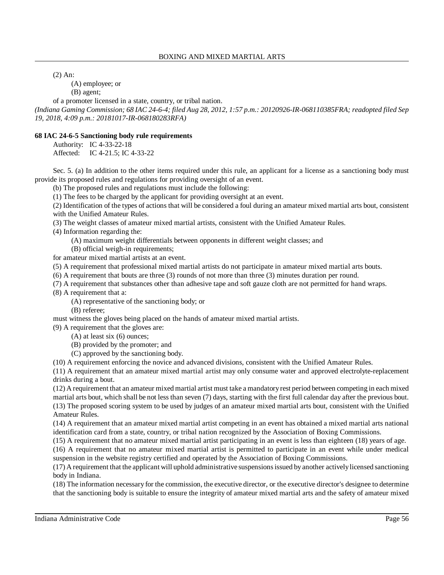(2) An:

(A) employee; or

(B) agent;

of a promoter licensed in a state, country, or tribal nation.

(Indiana Gaming Commission; 68 IAC 24-6-4; filed Aug 28, 2012, 1:57 p.m.: 20120926-IR-068110385FRA; readopted filed Sep *19, 2018, 4:09 p.m.: 20181017-IR-068180283RFA)*

# **68 IAC 24-6-5 Sanctioning body rule requirements**

Authority: IC 4-33-22-18

Affected: IC 4-21.5; IC 4-33-22

Sec. 5. (a) In addition to the other items required under this rule, an applicant for a license as a sanctioning body must provide its proposed rules and regulations for providing oversight of an event.

(b) The proposed rules and regulations must include the following:

(1) The fees to be charged by the applicant for providing oversight at an event.

(2) Identification of the types of actions that will be considered a foul during an amateur mixed martial arts bout, consistent with the Unified Amateur Rules.

(3) The weight classes of amateur mixed martial artists, consistent with the Unified Amateur Rules.

(4) Information regarding the:

(A) maximum weight differentials between opponents in different weight classes; and

(B) official weigh-in requirements;

for amateur mixed martial artists at an event.

(5) A requirement that professional mixed martial artists do not participate in amateur mixed martial arts bouts.

(6) A requirement that bouts are three (3) rounds of not more than three (3) minutes duration per round.

(7) A requirement that substances other than adhesive tape and soft gauze cloth are not permitted for hand wraps.

(8) A requirement that a:

(A) representative of the sanctioning body; or

(B) referee;

must witness the gloves being placed on the hands of amateur mixed martial artists.

(9) A requirement that the gloves are:

(A) at least six (6) ounces;

(B) provided by the promoter; and

(C) approved by the sanctioning body.

(10) A requirement enforcing the novice and advanced divisions, consistent with the Unified Amateur Rules.

(11) A requirement that an amateur mixed martial artist may only consume water and approved electrolyte-replacement drinks during a bout.

(12) A requirement that an amateur mixed martial artist must take a mandatoryrest period between competing in each mixed martial arts bout, which shall be not less than seven (7) days, starting with the first full calendar day after the previous bout. (13) The proposed scoring system to be used by judges of an amateur mixed martial arts bout, consistent with the Unified Amateur Rules.

(14) A requirement that an amateur mixed martial artist competing in an event has obtained a mixed martial arts national identification card from a state, country, or tribal nation recognized by the Association of Boxing Commissions.

(15) A requirement that no amateur mixed martial artist participating in an event is less than eighteen (18) years of age. (16) A requirement that no amateur mixed martial artist is permitted to participate in an event while under medical suspension in the website registry certified and operated by the Association of Boxing Commissions.

(17) A requirement that the applicant will uphold administrative suspensionsissued by another activelylicensed sanctioning body in Indiana.

(18) The information necessary for the commission, the executive director, or the executive director's designee to determine that the sanctioning body is suitable to ensure the integrity of amateur mixed martial arts and the safety of amateur mixed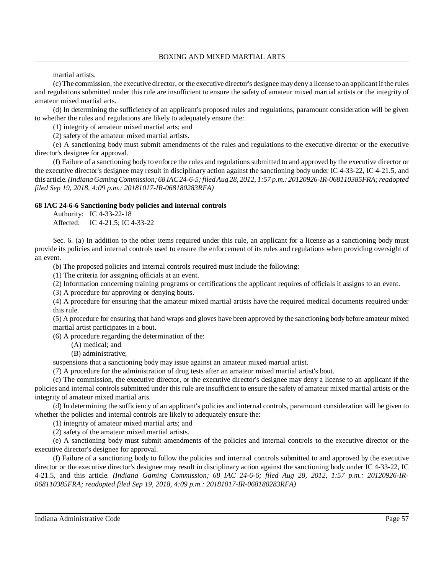martial artists.

(c) The commission, the executive director, or the executive director's designee may deny a license to an applicant ifthe rules and regulations submitted under this rule are insufficient to ensure the safety of amateur mixed martial artists or the integrity of amateur mixed martial arts.

(d) In determining the sufficiency of an applicant's proposed rules and regulations, paramount consideration will be given to whether the rules and regulations are likely to adequately ensure the:

(1) integrity of amateur mixed martial arts; and

(2) safety of the amateur mixed martial artists.

(e) A sanctioning body must submit amendments of the rules and regulations to the executive director or the executive director's designee for approval.

(f) Failure of a sanctioning body to enforce the rules and regulations submitted to and approved by the executive director or the executive director's designee may result in disciplinary action against the sanctioning body under IC 4-33-22, IC 4-21.5, and this article.*(Indiana GamingCommission; 68 IAC24-6-5;filedAug 28, 2012, 1:57 p.m.: 20120926-IR-068110385FRA;readopted filed Sep 19, 2018, 4:09 p.m.: 20181017-IR-068180283RFA)*

### **68 IAC 24-6-6 Sanctioning body policies and internal controls**

Authority: IC 4-33-22-18 Affected: IC 4-21.5; IC 4-33-22

Sec. 6. (a) In addition to the other items required under this rule, an applicant for a license as a sanctioning body must provide its policies and internal controls used to ensure the enforcement of its rules and regulations when providing oversight of an event.

(b) The proposed policies and internal controls required must include the following:

(1) The criteria for assigning officials at an event.

(2) Information concerning training programs or certifications the applicant requires of officials it assigns to an event.

(3) A procedure for approving or denying bouts.

(4) A procedure for ensuring that the amateur mixed martial artists have the required medical documents required under this rule.

(5) A procedure for ensuring that hand wraps and gloves have been approved by the sanctioning body before amateur mixed martial artist participates in a bout.

(6) A procedure regarding the determination of the:

(A) medical; and

(B) administrative;

suspensions that a sanctioning body may issue against an amateur mixed martial artist.

(7) A procedure for the administration of drug tests after an amateur mixed martial artist's bout.

(c) The commission, the executive director, or the executive director's designee may deny a license to an applicant if the policies and internal controls submitted under this rule are insufficient to ensure the safety of amateur mixed martial artists or the integrity of amateur mixed martial arts.

(d) In determining the sufficiency of an applicant's policies and internal controls, paramount consideration will be given to whether the policies and internal controls are likely to adequately ensure the:

(1) integrity of amateur mixed martial arts; and

(2) safety of the amateur mixed martial artists.

(e) A sanctioning body must submit amendments of the policies and internal controls to the executive director or the executive director's designee for approval.

(f) Failure of a sanctioning body to follow the policies and internal controls submitted to and approved by the executive director or the executive director's designee may result in disciplinary action against the sanctioning body under IC 4-33-22, IC 4-21.5, and this article. *(Indiana Gaming Commission; 68 IAC 24-6-6; filed Aug 28, 2012, 1:57 p.m.: 20120926-IR-068110385FRA; readopted filed Sep 19, 2018, 4:09 p.m.: 20181017-IR-068180283RFA)*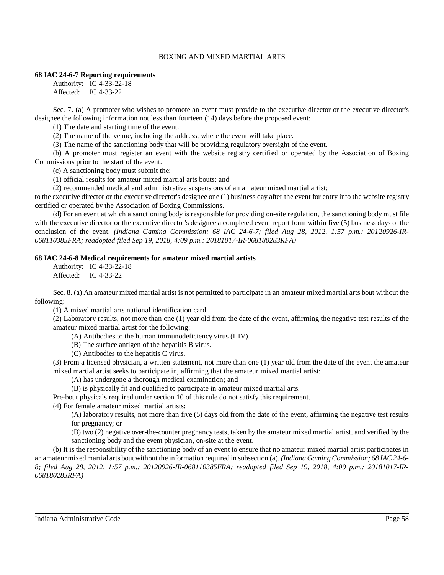### **68 IAC 24-6-7 Reporting requirements**

Authority: IC 4-33-22-18 Affected: IC 4-33-22

Sec. 7. (a) A promoter who wishes to promote an event must provide to the executive director or the executive director's designee the following information not less than fourteen (14) days before the proposed event:

(1) The date and starting time of the event.

(2) The name of the venue, including the address, where the event will take place.

(3) The name of the sanctioning body that will be providing regulatory oversight of the event.

(b) A promoter must register an event with the website registry certified or operated by the Association of Boxing Commissions prior to the start of the event.

(c) A sanctioning body must submit the:

(1) official results for amateur mixed martial arts bouts; and

(2) recommended medical and administrative suspensions of an amateur mixed martial artist;

to the executive director or the executive director's designee one (1) business day after the event for entry into the website registry certified or operated by the Association of Boxing Commissions.

(d) For an event at which a sanctioning body is responsible for providing on-site regulation, the sanctioning body must file with the executive director or the executive director's designee a completed event report form within five (5) business days of the conclusion of the event. *(Indiana Gaming Commission; 68 IAC 24-6-7; filed Aug 28, 2012, 1:57 p.m.: 20120926-IR-068110385FRA; readopted filed Sep 19, 2018, 4:09 p.m.: 20181017-IR-068180283RFA)*

#### **68 IAC 24-6-8 Medical requirements for amateur mixed martial artists**

Authority: IC 4-33-22-18 Affected: IC 4-33-22

Sec. 8. (a) An amateur mixed martial artist is not permitted to participate in an amateur mixed martial arts bout without the following:

(1) A mixed martial arts national identification card.

(2) Laboratory results, not more than one (1) year old from the date of the event, affirming the negative test results of the amateur mixed martial artist for the following:

(A) Antibodies to the human immunodeficiency virus (HIV).

(B) The surface antigen of the hepatitis B virus.

(C) Antibodies to the hepatitis C virus.

(3) From a licensed physician, a written statement, not more than one (1) year old from the date of the event the amateur mixed martial artist seeks to participate in, affirming that the amateur mixed martial artist:

(A) has undergone a thorough medical examination; and

(B) is physically fit and qualified to participate in amateur mixed martial arts.

Pre-bout physicals required under section 10 of this rule do not satisfy this requirement.

(4) For female amateur mixed martial artists:

(A) laboratory results, not more than five (5) days old from the date of the event, affirming the negative test results for pregnancy; or

(B) two (2) negative over-the-counter pregnancy tests, taken by the amateur mixed martial artist, and verified by the sanctioning body and the event physician, on-site at the event.

(b) It is the responsibility of the sanctioning body of an event to ensure that no amateur mixed martial artist participates in an amateur mixedmartial arts bout without the information required in subsection (a). *(Indiana Gaming Commission; 68 IAC24-6- 8; filed Aug 28, 2012, 1:57 p.m.: 20120926-IR-068110385FRA; readopted filed Sep 19, 2018, 4:09 p.m.: 20181017-IR-068180283RFA)*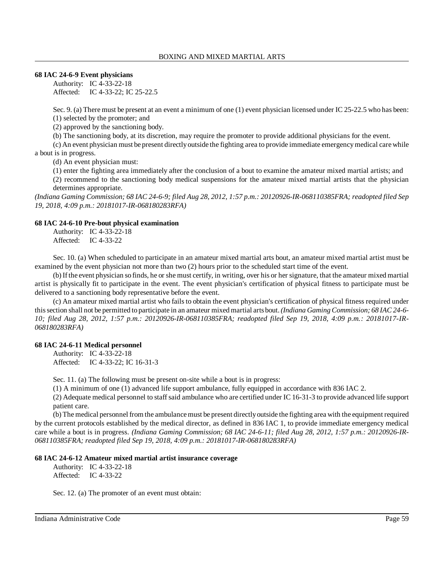### **68 IAC 24-6-9 Event physicians**

Authority: IC 4-33-22-18 Affected: IC 4-33-22; IC 25-22.5

Sec. 9. (a) There must be present at an event a minimum of one (1) event physician licensed under IC 25-22.5 who has been: (1) selected by the promoter; and

(2) approved by the sanctioning body.

(b) The sanctioning body, at its discretion, may require the promoter to provide additional physicians for the event.

(c) An event physician must be present directlyoutside the fighting area to provide immediate emergencymedical care while a bout is in progress.

(d) An event physician must:

(1) enter the fighting area immediately after the conclusion of a bout to examine the amateur mixed martial artists; and

(2) recommend to the sanctioning body medical suspensions for the amateur mixed martial artists that the physician determines appropriate.

(Indiana Gaming Commission; 68 IAC 24-6-9; filed Aug 28, 2012, 1:57 p.m.: 20120926-IR-068110385FRA; readopted filed Sep *19, 2018, 4:09 p.m.: 20181017-IR-068180283RFA)*

### **68 IAC 24-6-10 Pre-bout physical examination**

Authority: IC 4-33-22-18 Affected: IC 4-33-22

Sec. 10. (a) When scheduled to participate in an amateur mixed martial arts bout, an amateur mixed martial artist must be examined by the event physician not more than two (2) hours prior to the scheduled start time of the event.

(b) Ifthe event physician so finds, he or she must certify, in writing, over his or her signature, that the amateur mixed martial artist is physically fit to participate in the event. The event physician's certification of physical fitness to participate must be delivered to a sanctioning body representative before the event.

(c) An amateur mixed martial artist who fails to obtain the event physician's certification of physical fitness required under thissection shall not be permitted to participate in an amateur mixed martial arts bout.*(Indiana Gaming Commission; 68 IAC 24-6- 10; filed Aug 28, 2012, 1:57 p.m.: 20120926-IR-068110385FRA; readopted filed Sep 19, 2018, 4:09 p.m.: 20181017-IR-068180283RFA)*

# **68 IAC 24-6-11 Medical personnel**

Authority: IC 4-33-22-18 Affected: IC 4-33-22; IC 16-31-3

Sec. 11. (a) The following must be present on-site while a bout is in progress:

(1) A minimum of one (1) advanced life support ambulance, fully equipped in accordance with 836 IAC 2.

(2) Adequate medical personnel to staffsaid ambulance who are certified under IC 16-31-3 to provide advanced life support patient care.

(b) The medical personnel from the ambulance must be present directly outside the fighting area with the equipment required by the current protocols established by the medical director, as defined in 836 IAC 1, to provide immediate emergency medical care while a bout is in progress. *(Indiana Gaming Commission; 68 IAC 24-6-11; filed Aug 28, 2012, 1:57 p.m.: 20120926-IR-068110385FRA; readopted filed Sep 19, 2018, 4:09 p.m.: 20181017-IR-068180283RFA)*

### **68 IAC 24-6-12 Amateur mixed martial artist insurance coverage**

Authority: IC 4-33-22-18 Affected: IC 4-33-22

Sec. 12. (a) The promoter of an event must obtain: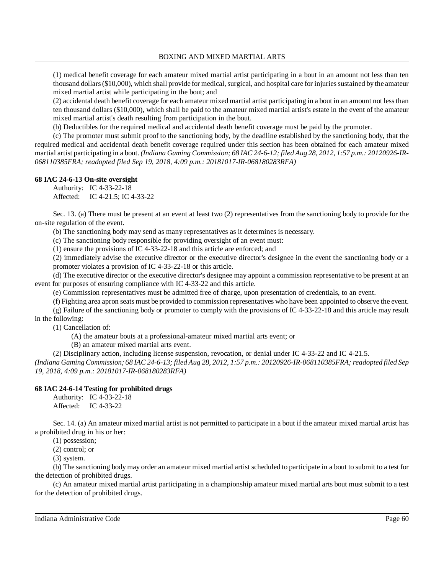(1) medical benefit coverage for each amateur mixed martial artist participating in a bout in an amount not less than ten thousand dollars (\$10,000), which shall provide for medical, surgical, and hospital care for injuries sustained by the amateur mixed martial artist while participating in the bout; and

(2) accidental death benefit coverage for each amateur mixed martial artist participating in a bout in an amount not lessthan ten thousand dollars (\$10,000), which shall be paid to the amateur mixed martial artist's estate in the event of the amateur mixed martial artist's death resulting from participation in the bout.

(b) Deductibles for the required medical and accidental death benefit coverage must be paid by the promoter.

(c) The promoter must submit proof to the sanctioning body, by the deadline established by the sanctioning body, that the required medical and accidental death benefit coverage required under this section has been obtained for each amateur mixed martial artist participating in a bout. *(Indiana Gaming Commission; 68 IAC 24-6-12; filed Aug 28, 2012, 1:57 p.m.: 20120926-IR-068110385FRA; readopted filed Sep 19, 2018, 4:09 p.m.: 20181017-IR-068180283RFA)*

### **68 IAC 24-6-13 On-site oversight**

Authority: IC 4-33-22-18 Affected: IC 4-21.5; IC 4-33-22

Sec. 13. (a) There must be present at an event at least two (2) representatives from the sanctioning body to provide for the on-site regulation of the event.

(b) The sanctioning body may send as many representatives as it determines is necessary.

(c) The sanctioning body responsible for providing oversight of an event must:

(1) ensure the provisions of IC 4-33-22-18 and this article are enforced; and

(2) immediately advise the executive director or the executive director's designee in the event the sanctioning body or a promoter violates a provision of IC 4-33-22-18 or this article.

(d) The executive director or the executive director's designee may appoint a commission representative to be present at an event for purposes of ensuring compliance with IC 4-33-22 and this article.

(e) Commission representatives must be admitted free of charge, upon presentation of credentials, to an event.

(f) Fighting area apron seats must be provided to commission representatives who have been appointed to observe the event.

(g) Failure of the sanctioning body or promoter to comply with the provisions of IC 4-33-22-18 and this article may result in the following:

(1) Cancellation of:

(A) the amateur bouts at a professional-amateur mixed martial arts event; or

(B) an amateur mixed martial arts event.

(2) Disciplinary action, including license suspension, revocation, or denial under IC 4-33-22 and IC 4-21.5.

(Indiana Gaming Commission; 68 IAC 24-6-13; filed Aug 28, 2012, 1:57 p.m.: 20120926-IR-068110385FRA; readopted filed Sep *19, 2018, 4:09 p.m.: 20181017-IR-068180283RFA)*

### **68 IAC 24-6-14 Testing for prohibited drugs**

Authority: IC 4-33-22-18 Affected: IC 4-33-22

Sec. 14. (a) An amateur mixed martial artist is not permitted to participate in a bout if the amateur mixed martial artist has a prohibited drug in his or her:

(1) possession;

(2) control; or

(3) system.

(b) The sanctioning body may order an amateur mixed martial artist scheduled to participate in a bout to submit to a test for the detection of prohibited drugs.

(c) An amateur mixed martial artist participating in a championship amateur mixed martial arts bout must submit to a test for the detection of prohibited drugs.